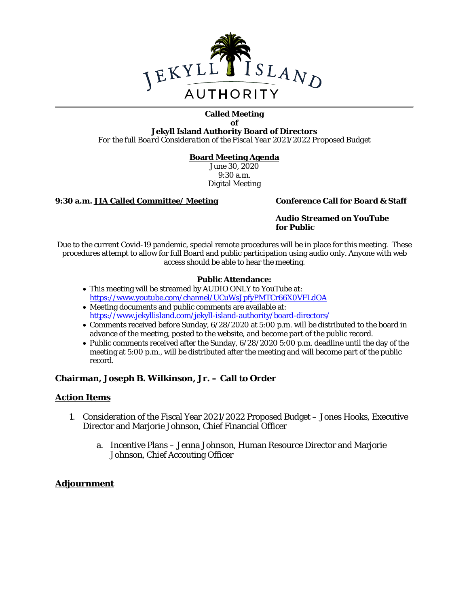

### **Called Meeting of**

**Jekyll Island Authority Board of Directors** *For the full Board Consideration of the Fiscal Year 2021/2022 Proposed Budget*

### **Board Meeting Agenda**

June 30, 2020 9:30 a.m. Digital Meeting

### **9:30 a.m. JIA Called Committee/ Meeting Conference Call for Board & Staff**

### **Audio Streamed on YouTube for Public**

Due to the current Covid-19 pandemic, special remote procedures will be in place for this meeting. These procedures attempt to allow for full Board and public participation using audio only. Anyone with web access should be able to hear the meeting.

### **Public Attendance:**

- This meeting will be streamed by AUDIO ONLY to YouTube at: <https://www.youtube.com/channel/UCuWsJpfyPMTCr66X0VFLdOA>
- Meeting documents and public comments are available at: <https://www.jekyllisland.com/jekyll-island-authority/board-directors/>
- Comments received before Sunday, 6/28/2020 at 5:00 p.m. will be distributed to the board in advance of the meeting, posted to the website, and become part of the public record.
- Public comments received after the Sunday, 6/28/2020 5:00 p.m. deadline until the day of the meeting at 5:00 p.m., will be distributed after the meeting and will become part of the public record.

### **Chairman, Joseph B. Wilkinson, Jr. – Call to Order**

### **Action Items**

- 1. Consideration of the Fiscal Year 2021/2022 Proposed Budget Jones Hooks, Executive Director and Marjorie Johnson, Chief Financial Officer
	- a. Incentive Plans Jenna Johnson, Human Resource Director and Marjorie Johnson, Chief Accouting Officer

### **Adjournment**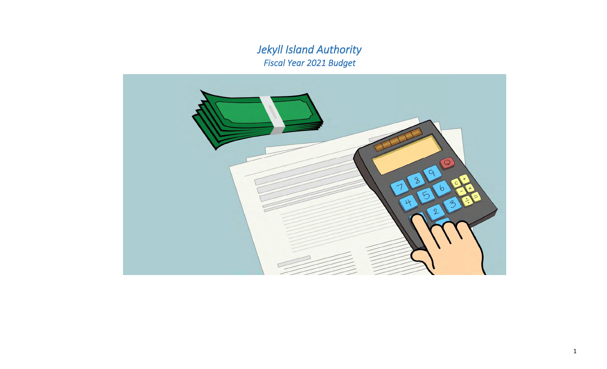*Fiscal Year 2021 Budget Jekyll Island Authority*

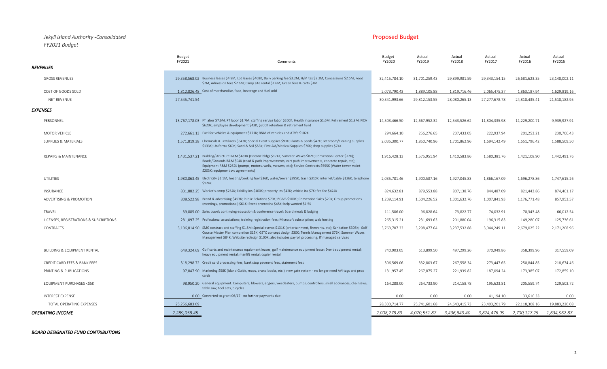### *Jekyll Island Authority -Consolidated* Proposed Budget *FY2021 Budget*

|                                        | <b>Budget</b><br>FY2021        | Comments                                                                                                                                                                                                                                                                                                                                                            | <b>Budget</b><br>FY2020 | Actual<br>FY2019 | Actual<br>FY2018 | Actual<br>FY2017 | Actual<br>FY2016 | Actual<br>FY2015 |
|----------------------------------------|--------------------------------|---------------------------------------------------------------------------------------------------------------------------------------------------------------------------------------------------------------------------------------------------------------------------------------------------------------------------------------------------------------------|-------------------------|------------------|------------------|------------------|------------------|------------------|
| <i><b>REVENUES</b></i>                 |                                |                                                                                                                                                                                                                                                                                                                                                                     |                         |                  |                  |                  |                  |                  |
| <b>GROSS REVENUES</b>                  |                                | 29,358,568.02 Business leases \$4.9M; Lot leases \$468K; Daily parking fee \$3.2M; H/M tax \$2.2M; Concessions \$2.5M; Food<br>\$2M; Admission fees \$2.6M; Camp site rental \$1.6M; Green fees & carts \$1M                                                                                                                                                        | 32,415,784.10           | 31,701,259.43    | 29,899,981.59    | 29,343,154.15    | 26,681,623.35    | 23,148,002.11    |
| COST OF GOODS SOLD                     |                                | 1,812,826.48 Cost of merchandise, food, beverage and fuel sold                                                                                                                                                                                                                                                                                                      | 2,073,790.43            | 1,889,105.88     | 1,819,716.46     | 2,065,475.37     | 1,863,187.94     | 1,629,819.16     |
| NET REVENUE                            | 27,545,741.54                  |                                                                                                                                                                                                                                                                                                                                                                     | 30,341,993.66           | 29,812,153.55    | 28,080,265.13    | 27,277,678.78    | 24,818,435.41    | 21,518,182.95    |
| EXPENSES                               |                                |                                                                                                                                                                                                                                                                                                                                                                     |                         |                  |                  |                  |                  |                  |
| PERSONNEL                              |                                | 13,767,178.03 FT labor \$7.6M; PT labor \$1.7M; staffing service labor \$260K; Health insurance \$1.6M; Retirement \$1.8M; FICA<br>\$620K; employee development \$43K; \$300K retention & retirement fund                                                                                                                                                           | 14,503,466.50           | 12,667,952.32    | 12,543,526.62    | 11,804,335.98    | 11,229,200.71    | 9,939,927.91     |
| MOTOR VEHICLE                          |                                | 272.661.13 Fuel for vehicles & equipment \$171K; R&M of vehicles and ATV's \$102K                                                                                                                                                                                                                                                                                   | 294,664.10              | 256,276.65       | 237,433.05       | 222,937.94       | 201,253.21       | 230,706.43       |
| <b>SUPPLIES &amp; MATERIALS</b>        |                                | 1,571,819.38 Chemicals & Fertilizers \$543K; Special Event supplies \$93K; Plants & Seeds \$47K; Bathroom/cleaning supplies<br>\$133K; Uniforms \$69K; Sand & Soil \$53K; First Aid/Medical Supplies \$70K; shop supplies \$74K                                                                                                                                     | 2,035,300.77            | 1,850,740.96     | 1,701,862.96     | 1,694,142.49     | 1,651,796.42     | 1,588,509.50     |
| <b>REPAIRS &amp; MAINTENANCE</b>       |                                | 1.431.537.21 Building/Structure R&M \$481K (Historic bldgs \$174K; Summer Waves \$82K; Convention Center \$72K);<br>Roads/Grounds R&M \$94K (road & path improvements, cart path improvements, concrete repair, etc);<br>Equipment R&M \$262K (pumps, motors, wells, mowers, etc); Service Contracts \$595K (Water tower maint<br>\$203K; equipment svc agreements) | 1,916,428.13            | 1,575,951.94     | 1,410,583.86     | 1,580,381.76     | 1,421,108.90     | 1,442,491.76     |
| UTILITIES                              | \$124K                         | 1,980,863.45 Electricity \$1.1M; heating/cooking fuel \$36K; water/sewer \$295K; trash \$310K; internet/cable \$126K; telephone                                                                                                                                                                                                                                     | 2,035,781.46            | 1,900,587.16     | 1,927,045.83     | 1,866,167.09     | 1,696,278.86     | 1,747,615.26     |
| INSURANCE                              |                                | 831.882.25 Worker's comp \$254K; liability ins \$100K; property ins \$42K; vehicle ins \$7K; fire fee \$424K                                                                                                                                                                                                                                                        | 824,632.81              | 879,553.88       | 807,138.76       | 844,487.09       | 821,443.86       | 874,461.17       |
| ADVERTISING & PROMOTION                |                                | 808.522.98 Brand & advertising \$453K; Public Relations \$70K; BGIVB \$100K; Convention Sales \$29K; Group promotions<br>(meetings, promotional) \$61K; Event promotins \$45K; help wanted \$1.5K                                                                                                                                                                   | 1,239,114.91            | 1,504,226.52     | 1,301,632.76     | 1,007,841.93     | 1,176,771.48     | 857,953.57       |
| TRAVEL                                 |                                | 39,885.00 Sales travel; continuing education & conference travel; Board meals & lodging                                                                                                                                                                                                                                                                             | 111,586.00              | 96,828.64        | 73,822.77        | 74,032.91        | 70,343.48        | 66,012.54        |
| LICENSES, REGISTRATIONS & SUBCRIPTIONS |                                | 281,097.25 Professional associations; training registration fees; Microsoft subscription; web hosting                                                                                                                                                                                                                                                               | 265,315.21              | 231,693.63       | 201,880.04       | 196,315.83       | 149,280.07       | 125,736.61       |
| CONTRACTS                              |                                | 3,106,814.90 SMG contract and staffing \$1.8M; Special events \$131K (entertainment, fireworks, etc); Sanitation \$306K; Golf<br>Course Master Plan completion \$15K; GSTC concept design \$30K; Tennis Management \$76K; Summer Waves<br>Management \$84K; Website redesign \$100K; also includes payroll processing; IT managed services                          | 3,763,707.33            | 3,298,477.64     | 3,237,532.88     | 3,044,249.11     | 2,679,025.22     | 2,171,208.96     |
| <b>BUILDING &amp; EQUIPMENT RENTAL</b> |                                | 649,324.69 Golf carts and maintenance equipment leases; golf maintenance equipment lease; Event equipment rental;<br>heavy equipment rental; manlift rental; copier rental                                                                                                                                                                                          | 740,903.05              | 613,899.50       | 497,299.26       | 370,949.86       | 358,399.96       | 317,559.09       |
| CREDIT CARD FEES & BANK FEES           |                                | 318,298.72 Credit card processing fees, bank stop payment fees, statement fees                                                                                                                                                                                                                                                                                      | 306,569.06              | 332,803.67       | 267,558.34       | 273,447.65       | 250,844.85       | 218,674.46       |
| PRINTING & PUBLICATIONS                | cards                          | 97,847.90 Marketing \$58K (Island Guide, maps, brand books, etc.); new gate system - no longer need AVI tags and prox                                                                                                                                                                                                                                               | 131,957.45              | 267,875.27       | 221,939.82       | 187,094.24       | 173,385.07       | 172,859.10       |
| EQUIPMENT PURCHASES <\$5K              | table saw, tool sets, bicycles | 98.950.20 General equipment: Computers, blowers, edgers, weedeaters, pumps, controllers, small appliances, chainsaws,                                                                                                                                                                                                                                               | 164,288.00              | 264,733.90       | 214,158.78       | 195,623.81       | 205,559.74       | 129,503.72       |
| <b>INTEREST EXPENSE</b>                |                                | 0.00 Converted to grant 06/17 - no further payments due                                                                                                                                                                                                                                                                                                             | 0.00                    | 0.00             | 0.00             | 41.194.10        | 33.616.33        | 0.00             |
| TOTAL OPERATING EXPENSES               | 25,256,683.09                  |                                                                                                                                                                                                                                                                                                                                                                     | 28,333,714.77           | 25,741,601.68    | 24,643,415.73    | 23,403,201.79    | 22,118,308.16    | 19,883,220.08    |
| OPERATING INCOME                       | 2,289,058.45                   |                                                                                                                                                                                                                                                                                                                                                                     | 2,008,278.89            | 4,070,551.87     | 3,436,849.40     | 3,874,476.99     | 2,700,127.25     | 1,634,962.87     |
|                                        |                                |                                                                                                                                                                                                                                                                                                                                                                     |                         |                  |                  |                  |                  |                  |

*BOARD DESIGNATED FUND CONTRIBUTIONS*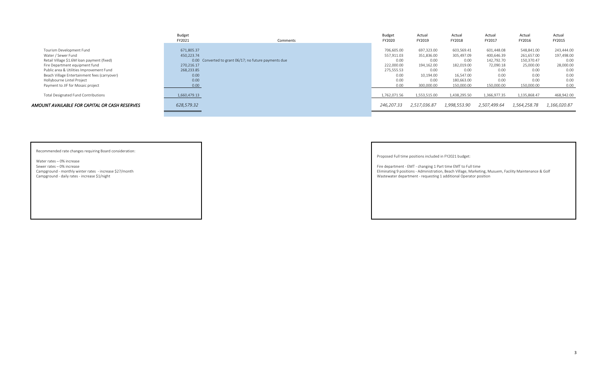|                                               | Budget<br>FY2021 | Comments                                              | <b>Budget</b><br>FY2020 | Actual<br>FY2019 | Actual<br>FY2018 | Actual<br>FY2017 | Actual<br>FY2016 | Actual<br>FY2015 |
|-----------------------------------------------|------------------|-------------------------------------------------------|-------------------------|------------------|------------------|------------------|------------------|------------------|
|                                               |                  |                                                       |                         |                  |                  |                  |                  |                  |
| Tourism Development Fund                      | 671,805.37       |                                                       | 706,605.00              | 697,323.00       | 603,569.41       | 601,448.08       | 548,841.00       | 243,444.00       |
| Water / Sewer Fund                            | 450,223.74       |                                                       | 557,911.03              | 351,836.00       | 305,497.09       | 400,646.39       | 261,657.00       | 197,498.00       |
| Retail Village \$1.6M loan payment (fixed)    |                  | 0.00 Converted to grant 06/17; no future payments due | 0.00                    | 0.00             | 0.00             | 142,792.70       | 150,370.47       | 0.00             |
| Fire Department equipment fund                | 270.216.17       |                                                       | 222,000.00              | 194,162.00       | 182,019.00       | 72,090.18        | 25,000.00        | 28,000.00        |
| Public area & Utilities Improvement Fund      | 268,233.85       |                                                       | 275,555.53              | 0.00             | 0.00             | 0.00             | 0.00             | 0.00             |
| Beach Village Entertainment fees (carryover)  | 0.00             |                                                       | 0.00                    | 10,194.00        | 16,547.00        | 0.00             | 0.00             | 0.00             |
| Hollybourne Lintel Project                    | 0.00             |                                                       | 0.00                    | 0.00             | 180,663.00       | 0.00             | 0.00             | 0.00             |
| Payment to JIF for Mosaic project             | 0.00             |                                                       | 0.00                    | 300,000.00       | 150,000.00       | 150,000.00       | 150,000.00       | 0.00             |
| Total Designated Fund Contributions           | 1,660,479.13     |                                                       | 1,762,071.56            | 1,553,515.00     | 1,438,295.50     | 1,366,977.35     | 1,135,868.47     | 468,942.00       |
| AMOUNT AVAILABLE FOR CAPITAL OR CASH RESERVES | 628,579.32       |                                                       | 246,207.33              | 2,517,036.87     | 1,998,553.90     | 2,507,499.64     | 1,564,258.78     | 1,166,020.87     |
|                                               |                  |                                                       |                         |                  |                  |                  |                  |                  |

Recommended rate changes requiring Board consideration:

Water rates – 0% increase<br>Sewer rates – 0% increase Sewer rates – 0% increase The EMT to Full time EMT to Full time<br>
Campground - monthly winter rates - increase \$27/month<br>
Campground - monthly winter rates - increase \$27/month

Proposed Full time positions included in FY2021 budget:

Campground - monthly winter rates - increase \$27/month entity Maintenance & Golf<br>
Campground - daily rates - increase \$1/night<br>
Campground - daily rates - increase \$1/night entity Maintenance & Golf Marketing 1 additional Wastewater department - requesting 1 additional Operator position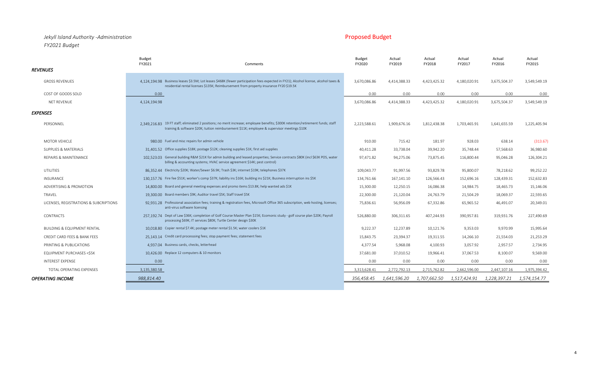### *Jekyll Island Authority -Administration* Proposed Budget *FY2021 Budget*

|                                        | <b>Budget</b><br>FY2021<br>Comments                                                                                                                                                                                              | <b>Budget</b><br>FY2020 | Actual<br>FY2019 | Actual<br>FY2018 | Actual<br>FY2017 | Actual<br>FY2016 | Actual<br>FY2015 |
|----------------------------------------|----------------------------------------------------------------------------------------------------------------------------------------------------------------------------------------------------------------------------------|-------------------------|------------------|------------------|------------------|------------------|------------------|
| <b>REVENUES</b>                        |                                                                                                                                                                                                                                  |                         |                  |                  |                  |                  |                  |
| <b>GROSS REVENUES</b>                  | 4.124.194.98 Business leases \$3.5M; Lot leases \$468K (fewer participation fees expected in FY21); Alcohol license, alcohol taxes &<br>residential rental licenses \$135K; Reimbursement from property insurance FY20 \$19.5K   | 3,670,086.86            | 4,414,388.33     | 4,423,425.32     | 4,180,020.91     | 3,675,504.37     | 3,549,549.19     |
| COST OF GOODS SOLD                     | 0.00                                                                                                                                                                                                                             | 0.00                    | 0.00             | 0.00             | 0.00             | 0.00             | 0.00             |
| <b>NET REVENUE</b>                     | 4,124,194.98                                                                                                                                                                                                                     | 3,670,086.86            | 4,414,388.33     | 4,423,425.32     | 4,180,020.91     | 3,675,504.37     | 3,549,549.19     |
| <b>EXPENSES</b>                        |                                                                                                                                                                                                                                  |                         |                  |                  |                  |                  |                  |
| PERSONNEL                              | 2,349,216.83 19 FT staff; eliminated 2 positions; no merit increase; employee benefits; \$300K retention/retirement funds; staff<br>training & software \$20K; tuition reimbursement \$11K; employee & supervisor meetings \$10K | 2,223,588.61            | 1,909,676.16     | 1,812,438.38     | 1,703,465.91     | 1,641,655.59     | 1,225,405.94     |
| <b>MOTOR VEHICLE</b>                   | 980.00 Fuel and misc repairs for admin vehicle                                                                                                                                                                                   | 910.00                  | 715.42           | 181.97           | 928.03           | 638.14           | (313.67)         |
| <b>SUPPLIES &amp; MATERIALS</b>        | 31.401.52 Office supplies \$18K; postage \$12K; cleaning supplies \$1K; first aid supplies                                                                                                                                       | 40,411.28               | 33,738.04        | 39,942.20        | 35,748.44        | 57,568.63        | 36,980.60        |
| REPAIRS & MAINTENANCE                  | 102.523.03 General building R&M \$21K for admin building and leased properties; Service contracts \$80K (incl \$63K POS, water<br>billing & accounting systems; HVAC service agreement \$14K; pest control)                      | 97,471.82               | 94,275.06        | 73,875.45        | 116,800.44       | 95,046.28        | 126,304.21       |
| UTILITIES                              | 86.352.44 Electricity \$20K; Water/Sewer \$6.9K; Trash \$3K; internet \$19K; telephones \$37K                                                                                                                                    | 109,043.77              | 91,997.56        | 93,829.78        | 95,800.07        | 78,218.62        | 99,252.22        |
| INSURANCE                              | 130,157.76 Fire fee \$51K; worker's comp \$37K; liability ins \$16K; building ins \$21K; Business interruption ins \$5K                                                                                                          | 134,761.66              | 167,141.10       | 126,566.43       | 152,696.16       | 128,439.31       | 152,632.83       |
| ADVERTISING & PROMOTION                | 14,800.00 Board and general meeting expenses and promo items \$13.8K; help wanted ads \$1K                                                                                                                                       | 15,300.00               | 12,250.15        | 16,086.38        | 14,984.75        | 18,465.73        | 15,146.06        |
| TRAVEL                                 | 19.300.00 Board members \$9K; Auditor travel \$5K; Staff travel \$5K                                                                                                                                                             | 22,300.00               | 21,120.04        | 24,763.79        | 21,504.29        | 18,069.37        | 22,593.65        |
| LICENSES, REGISTRATIONS & SUBCRIPTIONS | 92.931.28 Professional association fees; training & registration fees, Microsoft Office 365 subscription, web hosting, licenses;<br>anti-virus software licensing                                                                | 75,836.61               | 56,956.09        | 67,332.86        | 65,965.52        | 46,491.07        | 20,349.01        |
| <b>CONTRACTS</b>                       | 257.192.74 Dept of Law \$36K; completion of Golf Course Master Plan \$15K; Ecomonic study - golf course plan \$20K; Payroll<br>processing \$69K; IT services \$80K; Turtle Center design \$30K                                   | 526,880.00              | 306,311.65       | 407,244.93       | 390,957.81       | 319,931.76       | 227,490.69       |
| <b>BUILDING &amp; EQUIPMENT RENTAL</b> | 10.018.80 Copier rental \$7.4K; postage meter rental \$1.5K; water coolers \$1K                                                                                                                                                  | 9,222.37                | 12,237.89        | 10,121.76        | 9,353.03         | 9,970.99         | 15,995.64        |
| CREDIT CARD FEES & BANK FEES           | 25.143.14 Credit card processsing fees; stop payment fees; statement fees                                                                                                                                                        | 15,843.75               | 23,394.37        | 19,311.55        | 14,266.10        | 21,554.03        | 21,253.29        |
| PRINTING & PUBLICATIONS                | 4,937.04 Business cards, checks, letterhead                                                                                                                                                                                      | 4,377.54                | 5,968.08         | 4,100.93         | 3,057.92         | 2,957.57         | 2,734.95         |
| EQUIPMENT PURCHASES <\$5K              | 10.426.00 Replace 12 computers & 10 monitors                                                                                                                                                                                     | 37,681.00               | 37,010.52        | 19,966.41        | 37,067.53        | 8,100.07         | 9,569.00         |
| <b>INTEREST EXPENSE</b>                | 0.00                                                                                                                                                                                                                             | 0.00                    | 0.00             | 0.00             | 0.00             | 0.00             | 0.00             |
| TOTAL OPERATING EXPENSES               | 3,135,380.58                                                                                                                                                                                                                     | 3.313.628.41            | 2.772.792.13     | 2,715,762.82     | 2.662.596.00     | 2.447.107.16     | 1.975.394.42     |
| <b>OPERATING INCOME</b>                | 988,814.40                                                                                                                                                                                                                       | 356,458.45              | 1,641,596.20     | 1,707,662.50     | 1,517,424.91     | 1,228,397.21     | 1,574,154.77     |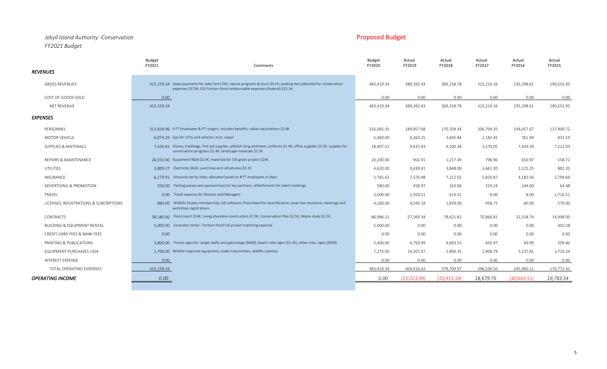## *Jekyll Island Authority -Conservation* Proposed Budget **Proposed Budget** Proposed Budget *FY2021 Budget*

|                                        | <b>Budget</b><br>FY2021 | Comments                                                                                                                                                                                            | <b>Budget</b><br>FY2020 | Actual<br>FY2019 | Actual<br>FY2018 | Actual<br>FY2017 | Actual<br>FY2016 | Actual<br>FY2015 |
|----------------------------------------|-------------------------|-----------------------------------------------------------------------------------------------------------------------------------------------------------------------------------------------------|-------------------------|------------------|------------------|------------------|------------------|------------------|
| <b>REVENUES</b>                        |                         |                                                                                                                                                                                                     |                         |                  |                  |                  |                  |                  |
| <b>GROSS REVENUES</b>                  |                         | 415.159.34 Lease payments for solar farm \$5K; nature programs & tours \$4.5K; parking fees allocated for conservation<br>expenses \$373K; CIG Fortson Pond reimbursable expenses (Federal) \$32.5K | 483,419.34              | 389,392.43       | 369,258.78       | 315,210.26       | 235,298.61       | 190,555.95       |
| COST OF GOODS SOLD                     | 0.00                    |                                                                                                                                                                                                     | 0.00                    | 0.00             | 0.00             | 0.00             | 0.00             | 0.00             |
| NET REVENUE                            | 415,159.34              |                                                                                                                                                                                                     | 483,419.34              | 389,392.43       | 369,258.78       | 315,210.26       | 235,298.61       | 190,555.95       |
| <b>EXPENSES</b>                        |                         |                                                                                                                                                                                                     |                         |                  |                  |                  |                  |                  |
| PERSONNEL                              |                         | 313.834.96 4 FT Employees & PT rangers; includes benefits; rabies vaccinations \$2.8K                                                                                                               | 316,065.35              | 289,857.68       | 270,709.34       | 206,794.35       | 194,057.67       | 137,900.72       |
| <b>MOTOR VEHICLE</b>                   |                         | 6,074.29 Gas for UTVs and vehicles; misc. repair                                                                                                                                                    | 5,460.00                | 6,263.25         | 3,695.84         | 2,182.45         | 761.94           | 833.19           |
| SUPPLIES & MATERIALS                   |                         | 7,420.81 Gloves, trashbags, first aid supplies, jellyfish sting ointment, uniforms \$1.4K; office supplies \$1.5K; supplies for<br>conservation programs \$1.4K; landscape materials \$1.5K         | 18,907.15               | 9,615.93         | 4,200.38         | 3,270.05         | 7,443.19         | 7,222.03         |
| REPAIRS & MAINTENANCE                  |                         | 26.550.00 Equipment R&M \$2.4K; materials for CIG grant project \$24K                                                                                                                               | 20,200.00               | 902.91           | 1,217.49         | 796.96           | 650.97           | 158.72           |
| UTILITIES                              |                         | 3.809.37 Electricity \$626; Land lines and cell phones \$3.2K                                                                                                                                       | 4,620.00                | 3,439.41         | 3,848.00         | 3,661.30         | 1,125.25         | 881.20           |
| INSURANCE                              |                         | 6,179.91 Amounts set by state; allocated based on #FT employees in dept.                                                                                                                            | 5,765.63                | 7,576.48         | 7,212.02         | 5,820.87         | 4,182.56         | 2,799.64         |
| ADVERTISING & PROMOTION                |                         | 350.00 Parking passes and sponsorships for key partners; refreshments for select meetings                                                                                                           | 580.00                  | 458.97           | 163.66           | 319.24           | 144.00           | 64.48            |
| TRAVEL                                 |                         | 0.00 Travel expense for Director and Managers                                                                                                                                                       | 3,000.00                | 2,929.21         | 614.52           | 0.00             | 8.00             | 1,716.51         |
| LICENSES, REGISTRATIONS & SUBCRIPTIONS | workshop registrations  | 860.00 Wildlife Society membership; GIS software; Prescribed fire recertification; boat tow insurance; meetings and                                                                                 | 4,160.00                | 4,545.18         | 1,839.00         | 458.71           | 60.00            | 570.00           |
| CONTRACTS                              |                         | 38,580.00 Pond maint \$14K; Living shoreline construction \$7.3K; Conservation Plan \$2.5K; Waste study \$2.5K                                                                                      | 86,986.21               | 57,569.34        | 78,621.82        | 70,866.81        | 32,318.74        | 14,998.00        |
| <b>BUILDING &amp; EQUIPMENT RENTAL</b> |                         | 5,000.00 Excavator rental - Fortson Pond CIG project matching expense                                                                                                                               | 5,000.00                | 0.00             | 0.00             | 0.00             | 0.00             | 402.28           |
| CREDIT CARD FEES & BANK FEES           | 0.00                    |                                                                                                                                                                                                     | 0.00                    | 0.00             | 0.00             | 0.00             | 0.00             | 0.00             |
| PRINTING & PUBLICATIONS                |                         | 3,800.00 Promo signs for ranger walks and gatorology (\$600), beach rules signs (\$3.2K), other misc. signs (\$400)                                                                                 | 5,400.00                | 4,750.99         | 4,693.55         | 450.97           | 69.99            | 509.40           |
| EQUIPMENT PURCHASES <\$5K              |                         | 2,700.00 Wildlife response equipment; snake transmitters; wildlife cameras                                                                                                                          | 7,275.00                | 16,507.07        | 2,894.35         | 1,908.79         | 5,137.81         | 2,716.24         |
| INTEREST EXPENSE                       | 0.00                    |                                                                                                                                                                                                     | 0.00                    | 0.00             | 0.00             | 0.00             | 0.00             | 0.00             |
| TOTAL OPERATING EXPENSES               | 415,159.34              |                                                                                                                                                                                                     | 483,419.34              | 404,416.42       | 379,709.97       | 296,530.50       | 245,960.12       | 170,772.41       |
| <b>OPERATING INCOME</b>                | 0.00                    |                                                                                                                                                                                                     | 0.00                    | (15,023.99)      | (10, 451.19)     | 18,679.76        | (10, 661.51)     | 19,783.54        |
|                                        |                         |                                                                                                                                                                                                     |                         |                  |                  |                  |                  |                  |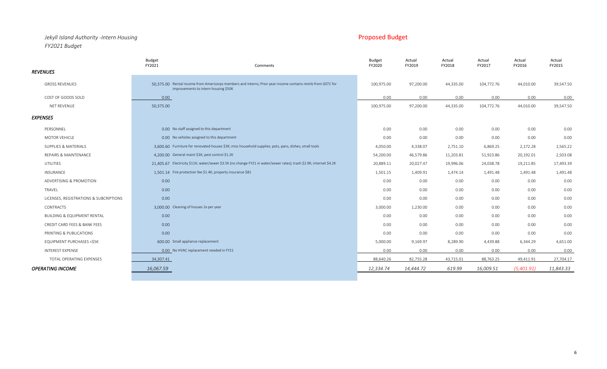## *Jekyll Island Authority -Intern Housing* Proposed Budget *FY2021 Budget*

|                                        | <b>Budget</b><br>FY2021 | Comments                                                                                                                                            | <b>Budget</b><br>FY2020 | Actual<br>FY2019 | Actual<br>FY2018 | Actual<br>FY2017 | Actual<br>FY2016 | Actual<br>FY2015 |
|----------------------------------------|-------------------------|-----------------------------------------------------------------------------------------------------------------------------------------------------|-------------------------|------------------|------------------|------------------|------------------|------------------|
| <b>REVENUES</b>                        |                         |                                                                                                                                                     |                         |                  |                  |                  |                  |                  |
| <b>GROSS REVENUES</b>                  |                         | 50.375.00 Rental income from Americorps members and interns; Prior year income contains reimb from GSTC for<br>improvements to intern housing \$50K | 100,975.00              | 97,200.00        | 44,335.00        | 104,772.76       | 44,010.00        | 39,547.50        |
| COST OF GOODS SOLD                     | 0.00                    |                                                                                                                                                     | 0.00                    | 0.00             | 0.00             | 0.00             | 0.00             | 0.00             |
| NET REVENUE                            | 50,375.00               |                                                                                                                                                     | 100,975.00              | 97,200.00        | 44,335.00        | 104,772.76       | 44,010.00        | 39,547.50        |
| <b>EXPENSES</b>                        |                         |                                                                                                                                                     |                         |                  |                  |                  |                  |                  |
| PERSONNEL                              |                         | 0.00 No staff assigned to this department                                                                                                           | 0.00                    | 0.00             | 0.00             | 0.00             | 0.00             | 0.00             |
| MOTOR VEHICLE                          |                         | 0.00 No vehicles assigned to this department                                                                                                        | 0.00                    | 0.00             | 0.00             | 0.00             | 0.00             | 0.00             |
| <b>SUPPLIES &amp; MATERIALS</b>        |                         | 3.600.60 Furniture for renovated houses \$3K; misc household supplies; pots, pans, dishes, small tools                                              | 4,050.00                | 4,338.07         | 2,751.10         | 6,869.25         | 2,172.28         | 1,565.22         |
| REPAIRS & MAINTENANCE                  |                         | 4.200.00 General maint \$3K; pest control \$1.2K                                                                                                    | 54,200.00               | 46,579.86        | 11,203.81        | 51,923.86        | 20,192.01        | 2,503.08         |
| UTILITIES                              |                         | 21,405.67 Electricity \$11K; water/sewer \$3.5K (no change FY21 in water/sewer rates); trash \$2.9K; internet \$4.2K                                | 20,889.11               | 20,027.47        | 19,996.06        | 24,038.78        | 19,211.85        | 17,493.39        |
| INSURANCE                              |                         | 1,501.14 Fire protection fee \$1.4K; property insurance \$81                                                                                        | 1,501.15                | 1,409.91         | 1,474.14         | 1,491.48         | 1,491.48         | 1,491.48         |
| ADVERTISING & PROMOTION                | 0.00                    |                                                                                                                                                     | 0.00                    | 0.00             | 0.00             | 0.00             | 0.00             | 0.00             |
| TRAVEL                                 | 0.00                    |                                                                                                                                                     | 0.00                    | 0.00             | 0.00             | 0.00             | 0.00             | 0.00             |
| LICENSES, REGISTRATIONS & SUBCRIPTIONS | 0.00                    |                                                                                                                                                     | 0.00                    | 0.00             | 0.00             | 0.00             | 0.00             | 0.00             |
| <b>CONTRACTS</b>                       |                         | 3.000.00 Cleaning of houses 2x per year                                                                                                             | 3,000.00                | 1,230.00         | 0.00             | 0.00             | 0.00             | 0.00             |
| <b>BUILDING &amp; EQUIPMENT RENTAL</b> | 0.00                    |                                                                                                                                                     | 0.00                    | 0.00             | 0.00             | 0.00             | 0.00             | 0.00             |
| CREDIT CARD FEES & BANK FEES           | 0.00                    |                                                                                                                                                     | 0.00                    | 0.00             | 0.00             | 0.00             | 0.00             | 0.00             |
| PRINTING & PUBLICATIONS                | 0.00                    |                                                                                                                                                     | 0.00                    | 0.00             | 0.00             | 0.00             | 0.00             | 0.00             |
| <b>EQUIPMENT PURCHASES &lt;\$5K</b>    |                         | 600.00 Small appliance replacement                                                                                                                  | 5,000.00                | 9,169.97         | 8,289.90         | 4,439.88         | 6,344.29         | 4,651.00         |
| INTEREST EXPENSE                       |                         | 0.00 No HVAC replacement needed in FY21                                                                                                             | 0.00                    | 0.00             | 0.00             | 0.00             | 0.00             | 0.00             |
| TOTAL OPERATING EXPENSES               | 34,307.41               |                                                                                                                                                     | 88.640.26               | 82.755.28        | 43.715.01        | 88.763.25        | 49.411.91        | 27,704.17        |
| <b>OPERATING INCOME</b>                | 16,067.59               |                                                                                                                                                     | 12,334.74               | 14,444.72        | 619.99           | 16,009.51        | (5,401.91)       | 11,843.33        |
|                                        |                         |                                                                                                                                                     |                         |                  |                  |                  |                  |                  |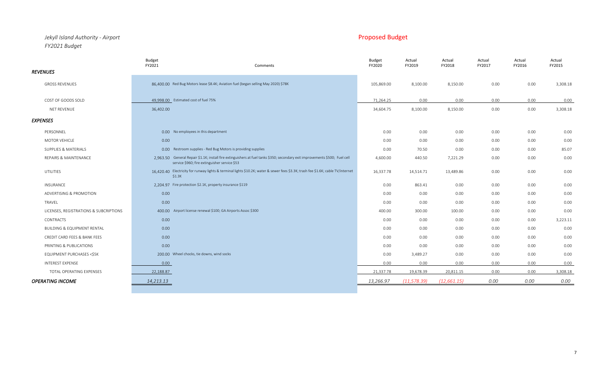### *Jekyll Island Authority - Airport* Proposed Budget *FY2021 Budget*

| <b>REVENUES</b>                        | <b>Budget</b><br>FY2021                                   | Comments                                                                                                                                                                      | Budget<br>FY2020 | Actual<br>FY2019 | Actual<br>FY2018 | Actual<br>FY2017 | Actual<br>FY2016 | Actual<br>FY2015 |
|----------------------------------------|-----------------------------------------------------------|-------------------------------------------------------------------------------------------------------------------------------------------------------------------------------|------------------|------------------|------------------|------------------|------------------|------------------|
| <b>GROSS REVENUES</b>                  |                                                           | 86.400.00 Red Bug Motors lease \$8.4K; Aviation fuel (began selling May 2020) \$78K                                                                                           | 105,869.00       | 8,100.00         | 8,150.00         | 0.00             | 0.00             | 3,308.18         |
| COST OF GOODS SOLD                     | 49.998.00 Estimated cost of fuel 75%                      |                                                                                                                                                                               | 71,264.25        | 0.00             | 0.00             | 0.00             | 0.00             | 0.00             |
| NET REVENUE                            | 36,402.00                                                 |                                                                                                                                                                               | 34,604.75        | 8,100.00         | 8,150.00         | 0.00             | 0.00             | 3,308.18         |
| <b>EXPENSES</b>                        |                                                           |                                                                                                                                                                               |                  |                  |                  |                  |                  |                  |
| PERSONNEL                              | 0.00 No employees in this department                      |                                                                                                                                                                               | 0.00             | 0.00             | 0.00             | 0.00             | 0.00             | 0.00             |
| MOTOR VEHICLE                          | 0.00                                                      |                                                                                                                                                                               | 0.00             | 0.00             | 0.00             | 0.00             | 0.00             | 0.00             |
| SUPPLIES & MATERIALS                   |                                                           | 0.00 Restroom supplies - Red Bug Motors is providing supplies                                                                                                                 | 0.00             | 70.50            | 0.00             | 0.00             | 0.00             | 85.07            |
| REPAIRS & MAINTENANCE                  |                                                           | 2,963.50 General Repair \$1.1K; install fire extinguishers at fuel tanks \$350; secondary exit improvements \$500; Fuel cell<br>service \$960; fire extinguisher service \$53 | 4,600.00         | 440.50           | 7,221.29         | 0.00             | 0.00             | 0.00             |
| UTILITIES                              | \$1.3K                                                    | 16.420.40 Electricity for runway lights & terminal lights \$10.2K; water & sewer fees \$3.3K; trash fee \$1.6K; cable TV/internet                                             | 16,337.78        | 14,514.71        | 13,489.86        | 0.00             | 0.00             | 0.00             |
| INSURANCE                              | 2.204.97 Fire protection \$2.1K, property insurance \$119 |                                                                                                                                                                               | 0.00             | 863.41           | 0.00             | 0.00             | 0.00             | 0.00             |
| ADVERTISING & PROMOTION                | 0.00                                                      |                                                                                                                                                                               | 0.00             | 0.00             | 0.00             | 0.00             | 0.00             | 0.00             |
| TRAVEL                                 | 0.00                                                      |                                                                                                                                                                               | 0.00             | 0.00             | 0.00             | 0.00             | 0.00             | 0.00             |
| LICENSES, REGISTRATIONS & SUBCRIPTIONS |                                                           | 400.00 Airport license renewal \$100; GA Airports Assoc \$300                                                                                                                 | 400.00           | 300.00           | 100.00           | 0.00             | 0.00             | 0.00             |
| <b>CONTRACTS</b>                       | 0.00                                                      |                                                                                                                                                                               | 0.00             | 0.00             | 0.00             | 0.00             | 0.00             | 3,223.11         |
| <b>BUILDING &amp; EQUIPMENT RENTAL</b> | 0.00                                                      |                                                                                                                                                                               | 0.00             | 0.00             | 0.00             | 0.00             | 0.00             | 0.00             |
| CREDIT CARD FEES & BANK FEES           | 0.00                                                      |                                                                                                                                                                               | 0.00             | 0.00             | 0.00             | 0.00             | 0.00             | 0.00             |
| PRINTING & PUBLICATIONS                | 0.00                                                      |                                                                                                                                                                               | 0.00             | 0.00             | 0.00             | 0.00             | 0.00             | 0.00             |
| EQUIPMENT PURCHASES <\$5K              | 200.00 Wheel chocks, tie downs, wind socks                |                                                                                                                                                                               | 0.00             | 3,489.27         | 0.00             | 0.00             | 0.00             | 0.00             |
| <b>INTEREST EXPENSE</b>                | 0.00                                                      |                                                                                                                                                                               | 0.00             | 0.00             | 0.00             | 0.00             | 0.00             | 0.00             |
| TOTAL OPERATING EXPENSES               | 22,188.87                                                 |                                                                                                                                                                               | 21,337.78        | 19,678.39        | 20,811.15        | 0.00             | 0.00             | 3,308.18         |
| <b>OPERATING INCOME</b>                | 14,213.13                                                 |                                                                                                                                                                               | 13,266.97        | (11, 578.39)     | (12, 661.15)     | 0.00             | 0.00             | 0.00             |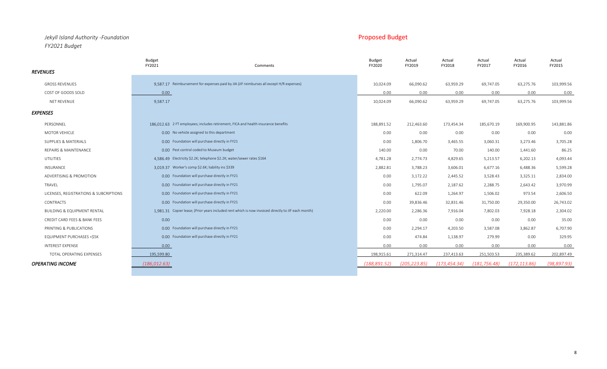### *Jekyll Island Authority -Foundation* Proposed Budget *FY2021 Budget*

|                                        | <b>Budget</b><br>FY2021                            | Comments                                                                                            | <b>Budget</b><br>FY2020 | Actual<br>FY2019 | Actual<br>FY2018 | Actual<br>FY2017 | Actual<br>FY2016 | Actual<br>FY2015 |
|----------------------------------------|----------------------------------------------------|-----------------------------------------------------------------------------------------------------|-------------------------|------------------|------------------|------------------|------------------|------------------|
| <b>REVENUES</b>                        |                                                    |                                                                                                     |                         |                  |                  |                  |                  |                  |
| <b>GROSS REVENUES</b>                  |                                                    | 9.587.17 Reimbursement for expenses paid by JIA (JIF reimburses all except H/R expenses)            | 10,024.09               | 66,090.62        | 63,959.29        | 69,747.05        | 63,275.76        | 103,999.56       |
| COST OF GOODS SOLD                     | 0.00                                               |                                                                                                     | 0.00                    | 0.00             | 0.00             | 0.00             | 0.00             | 0.00             |
| NET REVENUE                            | 9,587.17                                           |                                                                                                     | 10,024.09               | 66,090.62        | 63,959.29        | 69,747.05        | 63,275.76        | 103,999.56       |
| <b>EXPENSES</b>                        |                                                    |                                                                                                     |                         |                  |                  |                  |                  |                  |
| PERSONNEL                              |                                                    | 186.012.63 2 FT employees; includes retirement, FICA and health insurance benefits                  | 188,891.52              | 212,463.60       | 173,454.34       | 185,670.19       | 169,900.95       | 143,881.86       |
| <b>MOTOR VEHICLE</b>                   | 0.00 No vehicle assigned to this department        |                                                                                                     | 0.00                    | 0.00             | 0.00             | 0.00             | 0.00             | 0.00             |
| SUPPLIES & MATERIALS                   | 0.00 Foundation will purchase directly in FY21     |                                                                                                     | 0.00                    | 1,806.70         | 3,465.55         | 3,060.31         | 3,273.46         | 3,705.28         |
| <b>REPAIRS &amp; MAINTENANCE</b>       | 0.00 Pest control coded to Museum budget           |                                                                                                     | 140.00                  | 0.00             | 70.00            | 140.00           | 1,441.60         | 86.25            |
| UTILITIES                              |                                                    | 4.586.49 Electricity \$2.2K; telephone \$2.2K; water/sewer rates \$164                              | 4,781.28                | 2,774.73         | 4,829.65         | 5,213.57         | 6,202.13         | 4,093.44         |
| INSURANCE                              | 3.019.37 Worker's comp \$2.6K; liability ins \$339 |                                                                                                     | 2,882.81                | 3,788.23         | 3,606.01         | 6,677.16         | 6,488.36         | 5,599.28         |
| ADVERTISING & PROMOTION                | 0.00 Foundation will purchase directly in FY21     |                                                                                                     | 0.00                    | 3,172.22         | 2,445.52         | 3,528.43         | 3,325.11         | 2,834.00         |
| TRAVEL                                 | 0.00 Foundation will purchase directly in FY21     |                                                                                                     | 0.00                    | 1,795.07         | 2,187.62         | 2,288.75         | 2,643.42         | 3,970.99         |
| LICENSES, REGISTRATIONS & SUBCRIPTIONS | 0.00 Foundation will purchase directly in FY21     |                                                                                                     | 0.00                    | 622.09           | 1,264.97         | 1,506.02         | 973.54           | 2,606.50         |
| <b>CONTRACTS</b>                       | 0.00 Foundation will purchase directly in FY21     |                                                                                                     | 0.00                    | 39,836.46        | 32,831.46        | 31,750.00        | 29,350.00        | 26,743.02        |
| <b>BUILDING &amp; EQUIPMENT RENTAL</b> |                                                    | 1.981.31 Copier lease; (Prior years included rent which is now invoiced directly to JIF each month) | 2,220.00                | 2,286.36         | 7,916.04         | 7,802.03         | 7,928.18         | 2,304.02         |
| CREDIT CARD FEES & BANK FEES           | 0.00                                               |                                                                                                     | 0.00                    | 0.00             | 0.00             | 0.00             | 0.00             | 35.00            |
| PRINTING & PUBLICATIONS                | 0.00 Foundation will purchase directly in FY21     |                                                                                                     | 0.00                    | 2,294.17         | 4,203.50         | 3,587.08         | 3,862.87         | 6,707.90         |
| EQUIPMENT PURCHASES <\$5K              | 0.00 Foundation will purchase directly in FY21     |                                                                                                     | 0.00                    | 474.84           | 1,138.97         | 279.99           | 0.00             | 329.95           |
| <b>INTEREST EXPENSE</b>                | 0.00                                               |                                                                                                     | 0.00                    | 0.00             | 0.00             | 0.00             | 0.00             | 0.00             |
| TOTAL OPERATING EXPENSES               | 195,599.80                                         |                                                                                                     | 198,915.61              | 271,314.47       | 237,413.63       | 251,503.53       | 235,389.62       | 202,897.49       |
| <b>OPERATING INCOME</b>                | (186, 012.63)                                      |                                                                                                     | (188, 891.52)           | (205, 223.85)    | (173, 454, 34)   | (181, 756.48)    | (172.113.86)     | (98, 897.93)     |
|                                        |                                                    |                                                                                                     |                         |                  |                  |                  |                  |                  |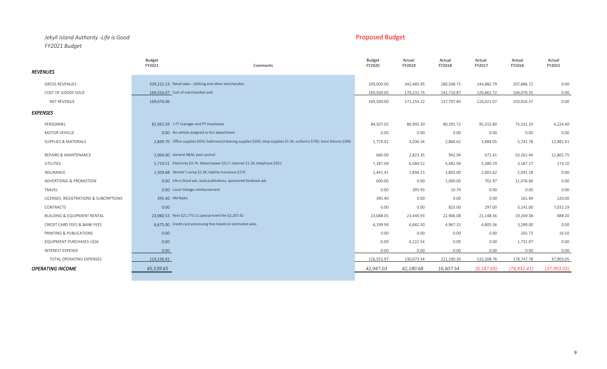## *Jekyll Island Authority -Life is Good* Proposed Budget *FY2021 Budget*

|                                        | <b>Budget</b><br>FY2021<br>Comments                                                                                          | <b>Budget</b><br>FY2020 | Actual<br>FY2019 | Actual<br>FY2018 | Actual<br>FY2017 | Actual<br>FY2016 | Actual<br>FY2015 |
|----------------------------------------|------------------------------------------------------------------------------------------------------------------------------|-------------------------|------------------|------------------|------------------|------------------|------------------|
| <b>REVENUES</b>                        |                                                                                                                              |                         |                  |                  |                  |                  |                  |
| <b>GROSS REVENUES</b>                  | 339.232.13 Retail sales - clothing and other merchandise                                                                     | 339,000.00              | 342,485.95       | 280,508.71       | 244,882.79       | 207,886.72       | 0.00             |
| COST OF GOODS SOLD                     | 169.556.07 Cost of merchandise sold                                                                                          | 169,500.00              | 170,231.73       | 142,710.87       | 120,861.72       | 104,070.35       | 0.00             |
| NET REVENUE                            | 169,676.06                                                                                                                   | 169,500.00              | 172,254.22       | 137,797.84       | 124,021.07       | 103,816.37       | 0.00             |
| <b>EXPENSES</b>                        |                                                                                                                              |                         |                  |                  |                  |                  |                  |
| PERSONNEL                              | 81,942.59 1 FT manager and PT employees                                                                                      | 84,507.02               | 80,993.30        | 80,391.71        | 95,315.80        | 75,531.33        | 4,224.40         |
| MOTOR VEHICLE                          | 0.00 No vehicle assigned to this department                                                                                  | 0.00                    | 0.00             | 0.00             | 0.00             | 0.00             | 0.00             |
| SUPPLIES & MATERIALS                   | 2,849.70 Office supplies \$450; bathroom/cleaning supplies \$100; shop supplies \$1.3K; uniforms \$700; store fixtures \$300 | 1,774.01                | 3,036.34         | 2,860.62         | 3,884.05         | 5,741.78         | 12,981.91        |
| REPAIRS & MAINTENANCE                  | 1,064.00 General R&M, pest control                                                                                           | 660.00                  | 2,823.35         | 942.94           | 672.41           | 53,261.44        | 12,865.75        |
| UTILITIES                              | 5.719.51 Electricity \$3.7K; Water/sewer \$517; internet \$1.2K; telephone \$351                                             | 7,287.09                | 6,584.52         | 5,482.94         | 3,380.79         | 3,187.17         | 174.10           |
| <b>INSURANCE</b>                       | 1,509.68 Worker's comp \$1.3K; liability insurance \$170                                                                     | 1,441.41                | 1,894.13         | 1,803.00         | 2,001.62         | 2,091.28         | 0.00             |
| ADVERTISING & PROMOTION                | 0.00 Life is Good ads, local publicatons, sponsored facebook ads                                                             | 600.00                  | 0.00             | 1,000.00         | 702.97           | 11,076.66        | 0.00             |
| TRAVEL                                 | 0.00 Local mileage reimbursement                                                                                             | 0.00                    | 395.93           | 10.70            | 0.00             | 0.00             | 0.00             |
| LICENSES, REGISTRATIONS & SUBCRIPTIONS | 395.40 XM Radio                                                                                                              | 395.40                  | 0.00             | 0.00             | 0.00             | 161.94           | 120.00           |
| <b>CONTRACTS</b>                       | 0.00                                                                                                                         | 0.00                    | 0.00             | 825.00           | 297.00           | 3,141.00         | 7,032.19         |
| <b>BUILDING &amp; EQUIPMENT RENTAL</b> | 23,980.53 Rent \$21,773.11; special event fee \$2,207.42                                                                     | 23,688.05               | 23,440.93        | 22,906.08        | 21,148.56        | 19,269.38        | 488.20           |
| CREDIT CARD FEES & BANK FEES           | 6.675.00 Credit card processing fees based on estimated sales                                                                | 6,199.99                | 6,682.50         | 4,967.31         | 4,805.56         | 3,289.00         | 0.00             |
| PRINTING & PUBLICATIONS                | 0.00                                                                                                                         | 0.00                    | 0.00             | 0.00             | 0.00             | 265.73           | 16.50            |
| EQUIPMENT PURCHASES <\$5K              | 0.00                                                                                                                         | 0.00                    | 4,222.54         | 0.00             | 0.00             | 1,731.07         | 0.00             |
| INTEREST EXPENSE                       | 0.00                                                                                                                         | 0.00                    | 0.00             | 0.00             | 0.00             | 0.00             | 0.00             |
| TOTAL OPERATING EXPENSES               | 124,136.41                                                                                                                   | 126,552.97              | 130,073.54       | 121,190.30       | 132,208.76       | 178,747.78       | 37,903.05        |
| <b>OPERATING INCOME</b>                | 45,539.65                                                                                                                    | 42,947.03               | 42,180.68        | 16,607.54        | (8, 187.69)      | (74, 931.41)     | (37, 903.05)     |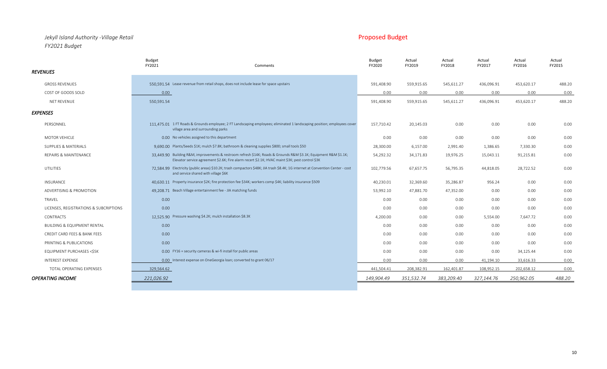## *Jekyll Island Authority -Village Retail* Proposed Budget *FY2021 Budget*

|                                        | <b>Budget</b><br>FY2021                      | Comments                                                                                                                                                                                                            | <b>Budget</b><br>FY2020 | Actual<br>FY2019 | Actual<br>FY2018 | Actual<br>FY2017 | Actual<br>FY2016 | Actual<br>FY2015 |
|----------------------------------------|----------------------------------------------|---------------------------------------------------------------------------------------------------------------------------------------------------------------------------------------------------------------------|-------------------------|------------------|------------------|------------------|------------------|------------------|
| <i><b>REVENUES</b></i>                 |                                              |                                                                                                                                                                                                                     |                         |                  |                  |                  |                  |                  |
| <b>GROSS REVENUES</b>                  |                                              | 550.591.54 Lease revenue from retail shops, does not include lease for space upstairs                                                                                                                               | 591,408.90              | 559,915.65       | 545,611.27       | 436,096.91       | 453,620.17       | 488.20           |
| COST OF GOODS SOLD                     | 0.00                                         |                                                                                                                                                                                                                     | 0.00                    | 0.00             | 0.00             | 0.00             | 0.00             | 0.00             |
| NET REVENUE                            | 550,591.54                                   |                                                                                                                                                                                                                     | 591,408.90              | 559,915.65       | 545,611.27       | 436,096.91       | 453,620.17       | 488.20           |
| EXPENSES                               |                                              |                                                                                                                                                                                                                     |                         |                  |                  |                  |                  |                  |
| PERSONNEL                              | village area and surrounding parks           | 111.475.01 1 FT Roads & Grounds employee; 2 FT Landscaping employees; eliminated 1 landscaping position; employees cover                                                                                            | 157,710.42              | 20,145.03        | 0.00             | 0.00             | 0.00             | 0.00             |
| MOTOR VEHICLE                          | 0.00 No vehicles assigned to this department |                                                                                                                                                                                                                     | 0.00                    | 0.00             | 0.00             | 0.00             | 0.00             | 0.00             |
| SUPPLIES & MATERIALS                   |                                              | 9,690.00 Plants/Seeds \$1K; mulch \$7.8K; bathroom & cleaning supplies \$800; small tools \$50                                                                                                                      | 28,300.00               | 6,157.00         | 2,991.40         | 1,386.65         | 7,330.30         | 0.00             |
| REPAIRS & MAINTENANCE                  |                                              | 33,449.90 Building R&M, improvements & restroom refresh \$14K; Roads & Grounds R&M \$3.1K; Equipment R&M \$1.1K;<br>Elevator service agreement \$2.6K; Fire alarm recert \$2.1K; HVAC maint \$3K; pest control \$3K | 54,292.32               | 34,171.83        | 19,976.25        | 15,043.11        | 91,215.81        | 0.00             |
| UTILITIES                              | and service shared with village \$6K         | 72.584.99 Electricity (public areas) \$10.2K; trash compactors \$48K; JIA trash \$8.4K; 1G internet at Convention Center - cost                                                                                     | 102,779.56              | 67,657.75        | 56,795.35        | 44,818.05        | 28,722.52        | 0.00             |
| <b>INSURANCE</b>                       |                                              | 40.630.11 Property insurance \$2K; fire protection fee \$34K; workers comp \$4K; liability insurance \$509                                                                                                          | 40,230.01               | 32,369.60        | 35,286.87        | 956.24           | 0.00             | 0.00             |
| ADVERTISING & PROMOTION                |                                              | 49.208.71 Beach Village entertainment fee - JIA matching funds                                                                                                                                                      | 53,992.10               | 47,881.70        | 47,352.00        | 0.00             | 0.00             | 0.00             |
| TRAVEL                                 | 0.00                                         |                                                                                                                                                                                                                     | 0.00                    | 0.00             | 0.00             | 0.00             | 0.00             | 0.00             |
| LICENSES, REGISTRATIONS & SUBCRIPTIONS | 0.00                                         |                                                                                                                                                                                                                     | 0.00                    | 0.00             | 0.00             | 0.00             | 0.00             | 0.00             |
| CONTRACTS                              |                                              | 12.525.90 Pressure washing \$4.2K; mulch installation \$8.3K                                                                                                                                                        | 4,200.00                | 0.00             | 0.00             | 5,554.00         | 7,647.72         | 0.00             |
| <b>BUILDING &amp; EQUIPMENT RENTAL</b> | 0.00                                         |                                                                                                                                                                                                                     | 0.00                    | 0.00             | 0.00             | 0.00             | 0.00             | 0.00             |
| CREDIT CARD FEES & BANK FEES           | 0.00                                         |                                                                                                                                                                                                                     | 0.00                    | 0.00             | 0.00             | 0.00             | 0.00             | 0.00             |
| PRINTING & PUBLICATIONS                | 0.00                                         |                                                                                                                                                                                                                     | 0.00                    | 0.00             | 0.00             | 0.00             | 0.00             | 0.00             |
| <b>EQUIPMENT PURCHASES &lt;\$5K</b>    |                                              | 0.00 FY16 = security cameras & wi-fi install for public areas                                                                                                                                                       | 0.00                    | 0.00             | 0.00             | 0.00             | 34,125.44        | 0.00             |
| <b>INTEREST EXPENSE</b>                |                                              | 0.00 Interest expense on OneGeorgia loan; converted to grant 06/17                                                                                                                                                  | 0.00                    | 0.00             | 0.00             | 41,194.10        | 33,616.33        | 0.00             |
| TOTAL OPERATING EXPENSES               | 329,564.62                                   |                                                                                                                                                                                                                     | 441,504.41              | 208,382.91       | 162,401.87       | 108,952.15       | 202,658.12       | 0.00             |
| OPERATING INCOME                       | 221,026.92                                   |                                                                                                                                                                                                                     | 149,904.49              | 351,532.74       | 383,209.40       | 327,144.76       | 250,962.05       | 488.20           |
|                                        |                                              |                                                                                                                                                                                                                     |                         |                  |                  |                  |                  |                  |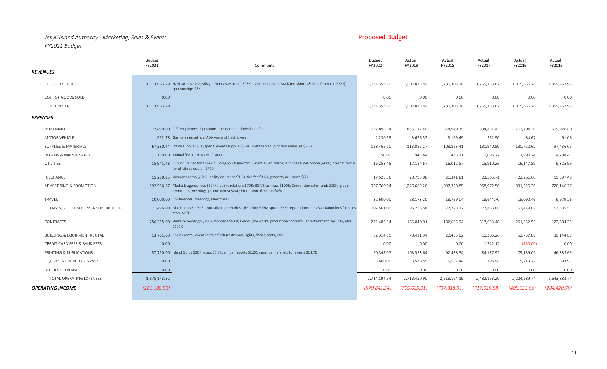## *Jekyll Island Authority - Marketing, Sales & Events* Proposed Budget *FY2021 Budget*

|                                        | Budget<br>FY2021<br>Comments                                                                                                                                                                    | <b>Budget</b><br>FY2020 | Actual<br>FY2019 | Actual<br>FY2018 | Actual<br>FY2017 | Actual<br>FY2016 | Actual<br>FY2015 |
|----------------------------------------|-------------------------------------------------------------------------------------------------------------------------------------------------------------------------------------------------|-------------------------|------------------|------------------|------------------|------------------|------------------|
| <b>REVENUES</b>                        |                                                                                                                                                                                                 |                         |                  |                  |                  |                  |                  |
| <b>GROSS REVENUES</b>                  | 1,713,963.29 H/M taxes \$2.2M; Village event assessment \$98K; event admissions \$40K (no Shrimp & Grits festival in FY21);<br>sponsorships \$8K                                                | 2,134,353.20            | 2,007,825.59     | 1,780,305.28     | 1,765,133.62     | 1,815,656.78     | 1,359,462.95     |
| COST OF GOODS SOLD                     | 0.00                                                                                                                                                                                            | 0.00                    | 0.00             | 0.00             | 0.00             | 0.00             | 0.00             |
| <b>NET REVENUE</b>                     | 1,713,963.29                                                                                                                                                                                    | 2,134,353.20            | 2,007,825.59     | 1,780,305.28     | 1,765,133.62     | 1,815,656.78     | 1,359,462.95     |
| <b>EXPENSES</b>                        |                                                                                                                                                                                                 |                         |                  |                  |                  |                  |                  |
| PERSONNEL                              | 772.490.00 9 FT employees; 2 positions eliminated; includes benefits                                                                                                                            | 932,895.74              | 836,112.40       | 878,949.75       | 834,831.43       | 762,704.36       | 519,926.80       |
| <b>MOTOR VEHICLE</b>                   | 1.992.78 Gas for sales vehicle, ADA van and Electric van                                                                                                                                        | 2,230.59                | 3,676.52         | 3,169.49         | 252.90           | 84.67            | 61.06            |
| SUPPLIES & MATERIALS                   | 67,380.44 Office supplies \$2K; special events supplies \$59K; postage \$3K; program materials \$3.2K                                                                                           | 158,466.10              | 113,082.27       | 108,823.41       | 131,940.50       | 130,722.62       | 97,436.05        |
| REPAIRS & MAINTENANCE                  | 150.00 Annual fire alarm recertification                                                                                                                                                        | 150.00                  | 945.84           | 435.11           | 1,096.72         | 1,990.24         | 4,798.42         |
| <b>UTILITIES</b>                       | 15.941.48 25% of utilities for Annex building \$5.4K (electric, water/sewer, trash); landlines & cell phone \$9.8K; internet reimb<br>for offsite sales staff \$720                             | 16,258.45               | 17,184.67        | 16,012.87        | 15,910.26        | 16,147.59        | 9,825.99         |
| INSURANCE                              | 15.260.25 Worker's comp \$12K; liability insurance \$1.5K; fire fee \$1.6K; property insurance \$88                                                                                             | 17,528.56               | 20,795.08        | 21,341.81        | 23,595.71        | 22,261.60        | 19,597.48        |
| ADVERTISING & PROMOTION                | 592,566.87 Media & agency fees \$324K; public relations \$70K; BGIVB contract \$100K; Convention sales funds \$29K; group<br>promotion (meetings, promo items) \$24K; Promotion of events \$45K | 997,760.04              | 1,246,669.20     | 1,097,320.85     | 958,972.56       | 831,626.36       | 720,146.27       |
| TRAVEL                                 | 10,000.00 Conferences, meetings, sales travel                                                                                                                                                   | 32,600.00               | 28,173.20        | 18,759.04        | 18,644.70        | 18,090.46        | 9,979.26         |
| LICENSES, REGISTRATIONS & SUBCRIPTIONS | 71.496.00 Mail Chimp \$10K; Sprout \$6K; trademark \$10K; Cision \$13K; Sprout \$6K; registrations and association fees for sales<br>team \$27K                                                 | 107,561.00              | 96,256.58        | 72,228.12        | 77,883.68        | 52,449.07        | 53,385.57        |
| <b>CONTRACTS</b>                       | 256,355.00 Website re-design \$100K, NuSpace \$9.6K; Events (fire works, production contracts, entertainment, security, etc)<br>\$131K                                                          | 272,482.14              | 165,040.01       | 182,655.94       | 317,653.46       | 251,552.55       | 122,604.35       |
| <b>BUILDING &amp; EQUIPMENT RENTAL</b> | 13.761.00 Copier rental; event rentals \$11K (restrooms, lights, chairs, tents, etc)                                                                                                            | 82,314.85               | 78,421.94        | 20,435.02        | 15,305.26        | 52,757.86        | 39,144.87        |
| CREDIT CARD FEES & BANK FEES           | 0.00                                                                                                                                                                                            | 0.00                    | 0.00             | 0.00             | 1,742.12         | (450.00)         | 0.00             |
| PRINTING & PUBLICATIONS                | 57,750.00 Island Guide \$30K, maps \$5.3K; annual reports \$2.2K; signs, banners, etc for events \$14.7K                                                                                        | 90,347.07               | 103,553.64       | 92,438.34        | 84,137.92        | 79,139.09        | 46,383.69        |
| EQUIPMENT PURCHASES <\$5K              | 0.00                                                                                                                                                                                            | 3,600.00                | 3,539.55         | 5,554.44         | 195.98           | 5,213.27         | 593.93           |
| <b>INTEREST EXPENSE</b>                | 0.00                                                                                                                                                                                            | 0.00                    | 0.00             | 0.00             | 0.00             | 0.00             | 0.00             |
| TOTAL OPERATING EXPENSES               | 1,875,143.82                                                                                                                                                                                    | 2,714,194.54            | 2,713,450.90     | 2,518,124.19     | 2,482,163.20     | 2,224,289.74     | 1,643,883.74     |
| <b>OPERATING INCOME</b>                | (161.180.53)                                                                                                                                                                                    | (579.841.34)            | (705.625.31)     | (737.818.91)     | (717.029.58)     | (408.632.96)     | (284.420.79)     |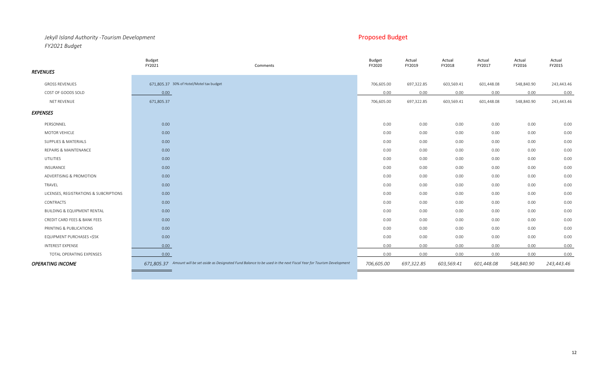## *Jekyll Island Authority -Tourism Development* Proposed Budget Proposed Budget *FY2021 Budget*

| 671,805.37 30% of Hotel/Motel tax budget<br><b>GROSS REVENUES</b><br>697,322.85<br>706,605.00<br>603,569.41<br>601,448.08<br>548,840.90<br>243,443.46<br>COST OF GOODS SOLD<br>0.00<br>0.00<br>0.00<br>0.00<br>0.00<br>0.00<br>0.00<br>671,805.37<br>697,322.85<br>NET REVENUE<br>603,569.41<br>601,448.08<br>548,840.90<br>243,443.46<br>706,605.00<br><b>EXPENSES</b><br>PERSONNEL<br>0.00<br>0.00<br>0.00<br>0.00<br>0.00<br>0.00<br>0.00<br>0.00<br>MOTOR VEHICLE<br>0.00<br>0.00<br>0.00<br>0.00<br>0.00<br>0.00<br>SUPPLIES & MATERIALS<br>0.00<br>0.00<br>0.00<br>0.00<br>0.00<br>0.00<br>0.00<br>0.00<br>0.00<br>REPAIRS & MAINTENANCE<br>0.00<br>0.00<br>0.00<br>0.00<br>0.00<br>0.00<br>UTILITIES<br>0.00<br>0.00<br>0.00<br>0.00<br>0.00<br>0.00<br>0.00<br>INSURANCE<br>0.00<br>0.00<br>0.00<br>0.00<br>0.00<br>0.00<br>0.00<br>ADVERTISING & PROMOTION<br>0.00<br>0.00<br>0.00<br>0.00<br>0.00<br>0.00<br>TRAVEL<br>0.00<br>0.00<br>0.00<br>0.00<br>0.00<br>0.00<br>0.00<br>0.00<br>LICENSES, REGISTRATIONS & SUBCRIPTIONS<br>0.00<br>0.00<br>0.00<br>0.00<br>0.00<br>0.00<br>0.00<br>CONTRACTS<br>0.00<br>0.00<br>0.00<br>0.00<br>0.00<br>0.00<br><b>BUILDING &amp; EQUIPMENT RENTAL</b><br>0.00<br>0.00<br>0.00<br>0.00<br>0.00<br>0.00<br>0.00<br>CREDIT CARD FEES & BANK FEES<br>0.00<br>0.00<br>0.00<br>0.00<br>0.00<br>0.00<br>0.00<br>0.00<br>PRINTING & PUBLICATIONS<br>0.00<br>0.00<br>0.00<br>0.00<br>0.00<br>0.00<br><b>EQUIPMENT PURCHASES &lt;\$5K</b><br>0.00<br>0.00<br>0.00<br>0.00<br>0.00<br>0.00<br>0.00<br>INTEREST EXPENSE<br>0.00<br>0.00<br>0.00<br>0.00<br>0.00<br>0.00<br>0.00<br>0.00<br>0.00<br>0.00<br>0.00<br>TOTAL OPERATING EXPENSES<br>0.00<br>0.00<br>0.00<br>671,805.37 Amount will be set aside as Designated Fund Balance to be used in the next Fiscal Year for Tourism Development<br>706,605.00<br>697,322.85<br>603,569.41<br>601,448.08<br>548,840.90<br><b>OPERATING INCOME</b><br>243,443.46 |                 | <b>Budget</b><br>FY2021 | Comments | <b>Budget</b><br>FY2020 | Actual<br>FY2019 | Actual<br>FY2018 | Actual<br>FY2017 | Actual<br>FY2016 | Actual<br>FY2015 |
|------------------------------------------------------------------------------------------------------------------------------------------------------------------------------------------------------------------------------------------------------------------------------------------------------------------------------------------------------------------------------------------------------------------------------------------------------------------------------------------------------------------------------------------------------------------------------------------------------------------------------------------------------------------------------------------------------------------------------------------------------------------------------------------------------------------------------------------------------------------------------------------------------------------------------------------------------------------------------------------------------------------------------------------------------------------------------------------------------------------------------------------------------------------------------------------------------------------------------------------------------------------------------------------------------------------------------------------------------------------------------------------------------------------------------------------------------------------------------------------------------------------------------------------------------------------------------------------------------------------------------------------------------------------------------------------------------------------------------------------------------------------------------------------------------------------------------------------------------------------------------------------------------------------------------------------------------|-----------------|-------------------------|----------|-------------------------|------------------|------------------|------------------|------------------|------------------|
|                                                                                                                                                                                                                                                                                                                                                                                                                                                                                                                                                                                                                                                                                                                                                                                                                                                                                                                                                                                                                                                                                                                                                                                                                                                                                                                                                                                                                                                                                                                                                                                                                                                                                                                                                                                                                                                                                                                                                      | <b>REVENUES</b> |                         |          |                         |                  |                  |                  |                  |                  |
|                                                                                                                                                                                                                                                                                                                                                                                                                                                                                                                                                                                                                                                                                                                                                                                                                                                                                                                                                                                                                                                                                                                                                                                                                                                                                                                                                                                                                                                                                                                                                                                                                                                                                                                                                                                                                                                                                                                                                      |                 |                         |          |                         |                  |                  |                  |                  |                  |
|                                                                                                                                                                                                                                                                                                                                                                                                                                                                                                                                                                                                                                                                                                                                                                                                                                                                                                                                                                                                                                                                                                                                                                                                                                                                                                                                                                                                                                                                                                                                                                                                                                                                                                                                                                                                                                                                                                                                                      |                 |                         |          |                         |                  |                  |                  |                  |                  |
|                                                                                                                                                                                                                                                                                                                                                                                                                                                                                                                                                                                                                                                                                                                                                                                                                                                                                                                                                                                                                                                                                                                                                                                                                                                                                                                                                                                                                                                                                                                                                                                                                                                                                                                                                                                                                                                                                                                                                      |                 |                         |          |                         |                  |                  |                  |                  |                  |
|                                                                                                                                                                                                                                                                                                                                                                                                                                                                                                                                                                                                                                                                                                                                                                                                                                                                                                                                                                                                                                                                                                                                                                                                                                                                                                                                                                                                                                                                                                                                                                                                                                                                                                                                                                                                                                                                                                                                                      |                 |                         |          |                         |                  |                  |                  |                  |                  |
|                                                                                                                                                                                                                                                                                                                                                                                                                                                                                                                                                                                                                                                                                                                                                                                                                                                                                                                                                                                                                                                                                                                                                                                                                                                                                                                                                                                                                                                                                                                                                                                                                                                                                                                                                                                                                                                                                                                                                      |                 |                         |          |                         |                  |                  |                  |                  |                  |
|                                                                                                                                                                                                                                                                                                                                                                                                                                                                                                                                                                                                                                                                                                                                                                                                                                                                                                                                                                                                                                                                                                                                                                                                                                                                                                                                                                                                                                                                                                                                                                                                                                                                                                                                                                                                                                                                                                                                                      |                 |                         |          |                         |                  |                  |                  |                  |                  |
|                                                                                                                                                                                                                                                                                                                                                                                                                                                                                                                                                                                                                                                                                                                                                                                                                                                                                                                                                                                                                                                                                                                                                                                                                                                                                                                                                                                                                                                                                                                                                                                                                                                                                                                                                                                                                                                                                                                                                      |                 |                         |          |                         |                  |                  |                  |                  |                  |
|                                                                                                                                                                                                                                                                                                                                                                                                                                                                                                                                                                                                                                                                                                                                                                                                                                                                                                                                                                                                                                                                                                                                                                                                                                                                                                                                                                                                                                                                                                                                                                                                                                                                                                                                                                                                                                                                                                                                                      |                 |                         |          |                         |                  |                  |                  |                  |                  |
|                                                                                                                                                                                                                                                                                                                                                                                                                                                                                                                                                                                                                                                                                                                                                                                                                                                                                                                                                                                                                                                                                                                                                                                                                                                                                                                                                                                                                                                                                                                                                                                                                                                                                                                                                                                                                                                                                                                                                      |                 |                         |          |                         |                  |                  |                  |                  |                  |
|                                                                                                                                                                                                                                                                                                                                                                                                                                                                                                                                                                                                                                                                                                                                                                                                                                                                                                                                                                                                                                                                                                                                                                                                                                                                                                                                                                                                                                                                                                                                                                                                                                                                                                                                                                                                                                                                                                                                                      |                 |                         |          |                         |                  |                  |                  |                  |                  |
|                                                                                                                                                                                                                                                                                                                                                                                                                                                                                                                                                                                                                                                                                                                                                                                                                                                                                                                                                                                                                                                                                                                                                                                                                                                                                                                                                                                                                                                                                                                                                                                                                                                                                                                                                                                                                                                                                                                                                      |                 |                         |          |                         |                  |                  |                  |                  |                  |
|                                                                                                                                                                                                                                                                                                                                                                                                                                                                                                                                                                                                                                                                                                                                                                                                                                                                                                                                                                                                                                                                                                                                                                                                                                                                                                                                                                                                                                                                                                                                                                                                                                                                                                                                                                                                                                                                                                                                                      |                 |                         |          |                         |                  |                  |                  |                  |                  |
|                                                                                                                                                                                                                                                                                                                                                                                                                                                                                                                                                                                                                                                                                                                                                                                                                                                                                                                                                                                                                                                                                                                                                                                                                                                                                                                                                                                                                                                                                                                                                                                                                                                                                                                                                                                                                                                                                                                                                      |                 |                         |          |                         |                  |                  |                  |                  |                  |
|                                                                                                                                                                                                                                                                                                                                                                                                                                                                                                                                                                                                                                                                                                                                                                                                                                                                                                                                                                                                                                                                                                                                                                                                                                                                                                                                                                                                                                                                                                                                                                                                                                                                                                                                                                                                                                                                                                                                                      |                 |                         |          |                         |                  |                  |                  |                  |                  |
|                                                                                                                                                                                                                                                                                                                                                                                                                                                                                                                                                                                                                                                                                                                                                                                                                                                                                                                                                                                                                                                                                                                                                                                                                                                                                                                                                                                                                                                                                                                                                                                                                                                                                                                                                                                                                                                                                                                                                      |                 |                         |          |                         |                  |                  |                  |                  |                  |
|                                                                                                                                                                                                                                                                                                                                                                                                                                                                                                                                                                                                                                                                                                                                                                                                                                                                                                                                                                                                                                                                                                                                                                                                                                                                                                                                                                                                                                                                                                                                                                                                                                                                                                                                                                                                                                                                                                                                                      |                 |                         |          |                         |                  |                  |                  |                  |                  |
|                                                                                                                                                                                                                                                                                                                                                                                                                                                                                                                                                                                                                                                                                                                                                                                                                                                                                                                                                                                                                                                                                                                                                                                                                                                                                                                                                                                                                                                                                                                                                                                                                                                                                                                                                                                                                                                                                                                                                      |                 |                         |          |                         |                  |                  |                  |                  |                  |
|                                                                                                                                                                                                                                                                                                                                                                                                                                                                                                                                                                                                                                                                                                                                                                                                                                                                                                                                                                                                                                                                                                                                                                                                                                                                                                                                                                                                                                                                                                                                                                                                                                                                                                                                                                                                                                                                                                                                                      |                 |                         |          |                         |                  |                  |                  |                  |                  |
|                                                                                                                                                                                                                                                                                                                                                                                                                                                                                                                                                                                                                                                                                                                                                                                                                                                                                                                                                                                                                                                                                                                                                                                                                                                                                                                                                                                                                                                                                                                                                                                                                                                                                                                                                                                                                                                                                                                                                      |                 |                         |          |                         |                  |                  |                  |                  |                  |
|                                                                                                                                                                                                                                                                                                                                                                                                                                                                                                                                                                                                                                                                                                                                                                                                                                                                                                                                                                                                                                                                                                                                                                                                                                                                                                                                                                                                                                                                                                                                                                                                                                                                                                                                                                                                                                                                                                                                                      |                 |                         |          |                         |                  |                  |                  |                  |                  |
|                                                                                                                                                                                                                                                                                                                                                                                                                                                                                                                                                                                                                                                                                                                                                                                                                                                                                                                                                                                                                                                                                                                                                                                                                                                                                                                                                                                                                                                                                                                                                                                                                                                                                                                                                                                                                                                                                                                                                      |                 |                         |          |                         |                  |                  |                  |                  |                  |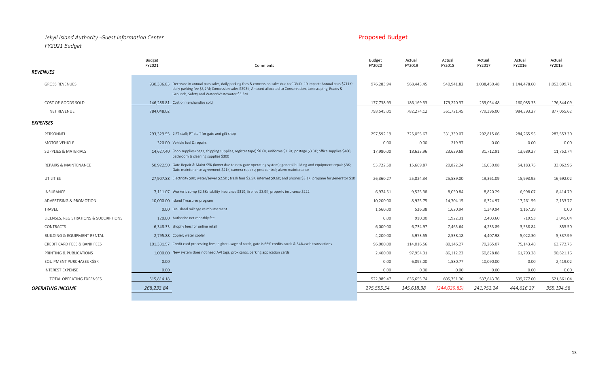## *Jekyll Island Authority -Guest Information Center* Proposed Budget Proposed Budget *FY2021 Budget*

|                                        | <b>Budget</b><br>FY2021                                | Comments                                                                                                                                                                                                                                                                                | <b>Budget</b><br>FY2020 | Actual<br>FY2019 | Actual<br>FY2018 | Actual<br>FY2017 | Actual<br>FY2016 | Actual<br>FY2015 |
|----------------------------------------|--------------------------------------------------------|-----------------------------------------------------------------------------------------------------------------------------------------------------------------------------------------------------------------------------------------------------------------------------------------|-------------------------|------------------|------------------|------------------|------------------|------------------|
| <b>REVENUES</b>                        |                                                        |                                                                                                                                                                                                                                                                                         |                         |                  |                  |                  |                  |                  |
| <b>GROSS REVENUES</b>                  |                                                        | 930.336.83 Decrease in annual pass sales, daily parking fees & concession sales due to COVID-19 impact; Annual pass \$711K;<br>daily parking fee \$3,2M; Concession sales \$293K; Amount allocated to Conservation, Landscaping, Roads &<br>Grounds, Safety and Water/Wastewater \$3.3M | 976,283.94              | 968,443.45       | 540,941.82       | 1,038,450.48     | 1,144,478.60     | 1,053,899.71     |
| COST OF GOODS SOLD                     | 146.288.81 Cost of merchandise sold                    |                                                                                                                                                                                                                                                                                         | 177,738.93              | 186,169.33       | 179,220.37       | 259,054.48       | 160,085.33       | 176,844.09       |
| <b>NET REVENUE</b>                     | 784,048.02                                             |                                                                                                                                                                                                                                                                                         | 798,545.01              | 782,274.12       | 361,721.45       | 779,396.00       | 984,393.27       | 877,055.62       |
| <b>EXPENSES</b>                        |                                                        |                                                                                                                                                                                                                                                                                         |                         |                  |                  |                  |                  |                  |
| PERSONNEL                              | 293.329.55 2 FT staff; PT staff for gate and gift shop |                                                                                                                                                                                                                                                                                         | 297,592.19              | 325,055.67       | 331,339.07       | 292,815.06       | 284,265.55       | 283,553.30       |
| <b>MOTOR VEHICLE</b>                   | 320.00 Vehicle fuel & repairs                          |                                                                                                                                                                                                                                                                                         | 0.00                    | 0.00             | 219.97           | 0.00             | 0.00             | 0.00             |
| SUPPLIES & MATERIALS                   | bathroom & cleaning supplies \$300                     | 14,627.40 Shop supplies (bags, shipping supplies, register tape) \$8.6K; uniforms \$1.2K; postage \$3.3K; office supplies \$480;                                                                                                                                                        | 17,980.00               | 18,633.96        | 23,639.69        | 31,712.91        | 13,689.27        | 11,752.74        |
| REPAIRS & MAINTENANCE                  |                                                        | 50.922.50 Gate Repair & Maint \$5K (lower due to new gate operating system); general building and equipment repair \$3K;<br>Gate maintenance agreement \$41K; camera repairs; pest control; alarm maintenance                                                                           | 53,722.50               | 15,669.87        | 20,822.24        | 16,030.08        | 54,183.75        | 33,062.96        |
| UTILITIES                              |                                                        | 27.907.88 Electricity \$9K; water/sewer \$2.5K; trash fees \$2.5K; internet \$9.6K; and phones \$3.1K; propane for generator \$1K                                                                                                                                                       | 26,360.27               | 25,824.34        | 25,589.00        | 19,361.09        | 15,993.95        | 16,692.02        |
| INSURANCE                              |                                                        | 7.111.07 Worker's comp \$2.5K; liability insurance \$319; fire fee \$3.9K; property insurance \$222                                                                                                                                                                                     | 6,974.51                | 9,525.38         | 8,050.84         | 8,820.29         | 6,998.07         | 8,414.79         |
| ADVERTISING & PROMOTION                | 10.000.00 Island Treasures program                     |                                                                                                                                                                                                                                                                                         | 10,200.00               | 8,925.75         | 14,704.15        | 6,324.97         | 17,261.59        | 2,133.77         |
| TRAVEL                                 | 0.00 On-Island mileage reimbursement                   |                                                                                                                                                                                                                                                                                         | 1,560.00                | 536.38           | 1,620.94         | 1,349.94         | 1,167.29         | 0.00             |
| LICENSES, REGISTRATIONS & SUBCRIPTIONS | 120.00 Authorize.net monthly fee                       |                                                                                                                                                                                                                                                                                         | 0.00                    | 910.00           | 1,922.31         | 2,403.60         | 719.53           | 3,045.04         |
| CONTRACTS                              | 6.348.33 shopify fees for online retail                |                                                                                                                                                                                                                                                                                         | 6,000.00                | 6,734.97         | 7,465.64         | 4,233.89         | 3,538.84         | 855.50           |
| <b>BUILDING &amp; EQUIPMENT RENTAL</b> | 2.795.88 Copier; water cooler                          |                                                                                                                                                                                                                                                                                         | 4,200.00                | 5,973.55         | 2,538.18         | 4,407.98         | 5,022.30         | 5,337.99         |
| CREDIT CARD FEES & BANK FEES           |                                                        | 101,331.57 Credit card processing fees; higher usage of cards; gate is 66% credits cards & 34% cash transactions                                                                                                                                                                        | 96,000.00               | 114,016.56       | 80,146.27        | 79,265.07        | 75,143.48        | 63,772.75        |
| PRINTING & PUBLICATIONS                |                                                        | 1,000,00 New system does not need AVI tags, prox cards, parking application cards                                                                                                                                                                                                       | 2,400.00                | 97,954.31        | 86,112.23        | 60,828.88        | 61,793.38        | 90,821.16        |
| EQUIPMENT PURCHASES <\$5K              | 0.00                                                   |                                                                                                                                                                                                                                                                                         | 0.00                    | 6,895.00         | 1,580.77         | 10,090.00        | 0.00             | 2,419.02         |
| INTEREST EXPENSE                       | 0.00                                                   |                                                                                                                                                                                                                                                                                         | 0.00                    | 0.00             | 0.00             | 0.00             | 0.00             | 0.00             |
| TOTAL OPERATING EXPENSES               | 515,814.18                                             |                                                                                                                                                                                                                                                                                         | 522,989.47              | 636,655.74       | 605,751.30       | 537,643.76       | 539,777.00       | 521,861.04       |
| <b>OPERATING INCOME</b>                | 268,233.84                                             |                                                                                                                                                                                                                                                                                         | 275.555.54              | 145,618.38       | (244, 029.85)    | 241,752.24       | 444.616.27       | 355,194.58       |
|                                        |                                                        |                                                                                                                                                                                                                                                                                         |                         |                  |                  |                  |                  |                  |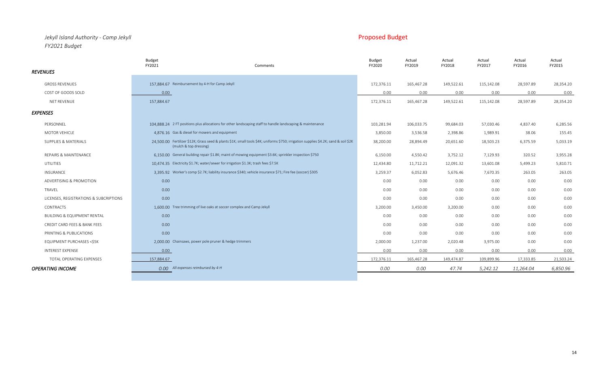## *Jekyll Island Authority - Camp Jekyll* Proposed Budget *FY2021 Budget*

Budget Budget Actual Actual Actual Actual Actual

|                                        | FY2021     | Comments                                                                                                                                                       | FY2020     | FY2019     | FY2018     | FY2017     | FY2016    | FY2015    |
|----------------------------------------|------------|----------------------------------------------------------------------------------------------------------------------------------------------------------------|------------|------------|------------|------------|-----------|-----------|
| <b>REVENUES</b>                        |            |                                                                                                                                                                |            |            |            |            |           |           |
| <b>GROSS REVENUES</b>                  |            | 157.884.67 Reimbursement by 4-H for Camp Jekyll                                                                                                                | 172,376.11 | 165,467.28 | 149,522.61 | 115,142.08 | 28,597.89 | 28,354.20 |
| COST OF GOODS SOLD                     | 0.00       |                                                                                                                                                                | 0.00       | 0.00       | 0.00       | 0.00       | 0.00      | 0.00      |
| NET REVENUE                            | 157,884.67 |                                                                                                                                                                | 172,376.11 | 165,467.28 | 149,522.61 | 115,142.08 | 28,597.89 | 28,354.20 |
| <b>EXPENSES</b>                        |            |                                                                                                                                                                |            |            |            |            |           |           |
| PERSONNEL                              |            | 104.888.24 2 FT positions plus allocations for other landscaping staff to handle landscaping & maintenance                                                     | 103,281.94 | 106,033.75 | 99,684.03  | 57,030.46  | 4,837.40  | 6,285.56  |
| MOTOR VEHICLE                          |            | 4,876.16 Gas & diesel for mowers and equipment                                                                                                                 | 3,850.00   | 3,536.58   | 2,398.86   | 1,989.91   | 38.06     | 155.45    |
| SUPPLIES & MATERIALS                   |            | 24.500.00 Fertilizer \$12K; Grass seed & plants \$1K; small tools \$4K; uniforms \$750; irrigation supplies \$4.2K; sand & soil \$2K<br>(mulch & top dressing) | 38,200.00  | 28,894.49  | 20,651.60  | 18,503.23  | 6,375.59  | 5,033.19  |
| REPAIRS & MAINTENANCE                  |            | 6.150.00 General building repair \$1.8K; maint of mowing equipment \$3.6K; sprinkler inspection \$750                                                          | 6,150.00   | 4,550.42   | 3,752.12   | 7,129.93   | 320.52    | 3,955.28  |
| <b>UTILITIES</b>                       |            | 10.474.35 Electricity \$1.7K; water/sewer for irrigation \$1.3K; trash fees \$7.5K                                                                             | 12,434.80  | 11,712.21  | 12,091.32  | 13,601.08  | 5,499.23  | 5,810.71  |
| INSURANCE                              |            | 3,395.92 Worker's comp \$2.7K; liability insurance \$340; vehicle insurance \$71; Fire fee (soccer) \$305                                                      | 3,259.37   | 6,052.83   | 5,676.46   | 7,670.35   | 263.05    | 263.05    |
| ADVERTISING & PROMOTION                | 0.00       |                                                                                                                                                                | 0.00       | 0.00       | 0.00       | 0.00       | 0.00      | 0.00      |
| TRAVEL                                 | 0.00       |                                                                                                                                                                | 0.00       | 0.00       | 0.00       | 0.00       | 0.00      | 0.00      |
| LICENSES, REGISTRATIONS & SUBCRIPTIONS | 0.00       |                                                                                                                                                                | 0.00       | 0.00       | 0.00       | 0.00       | 0.00      | 0.00      |
| <b>CONTRACTS</b>                       |            | 1.600.00 Tree trimming of live oaks at soccer complex and Camp Jekyll                                                                                          | 3,200.00   | 3,450.00   | 3,200.00   | 0.00       | 0.00      | 0.00      |
| <b>BUILDING &amp; EQUIPMENT RENTAL</b> | 0.00       |                                                                                                                                                                | 0.00       | 0.00       | 0.00       | 0.00       | 0.00      | 0.00      |
| CREDIT CARD FEES & BANK FEES           | 0.00       |                                                                                                                                                                | 0.00       | 0.00       | 0.00       | 0.00       | 0.00      | 0.00      |
| PRINTING & PUBLICATIONS                | 0.00       |                                                                                                                                                                | 0.00       | 0.00       | 0.00       | 0.00       | 0.00      | 0.00      |
| EQUIPMENT PURCHASES <\$5K              |            | 2.000.00 Chainsaws, power pole pruner & hedge trimmers                                                                                                         | 2,000.00   | 1,237.00   | 2,020.48   | 3,975.00   | 0.00      | 0.00      |
| <b>INTEREST EXPENSE</b>                | 0.00       |                                                                                                                                                                | 0.00       | 0.00       | 0.00       | 0.00       | 0.00      | 0.00      |
| TOTAL OPERATING EXPENSES               | 157,884.67 |                                                                                                                                                                | 172,376.11 | 165,467.28 | 149,474.87 | 109,899.96 | 17,333.85 | 21,503.24 |
| <b>OPERATING INCOME</b>                | 0.00       | All expenses reimbursed by 4-H                                                                                                                                 | 0.00       | 0.00       | 47.74      | 5,242.12   | 11,264.04 | 6,850.96  |
|                                        |            |                                                                                                                                                                |            |            |            |            |           |           |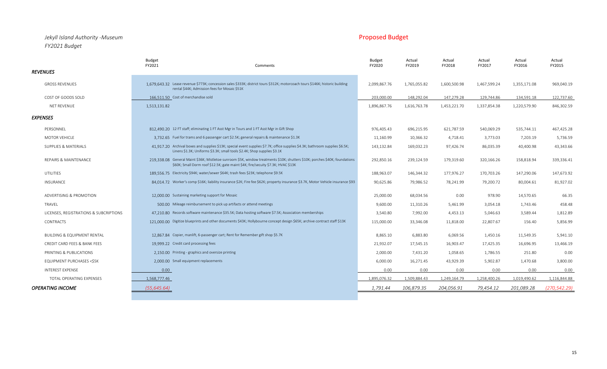### *Jekyll Island Authority -Museum* Proposed Budget *FY2021 Budget*

|                                         | Budget<br>FY2021<br>Comments                                                                                                                                                                                    | <b>Budget</b><br>FY2020 | Actual<br>FY2019 | Actual<br>FY2018 | Actual<br>FY2017 | Actual<br>FY2016 | Actual<br>FY2015 |
|-----------------------------------------|-----------------------------------------------------------------------------------------------------------------------------------------------------------------------------------------------------------------|-------------------------|------------------|------------------|------------------|------------------|------------------|
| <b>REVENUES</b>                         |                                                                                                                                                                                                                 |                         |                  |                  |                  |                  |                  |
| <b>GROSS REVENUES</b>                   | 1,679.643.32 Lease revenue \$773K; concession sales \$333K; district tours \$312K; motorcoach tours \$146K; historic building<br>rental \$44K; Admission fees for Mosaic \$51K                                  | 2,099,867.76            | 1,765,055.82     | 1,600,500.98     | 1,467,599.24     | 1,355,171.08     | 969,040.19       |
| COST OF GOODS SOLD                      | 166.511.50 Cost of merchandise sold                                                                                                                                                                             | 203,000.00              | 148,292.04       | 147,279.28       | 129,744.86       | 134,591.18       | 122,737.60       |
| NET REVENUE                             | 1,513,131.82                                                                                                                                                                                                    | 1,896,867.76            | 1,616,763.78     | 1,453,221.70     | 1,337,854.38     | 1,220,579.90     | 846,302.59       |
| <b>EXPENSES</b>                         |                                                                                                                                                                                                                 |                         |                  |                  |                  |                  |                  |
| PERSONNEL                               | 812,490,20 12 FT staff; eliminating 1 FT Asst Mgr in Tours and 1 FT Asst Mgr in Gift Shop                                                                                                                       | 976,405.43              | 696,215.95       | 621,787.59       | 540,069.29       | 535,744.11       | 467,425.28       |
| <b>MOTOR VEHICLE</b>                    | 3.732.65 Fuel for trams and 6 passenger cart \$2.5K; general repairs & maintenance \$1.3K                                                                                                                       | 11,160.99               | 10,366.32        | 4,718.41         | 3,773.03         | 7,203.19         | 5,736.59         |
| SUPPLIES & MATERIALS                    | 41.917.20 Archival boxes and supplies \$13K; special event supplies \$7.7K; office supplies \$4.3K; bathroom supplies \$6.5K;<br>Linens \$1.3K; Uniforms \$3.3K; small tools \$2.4K; Shop supplies \$3.1K       | 143,132.84              | 169,032.23       | 97,426.74        | 86,035.39        | 40,400.98        | 43,343.66        |
| REPAIRS & MAINTENANCE                   | 219.338.08 General Maint \$36K; Mistletoe sunroom \$5K, window treatments \$10K; shutters \$10K; porches \$40K; foundations<br>\$60K; Small Dorm roof \$12.5K; gate maint \$4K; fire/secuity \$7.3K; HVAC \$13K | 292,850.16              | 239,124.59       | 179,319.60       | 320,166.26       | 158,818.94       | 339,336.41       |
| <b>UTILITIES</b>                        | 189.556.75 Electricity \$94K; water/sewer \$64K; trash fees \$23K; telephone \$9.5K                                                                                                                             | 188,963.07              | 146,344.32       | 177,976.27       | 170,703.26       | 147,290.06       | 147,673.92       |
| INSURANCE                               | 84.014.72 Worker's comp \$16K; liability insurance \$2K; Fire fee \$62K; property insurance \$3.7K, Motor Vehicle insurance \$93                                                                                | 90,625.86               | 79,986.52        | 78,241.99        | 79,200.72        | 80,004.61        | 81,927.02        |
| ADVERTISING & PROMOTION                 | 12,000,00 Sustaining marketing support for Mosaic                                                                                                                                                               | 25,000.00               | 68,034.56        | 0.00             | 978.90           | 14,570.65        | 66.35            |
| TRAVEL                                  | 500.00 Mileage reimbursement to pick up artifacts or attend meetings                                                                                                                                            | 9,600.00                | 11,310.26        | 5,461.99         | 3,054.18         | 1,743.46         | 458.48           |
| LICENSES, REGISTRATIONS & SUBCRIPTIONS  | 47.210.80 Records software maintenance \$35.5K; Data hosting software \$7.5K; Association memberships                                                                                                           | 3,540.80                | 7,992.00         | 4,453.13         | 5,046.63         | 3,589.44         | 1,812.89         |
| <b>CONTRACTS</b>                        | 121,000.00 Digitize blueprints and other documents \$43K; Hollybourne concept design \$65K; archive contract staff \$13K                                                                                        | 115,000.00              | 33,346.08        | 11,818.00        | 22,807.67        | 156.40           | 5,856.99         |
| <b>BUILDING &amp; EQUIPMENT RENTAL</b>  | 12,867.84 Copier, manlift, 6-passenger cart; Rent for Remember gift shop \$5.7K                                                                                                                                 | 8,865.10                | 6,883.80         | 6,069.56         | 1,450.16         | 11,549.35        | 5,941.10         |
| <b>CREDIT CARD FEES &amp; BANK FEES</b> | 19,999.22 Credit card processing fees                                                                                                                                                                           | 21,932.07               | 17,545.15        | 16,903.47        | 17,425.35        | 16,696.95        | 13,466.19        |
| PRINTING & PUBLICATIONS                 | 2,150.00 Printing - graphics and oversize printing                                                                                                                                                              | 2,000.00                | 7,431.20         | 1,058.65         | 1,786.55         | 251.80           | 0.00             |
| EQUIPMENT PURCHASES <\$5K               | 2,000.00 Small equipment replacements                                                                                                                                                                           | 6,000.00                | 16,271.45        | 43,929.39        | 5,902.87         | 1,470.68         | 3,800.00         |
| INTEREST EXPENSE                        | 0.00                                                                                                                                                                                                            | 0.00                    | 0.00             | 0.00             | 0.00             | 0.00             | 0.00             |
| TOTAL OPERATING EXPENSES                | 1,568,777.46                                                                                                                                                                                                    | 1,895,076.32            | 1,509,884.43     | 1,249,164.79     | 1,258,400.26     | 1,019,490.62     | 1,116,844.88     |
| <b>OPERATING INCOME</b>                 | (55, 645.64)                                                                                                                                                                                                    | 1,791.44                | 106,879.35       | 204,056.91       | 79,454.12        | 201,089.28       | (270, 542.29)    |

15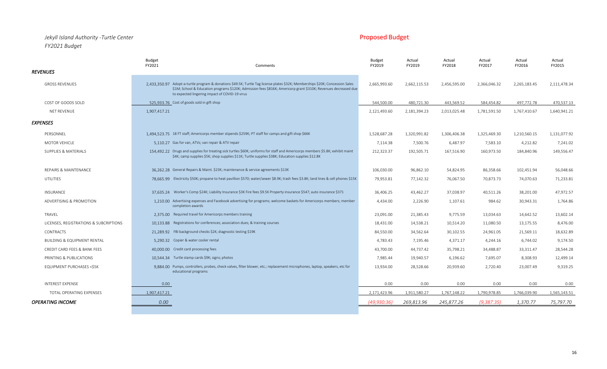### *Jekyll Island Authority -Turtle Center* Proposed Budget *FY2021 Budget*

| FY2021<br>Comments<br><b>REVENUES</b>                                                                                                                                                                                                                                                                                       | FY2019       | FY2019       | FY2018       | FY2017       | FY2016       | FY2015       |
|-----------------------------------------------------------------------------------------------------------------------------------------------------------------------------------------------------------------------------------------------------------------------------------------------------------------------------|--------------|--------------|--------------|--------------|--------------|--------------|
|                                                                                                                                                                                                                                                                                                                             |              |              |              |              |              |              |
| 2.433.350.97 Adopt-a-turtle program & donations \$49.5K; Turtle Tag license plates \$32K; Memberships \$20K; Concession Sales<br><b>GROSS REVENUES</b><br>\$1M; School & Education programs \$120K; Admission fees \$816K; Americorp grant \$310K; Revenues decreased due<br>to expected lingering impact of COVID-19 virus | 2,665,993.60 | 2,662,115.53 | 2,456,595.00 | 2,366,046.32 | 2,265,183.45 | 2,111,478.34 |
| 525,933.76 Cost of goods sold in gift shop<br>COST OF GOODS SOLD                                                                                                                                                                                                                                                            | 544,500.00   | 480,721.30   | 443,569.52   | 584,454.82   | 497,772.78   | 470,537.13   |
| NET REVENUE<br>1,907,417.21                                                                                                                                                                                                                                                                                                 | 2,121,493.60 | 2,181,394.23 | 2,013,025.48 | 1,781,591.50 | 1,767,410.67 | 1,640,941.21 |
| <b>EXPENSES</b>                                                                                                                                                                                                                                                                                                             |              |              |              |              |              |              |
| 1.494.523.75 18 FT staff; Americorps member stipends \$259K; PT staff for camps and gift shop \$66K<br>PERSONNEL                                                                                                                                                                                                            | 1,528,687.28 | 1,320,991.82 | 1,306,406.38 | 1,325,469.30 | 1,210,560.15 | 1,131,077.92 |
| 5.110.27 Gas for van, ATVs; van repair & ATV repair<br><b>MOTOR VEHICLE</b>                                                                                                                                                                                                                                                 | 7,114.38     | 7,500.76     | 6,487.97     | 7,583.10     | 4,212.82     | 7,241.02     |
| 154.492.22 Drugs and supplies for treating sick turtles \$60K; uniforms for staff and Americorps members \$5.8K; exhibit maint<br><b>SUPPLIES &amp; MATERIALS</b><br>\$4K; camp supplies \$5K; shop supplies \$11K; Turtle supplies \$38K; Education supplies \$12.8K                                                       | 212,323.37   | 192,505.71   | 167,516.90   | 160,973.50   | 184,840.96   | 149,556.47   |
| 36.262.28 General Repairs & Maint. \$23K; maintenance & service agreements \$13K<br><b>REPAIRS &amp; MAINTENANCE</b>                                                                                                                                                                                                        | 106,030.00   | 96,862.10    | 54,824.95    | 86,358.66    | 102,451.94   | 56,048.66    |
| 78.665.99 Electricity \$50K; propane to heat pavillion \$570; water/sewer \$8.9K; trash fees \$3.8K; land lines & cell phones \$15K<br><b>UTILITIES</b>                                                                                                                                                                     | 79,953.81    | 77,142.32    | 76,067.50    | 70,873.73    | 74,070.63    | 71,233.81    |
| 37,635.24 Worker's Comp \$24K; Liability Insurance \$3K Fire fees \$9.5K Property insurance \$547; auto insurance \$371<br><b>INSURANCE</b>                                                                                                                                                                                 | 36,406.25    | 43,462.27    | 37,038.97    | 40,511.26    | 38,201.00    | 47,972.57    |
| 1.210.00 Advertising expenses and Facebook advertising for programs; welcome baskets for Americorps members; member<br>ADVERTISING & PROMOTION<br>completion awards                                                                                                                                                         | 4,434.00     | 2,226.90     | 1,107.61     | 984.62       | 30,943.31    | 1,764.86     |
| TRAVEL<br>2,375.00 Required travel for Americorps members training                                                                                                                                                                                                                                                          | 23,091.00    | 21,385.43    | 9,775.59     | 13,034.63    | 14,642.52    | 13,602.14    |
| 10,133.88 Registrations for conferences; association dues; & training courses<br>LICENSES, REGISTRATIONS & SUBCRIPTIONS                                                                                                                                                                                                     | 18,431.00    | 14,538.21    | 10,514.20    | 11,080.50    | 13,175.55    | 8,476.00     |
| 21.289.92 FBI background checks \$2K; diagnostic testing \$19K<br><b>CONTRACTS</b>                                                                                                                                                                                                                                          | 84,550.00    | 34,562.64    | 30,102.55    | 24,961.05    | 21,569.11    | 18,632.89    |
| <b>BUILDING &amp; EQUIPMENT RENTAL</b><br>5.290.32 Copier & water cooler rental                                                                                                                                                                                                                                             | 4,783.43     | 7,195.46     | 4,371.17     | 4,244.16     | 6,744.02     | 9,174.50     |
| 40.000.00 Credit card processing fees<br>CREDIT CARD FEES & BANK FEES                                                                                                                                                                                                                                                       | 43,700.00    | 44,737.42    | 35,798.21    | 34,488.87    | 33,311.47    | 28,544.28    |
| 10.544.34 Turtle stamp cards \$9K; signs; photos<br>PRINTING & PUBLICATIONS                                                                                                                                                                                                                                                 | 7,985.44     | 19,940.57    | 6,196.62     | 7,695.07     | 8,308.93     | 12,499.14    |
| 9.884.00 Pumps, controllers, probes, check valves, filter blower, etc.; replacement microphones, laptop, speakers, etc for<br>EQUIPMENT PURCHASES <\$5K<br>educational programs                                                                                                                                             | 13,934.00    | 28,528.66    | 20,939.60    | 2,720.40     | 23,007.49    | 9,319.25     |
| <b>INTEREST EXPENSE</b><br>0.00                                                                                                                                                                                                                                                                                             | 0.00         | 0.00         | 0.00         | 0.00         | 0.00         | 0.00         |
| TOTAL OPERATING EXPENSES<br>1,907,417.21                                                                                                                                                                                                                                                                                    | 2,171,423.96 | 1,911,580.27 | 1,767,148.22 | 1,790,978.85 | 1,766,039.90 | 1,565,143.51 |
| <b>OPERATING INCOME</b><br>0.00                                                                                                                                                                                                                                                                                             | (49.930.36)  | 269.813.96   | 245.877.26   | (9.387.35)   | 1.370.77     | 75,797.70    |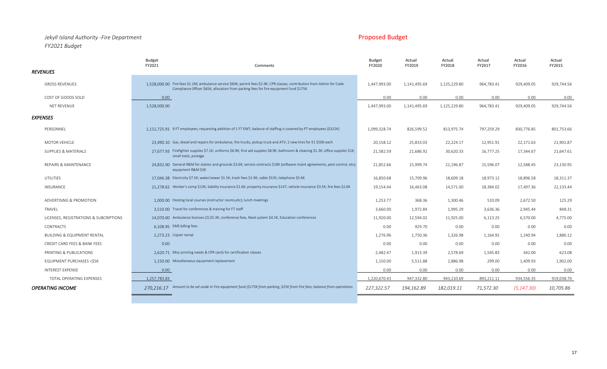## *Jekyll Island Authority -Fire Department* Proposed Budget *FY2021 Budget*

|                                               | <b>Budget</b><br>FY2021<br>Comments                                                                                                                                                                                | <b>Budget</b><br>FY2020 | Actual<br>FY2019 | Actual<br>FY2018 | Actual<br>FY2017 | Actual<br>FY2016 | Actual<br>FY2015 |
|-----------------------------------------------|--------------------------------------------------------------------------------------------------------------------------------------------------------------------------------------------------------------------|-------------------------|------------------|------------------|------------------|------------------|------------------|
| <b>REVENUES</b>                               |                                                                                                                                                                                                                    |                         |                  |                  |                  |                  |                  |
| <b>GROSS REVENUES</b>                         | 1.528.000.00 Fire fees \$1.2M; ambulance service \$60K; permit fees \$2.9K; CPR classes, contribution from Admin for Code<br>Compliance Officer \$65K; allocation from parking fees for fire equipment fund \$175K | 1,447,993.00            | 1,141,495.69     | 1,125,229.80     | 964,783.41       | 929,409.05       | 929,744.56       |
| COST OF GOODS SOLD                            | 0.00                                                                                                                                                                                                               | 0.00                    | 0.00             | 0.00             | 0.00             | 0.00             | 0.00             |
| NET REVENUE                                   | 1,528,000.00                                                                                                                                                                                                       | 1,447,993.00            | 1,141,495.69     | 1,125,229.80     | 964,783.41       | 929,409.05       | 929,744.56       |
| <b>EXPENSES</b>                               |                                                                                                                                                                                                                    |                         |                  |                  |                  |                  |                  |
| PERSONNEL                                     | 1,112,725.91 9 FT employees; requesting addition of 1 FT EMT; balance of staffing is covered by PT employees (\$322K)                                                                                              | 1,099,328.74            | 826,599.52       | 813,975.74       | 797,259.29       | 830,776.85       | 801,753.66       |
| <b>MOTOR VEHICLE</b>                          | 23.490.10 Gas, diesel and repairs for ambulance, fire trucks, pickup truck and ATV; 2 new tires for E1\$500 each                                                                                                   | 20,158.12               | 25,833.03        | 22,224.17        | 12,951.91        | 22,171.63        | 21,901.87        |
| <b>SUPPLIES &amp; MATERIALS</b>               | 27.677.93 Firefighter supplies \$7.1K; uniforms \$6.9K; first aid supplies \$8.9K; bathroom & cleaning \$1.3K; office supplies \$1K;<br>small tools, postage                                                       | 21,582.59               | 21,686.92        | 30,620.33        | 16,777.25        | 17,344.67        | 21,647.61        |
| REPAIRS & MAINTENANCE                         | 24.832.00 General R&M for station and grounds \$3.6K; service contracts \$18K (software maint agreements, pest control, etc);<br>equipment R&M \$3K                                                                | 21,852.66               | 15,999.74        | 21,196.87        | 15,596.07        | 12,588.45        | 23,130.95        |
| UTILITIES                                     | 17.046.38 Electricity \$7.5K; water/sewer \$1.5K; trash fees \$1.9K; cable \$535; telephone \$5.6K                                                                                                                 | 16,850.68               | 15,709.96        | 18,609.18        | 18,973.12        | 18,896.58        | 18,311.37        |
| INSURANCE                                     | 21,278.62 Worker's comp \$13K; liability insurance \$1.6K; property insurance \$147; vehicle insurance \$3.5K; fire fees \$2.6K                                                                                    | 19,154.44               | 16,463.08        | 14,571.00        | 18,384.02        | 17,497.36        | 22,133.44        |
| ADVERTISING & PROMOTION                       | 1.000.00 Hosting local courses (instructor rooms, etc); lunch meetings                                                                                                                                             | 1,253.77                | 368.36           | 1,300.46         | 510.09           | 2,672.50         | 125.29           |
| TRAVEL                                        | 3.510.00 Travel for conferences & training for FT staff                                                                                                                                                            | 3,660.00                | 1,972.84         | 1,995.29         | 3,636.36         | 2,945.44         | 848.31           |
| LICENSES, REGISTRATIONS & SUBCRIPTIONS        | 14,070.00 Ambulance licenses (2) \$5.3K; conference fees, Nixel system \$4.5K, Education conferences                                                                                                               | 11,920.00               | 12,594.02        | 11,925.00        | 6,113.25         | 6,570.00         | 4,775.00         |
| <b>CONTRACTS</b>                              | 6.108.95 EMS billing fees                                                                                                                                                                                          | 0.00                    | 929.70           | 0.00             | 0.00             | 0.00             | 0.00             |
| <b>BUILDING &amp; EQUIPMENT RENTAL</b>        | 2.273.23 Copier rental                                                                                                                                                                                             | 1,276.96                | 1,750.36         | 1,326.98         | 1,164.92         | 1,240.94         | 1,886.12         |
| CREDIT CARD FEES & BANK FEES                  | 0.00                                                                                                                                                                                                               | 0.00                    | 0.00             | 0.00             | 0.00             | 0.00             | 0.00             |
| PRINTING & PUBLICATIONS                       | 2.620.71 Misc printing needs & CPR cards for certification classes                                                                                                                                                 | 2,482.47                | 1,913.39         | 2,578.69         | 1,545.83         | 442.00           | 623.08           |
| <b>EQUIPMENT PURCHASES <s5k< b=""></s5k<></b> | 1.150.00 Miscellaneous equipment replacement                                                                                                                                                                       | 1,150.00                | 5,511.88         | 2,886.98         | 299.00           | 1,409.93         | 1,902.00         |
| INTEREST EXPENSE                              | 0.00                                                                                                                                                                                                               | 0.00                    | 0.00             | 0.00             | 0.00             | 0.00             | 0.00             |
| TOTAL OPERATING EXPENSES                      | 1,257,783.83                                                                                                                                                                                                       | 1,220,670.43            | 947,332.80       | 943,210.69       | 893,211.11       | 934,556.35       | 919,038.70       |
| <b>OPERATING INCOME</b>                       | 270,216.17 Amount to be set aside in Fire equipment fund (\$175K from parking; \$25K from Fire fees; balance from operations                                                                                       | 227,322.57              | 194,162.89       | 182,019.11       | 71,572.30        | (5, 147.30)      | 10,705.86        |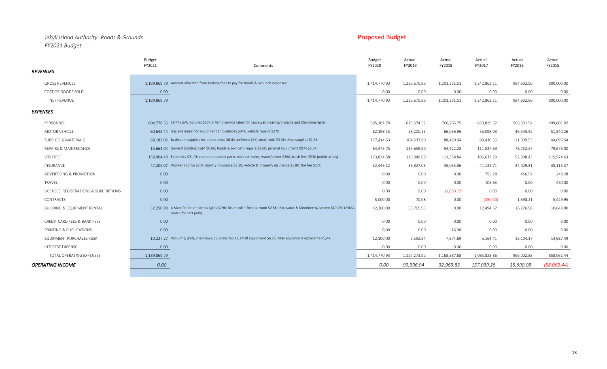### *Jekyll Island Authority -Roads & Grounds* Proposed Budget *FY2021 Budget*

| <b>GROSS REVENUES</b><br>1,414,770.93<br>1,226,670.86<br>1,201,351.51<br>984,692.96<br>1,189,869.79 Amount allocated from Parking fees to pay for Roads & Grounds expenses<br>1,242,863.11<br>800,000.00<br>COST OF GOODS SOLD<br>0.00<br>0.00<br>0.00<br>0.00<br>0.00<br>0.00<br>0.00<br>NET REVENUE<br>1,189,869.79<br>1,414,770.93<br>1,226,670.86<br>1,201,351.51<br>984,692.96<br>800,000.00<br>1,242,863.11<br><b>EXPENSES</b><br>PERSONNEL<br>804,778.55 19 FT staff; includes \$30K in temp service labor for causeway clearing/projects and Christmas lights<br>613,574.52<br>566,391.54<br>766,265.75<br>653,819.52<br>499,601.02<br>895,101.70<br>60.648.44 Gas and diesel for equipment and vehicles \$34K; vehicle repairs \$27K<br>MOTOR VEHICLE<br>46,545.42<br>51,840.26<br>62,198.15<br>58,200.13<br>66,036.96<br>55,098.03<br>68.182.02 Bathroom supplies for public areas \$61K; uniforms \$3K; small tools \$3.3K; shop supplies \$1.5K<br>SUPPLIES & MATERIALS<br>177,414.63<br>104,533.80<br>88,429.04<br>99,430.66<br>111,099.53<br>44,095.54<br>15.664.04 General building R&M \$6.6K; Roads & bikr path repairs \$2.6K; general equipment R&M \$6.5K<br><b>REPAIRS &amp; MAINTENANCE</b><br>64,475.75<br>78,752.27<br>79,673.00<br>139,659.90<br>94,422.28<br>111,537.69<br>150.904.40 Electricity \$31.7K incr due to added parks and restrooms; water/sewer \$26K; trash fees \$93K (public areas)<br>UTILITIES<br>123,834.58<br>116,040.69<br>111,358.84<br>106,632.29<br>97,998.43<br>115,974.63<br>47.205.07 Worker's comp \$25K; liability insurance \$3.2K; vehicle & property insurance \$1.8K; fire fee \$17K<br>INSURANCE<br>32,446.12<br>36,827.03<br>34,029.81<br>35,113.37<br>35,033.86<br>41,131.71<br>0.00<br>456.54<br>248.28<br>ADVERTISING & PROMOTION<br>0.00<br>0.00<br>0.00<br>756.28<br>450.00<br>0.00<br>0.00<br>0.00<br>108.65<br>0.00<br>TRAVEL<br>0.00<br>0.00<br>LICENSES, REGISTRATIONS & SUBCRIPTIONS<br>0.00<br>0.00<br>0.00<br>0.00<br>9.00<br>(1,050.72)<br>0.00<br>5,429.95<br>CONTRACTS<br>5,000.00<br>70.08<br>0.00<br>(350.00)<br>1,398.21<br>32,250,00 4 Manlifts for christmas lights \$19K; Drum roller for trail work \$2.5K; Excavator & Shredder w/ screen \$10,750 (FEMA<br>16,226.96<br>10,648.90<br><b>BUILDING &amp; EQUIPMENT RENTAL</b><br>42,200.00<br>55,765.93<br>0.00<br>12,494.62<br>match for cart path)<br>0.00<br>0.00<br>CREDIT CARD FEES & BANK FEES<br>0.00<br>0.00<br>0.00<br>0.00<br>0.00<br>0.00<br>0.00<br>0.00<br>PRINTING & PUBLICATIONS<br>0.00<br>0.00<br>16.98<br>0.00<br>10.237.27 Vacuums, grills, chainsaws, 12 picnic tables, small equipment \$6.2K; Misc equipment replacement \$4K<br>2,592.84<br>14,987.49<br>EQUIPMENT PURCHASES <\$5K<br>12,100.00<br>7,874.69<br>5,164.41<br>16,104.17<br><b>INTEREST EXPENSE</b><br>0.00<br>0.00<br>0.00<br>0.00<br>0.00<br>0.00<br>0.00<br>1,414,770.93<br>1,127,273.92<br>1,189,869.79<br>1,168,387.68<br>1,085,823.86<br>969,002.88<br>858,062.44<br>TOTAL OPERATING EXPENSES<br>0.00<br>0.00<br>32,963.83<br>99,396.94<br>157,039.25<br>15,690.08<br>(58,062.44) |                         | <b>Budget</b><br>FY2021 | Comments | <b>Budget</b><br>FY2020 | Actual<br>FY2019 | Actual<br>FY2018 | Actual<br>FY2017 | Actual<br>FY2016 | Actual<br>FY2015 |
|---------------------------------------------------------------------------------------------------------------------------------------------------------------------------------------------------------------------------------------------------------------------------------------------------------------------------------------------------------------------------------------------------------------------------------------------------------------------------------------------------------------------------------------------------------------------------------------------------------------------------------------------------------------------------------------------------------------------------------------------------------------------------------------------------------------------------------------------------------------------------------------------------------------------------------------------------------------------------------------------------------------------------------------------------------------------------------------------------------------------------------------------------------------------------------------------------------------------------------------------------------------------------------------------------------------------------------------------------------------------------------------------------------------------------------------------------------------------------------------------------------------------------------------------------------------------------------------------------------------------------------------------------------------------------------------------------------------------------------------------------------------------------------------------------------------------------------------------------------------------------------------------------------------------------------------------------------------------------------------------------------------------------------------------------------------------------------------------------------------------------------------------------------------------------------------------------------------------------------------------------------------------------------------------------------------------------------------------------------------------------------------------------------------------------------------------------------------------------------------------------------------------------------------------------------------------------------------------------------------------------------------------------------------------------------------------------------------------------------------------------------------------------------------------------------------------------------------------------------------------------------------------------------------------------------------------------------------------------------------------------------------------------------------------------------------------------------------------------------------|-------------------------|-------------------------|----------|-------------------------|------------------|------------------|------------------|------------------|------------------|
|                                                                                                                                                                                                                                                                                                                                                                                                                                                                                                                                                                                                                                                                                                                                                                                                                                                                                                                                                                                                                                                                                                                                                                                                                                                                                                                                                                                                                                                                                                                                                                                                                                                                                                                                                                                                                                                                                                                                                                                                                                                                                                                                                                                                                                                                                                                                                                                                                                                                                                                                                                                                                                                                                                                                                                                                                                                                                                                                                                                                                                                                                                               | <b>REVENUES</b>         |                         |          |                         |                  |                  |                  |                  |                  |
|                                                                                                                                                                                                                                                                                                                                                                                                                                                                                                                                                                                                                                                                                                                                                                                                                                                                                                                                                                                                                                                                                                                                                                                                                                                                                                                                                                                                                                                                                                                                                                                                                                                                                                                                                                                                                                                                                                                                                                                                                                                                                                                                                                                                                                                                                                                                                                                                                                                                                                                                                                                                                                                                                                                                                                                                                                                                                                                                                                                                                                                                                                               |                         |                         |          |                         |                  |                  |                  |                  |                  |
|                                                                                                                                                                                                                                                                                                                                                                                                                                                                                                                                                                                                                                                                                                                                                                                                                                                                                                                                                                                                                                                                                                                                                                                                                                                                                                                                                                                                                                                                                                                                                                                                                                                                                                                                                                                                                                                                                                                                                                                                                                                                                                                                                                                                                                                                                                                                                                                                                                                                                                                                                                                                                                                                                                                                                                                                                                                                                                                                                                                                                                                                                                               |                         |                         |          |                         |                  |                  |                  |                  |                  |
|                                                                                                                                                                                                                                                                                                                                                                                                                                                                                                                                                                                                                                                                                                                                                                                                                                                                                                                                                                                                                                                                                                                                                                                                                                                                                                                                                                                                                                                                                                                                                                                                                                                                                                                                                                                                                                                                                                                                                                                                                                                                                                                                                                                                                                                                                                                                                                                                                                                                                                                                                                                                                                                                                                                                                                                                                                                                                                                                                                                                                                                                                                               |                         |                         |          |                         |                  |                  |                  |                  |                  |
|                                                                                                                                                                                                                                                                                                                                                                                                                                                                                                                                                                                                                                                                                                                                                                                                                                                                                                                                                                                                                                                                                                                                                                                                                                                                                                                                                                                                                                                                                                                                                                                                                                                                                                                                                                                                                                                                                                                                                                                                                                                                                                                                                                                                                                                                                                                                                                                                                                                                                                                                                                                                                                                                                                                                                                                                                                                                                                                                                                                                                                                                                                               |                         |                         |          |                         |                  |                  |                  |                  |                  |
|                                                                                                                                                                                                                                                                                                                                                                                                                                                                                                                                                                                                                                                                                                                                                                                                                                                                                                                                                                                                                                                                                                                                                                                                                                                                                                                                                                                                                                                                                                                                                                                                                                                                                                                                                                                                                                                                                                                                                                                                                                                                                                                                                                                                                                                                                                                                                                                                                                                                                                                                                                                                                                                                                                                                                                                                                                                                                                                                                                                                                                                                                                               |                         |                         |          |                         |                  |                  |                  |                  |                  |
|                                                                                                                                                                                                                                                                                                                                                                                                                                                                                                                                                                                                                                                                                                                                                                                                                                                                                                                                                                                                                                                                                                                                                                                                                                                                                                                                                                                                                                                                                                                                                                                                                                                                                                                                                                                                                                                                                                                                                                                                                                                                                                                                                                                                                                                                                                                                                                                                                                                                                                                                                                                                                                                                                                                                                                                                                                                                                                                                                                                                                                                                                                               |                         |                         |          |                         |                  |                  |                  |                  |                  |
|                                                                                                                                                                                                                                                                                                                                                                                                                                                                                                                                                                                                                                                                                                                                                                                                                                                                                                                                                                                                                                                                                                                                                                                                                                                                                                                                                                                                                                                                                                                                                                                                                                                                                                                                                                                                                                                                                                                                                                                                                                                                                                                                                                                                                                                                                                                                                                                                                                                                                                                                                                                                                                                                                                                                                                                                                                                                                                                                                                                                                                                                                                               |                         |                         |          |                         |                  |                  |                  |                  |                  |
|                                                                                                                                                                                                                                                                                                                                                                                                                                                                                                                                                                                                                                                                                                                                                                                                                                                                                                                                                                                                                                                                                                                                                                                                                                                                                                                                                                                                                                                                                                                                                                                                                                                                                                                                                                                                                                                                                                                                                                                                                                                                                                                                                                                                                                                                                                                                                                                                                                                                                                                                                                                                                                                                                                                                                                                                                                                                                                                                                                                                                                                                                                               |                         |                         |          |                         |                  |                  |                  |                  |                  |
|                                                                                                                                                                                                                                                                                                                                                                                                                                                                                                                                                                                                                                                                                                                                                                                                                                                                                                                                                                                                                                                                                                                                                                                                                                                                                                                                                                                                                                                                                                                                                                                                                                                                                                                                                                                                                                                                                                                                                                                                                                                                                                                                                                                                                                                                                                                                                                                                                                                                                                                                                                                                                                                                                                                                                                                                                                                                                                                                                                                                                                                                                                               |                         |                         |          |                         |                  |                  |                  |                  |                  |
|                                                                                                                                                                                                                                                                                                                                                                                                                                                                                                                                                                                                                                                                                                                                                                                                                                                                                                                                                                                                                                                                                                                                                                                                                                                                                                                                                                                                                                                                                                                                                                                                                                                                                                                                                                                                                                                                                                                                                                                                                                                                                                                                                                                                                                                                                                                                                                                                                                                                                                                                                                                                                                                                                                                                                                                                                                                                                                                                                                                                                                                                                                               |                         |                         |          |                         |                  |                  |                  |                  |                  |
|                                                                                                                                                                                                                                                                                                                                                                                                                                                                                                                                                                                                                                                                                                                                                                                                                                                                                                                                                                                                                                                                                                                                                                                                                                                                                                                                                                                                                                                                                                                                                                                                                                                                                                                                                                                                                                                                                                                                                                                                                                                                                                                                                                                                                                                                                                                                                                                                                                                                                                                                                                                                                                                                                                                                                                                                                                                                                                                                                                                                                                                                                                               |                         |                         |          |                         |                  |                  |                  |                  |                  |
|                                                                                                                                                                                                                                                                                                                                                                                                                                                                                                                                                                                                                                                                                                                                                                                                                                                                                                                                                                                                                                                                                                                                                                                                                                                                                                                                                                                                                                                                                                                                                                                                                                                                                                                                                                                                                                                                                                                                                                                                                                                                                                                                                                                                                                                                                                                                                                                                                                                                                                                                                                                                                                                                                                                                                                                                                                                                                                                                                                                                                                                                                                               |                         |                         |          |                         |                  |                  |                  |                  |                  |
|                                                                                                                                                                                                                                                                                                                                                                                                                                                                                                                                                                                                                                                                                                                                                                                                                                                                                                                                                                                                                                                                                                                                                                                                                                                                                                                                                                                                                                                                                                                                                                                                                                                                                                                                                                                                                                                                                                                                                                                                                                                                                                                                                                                                                                                                                                                                                                                                                                                                                                                                                                                                                                                                                                                                                                                                                                                                                                                                                                                                                                                                                                               |                         |                         |          |                         |                  |                  |                  |                  |                  |
|                                                                                                                                                                                                                                                                                                                                                                                                                                                                                                                                                                                                                                                                                                                                                                                                                                                                                                                                                                                                                                                                                                                                                                                                                                                                                                                                                                                                                                                                                                                                                                                                                                                                                                                                                                                                                                                                                                                                                                                                                                                                                                                                                                                                                                                                                                                                                                                                                                                                                                                                                                                                                                                                                                                                                                                                                                                                                                                                                                                                                                                                                                               |                         |                         |          |                         |                  |                  |                  |                  |                  |
|                                                                                                                                                                                                                                                                                                                                                                                                                                                                                                                                                                                                                                                                                                                                                                                                                                                                                                                                                                                                                                                                                                                                                                                                                                                                                                                                                                                                                                                                                                                                                                                                                                                                                                                                                                                                                                                                                                                                                                                                                                                                                                                                                                                                                                                                                                                                                                                                                                                                                                                                                                                                                                                                                                                                                                                                                                                                                                                                                                                                                                                                                                               |                         |                         |          |                         |                  |                  |                  |                  |                  |
|                                                                                                                                                                                                                                                                                                                                                                                                                                                                                                                                                                                                                                                                                                                                                                                                                                                                                                                                                                                                                                                                                                                                                                                                                                                                                                                                                                                                                                                                                                                                                                                                                                                                                                                                                                                                                                                                                                                                                                                                                                                                                                                                                                                                                                                                                                                                                                                                                                                                                                                                                                                                                                                                                                                                                                                                                                                                                                                                                                                                                                                                                                               |                         |                         |          |                         |                  |                  |                  |                  |                  |
|                                                                                                                                                                                                                                                                                                                                                                                                                                                                                                                                                                                                                                                                                                                                                                                                                                                                                                                                                                                                                                                                                                                                                                                                                                                                                                                                                                                                                                                                                                                                                                                                                                                                                                                                                                                                                                                                                                                                                                                                                                                                                                                                                                                                                                                                                                                                                                                                                                                                                                                                                                                                                                                                                                                                                                                                                                                                                                                                                                                                                                                                                                               |                         |                         |          |                         |                  |                  |                  |                  |                  |
|                                                                                                                                                                                                                                                                                                                                                                                                                                                                                                                                                                                                                                                                                                                                                                                                                                                                                                                                                                                                                                                                                                                                                                                                                                                                                                                                                                                                                                                                                                                                                                                                                                                                                                                                                                                                                                                                                                                                                                                                                                                                                                                                                                                                                                                                                                                                                                                                                                                                                                                                                                                                                                                                                                                                                                                                                                                                                                                                                                                                                                                                                                               |                         |                         |          |                         |                  |                  |                  |                  |                  |
|                                                                                                                                                                                                                                                                                                                                                                                                                                                                                                                                                                                                                                                                                                                                                                                                                                                                                                                                                                                                                                                                                                                                                                                                                                                                                                                                                                                                                                                                                                                                                                                                                                                                                                                                                                                                                                                                                                                                                                                                                                                                                                                                                                                                                                                                                                                                                                                                                                                                                                                                                                                                                                                                                                                                                                                                                                                                                                                                                                                                                                                                                                               |                         |                         |          |                         |                  |                  |                  |                  |                  |
|                                                                                                                                                                                                                                                                                                                                                                                                                                                                                                                                                                                                                                                                                                                                                                                                                                                                                                                                                                                                                                                                                                                                                                                                                                                                                                                                                                                                                                                                                                                                                                                                                                                                                                                                                                                                                                                                                                                                                                                                                                                                                                                                                                                                                                                                                                                                                                                                                                                                                                                                                                                                                                                                                                                                                                                                                                                                                                                                                                                                                                                                                                               |                         |                         |          |                         |                  |                  |                  |                  |                  |
|                                                                                                                                                                                                                                                                                                                                                                                                                                                                                                                                                                                                                                                                                                                                                                                                                                                                                                                                                                                                                                                                                                                                                                                                                                                                                                                                                                                                                                                                                                                                                                                                                                                                                                                                                                                                                                                                                                                                                                                                                                                                                                                                                                                                                                                                                                                                                                                                                                                                                                                                                                                                                                                                                                                                                                                                                                                                                                                                                                                                                                                                                                               | <b>OPERATING INCOME</b> |                         |          |                         |                  |                  |                  |                  |                  |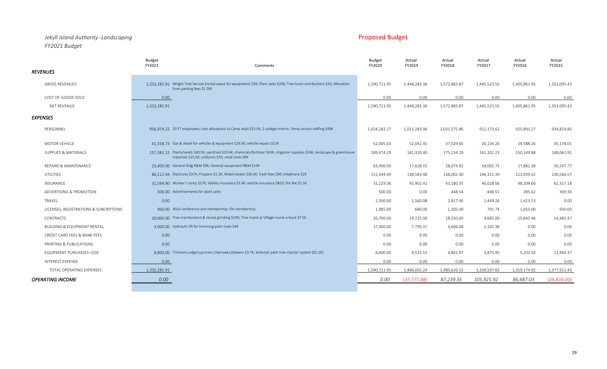## *Jekyll Island Authority -Landscaping* Proposed Budget *FY2021 Budget*

|                                        | Budget<br>FY2021<br>Comments                                                                                                                                                            | <b>Budget</b><br>FY2020 | Actual<br>FY2019 | Actual<br>FY2018 | Actual<br>FY2017 | Actual<br>FY2016 | Actual<br>FY2015 |
|----------------------------------------|-----------------------------------------------------------------------------------------------------------------------------------------------------------------------------------------|-------------------------|------------------|------------------|------------------|------------------|------------------|
| <b>REVENUES</b>                        |                                                                                                                                                                                         |                         |                  |                  |                  |                  |                  |
| <b>GROSS REVENUES</b>                  | 1.332.281.91 Wright Tree Service (rental space for equipment) \$3K; Plant sales \$20K; Tree fund contributions \$1K; Allocation<br>from parking fees \$1.3M                             | 1,590,721.95            | 1,448,283.36     | 1,572,865.87     | 1,445,523.55     | 1,405,861.95     | 1,353,095.43     |
| COST OF GOODS SOLD                     | 0.00                                                                                                                                                                                    | 0.00                    | 0.00             | 0.00             | 0.00             | 0.00             | 0.00             |
| <b>NET REVENUE</b>                     | 1,332,281.91                                                                                                                                                                            | 1,590,721.95            | 1,448,283.36     | 1,572,865.87     | 1,445,523.55     | 1,405,861.95     | 1,353,095.43     |
| <b>EXPENSES</b>                        |                                                                                                                                                                                         |                         |                  |                  |                  |                  |                  |
| PERSONNEL                              | 956,974,22 20 FT employees; cost allocations to Camp Jelyll \$21.5K; 2 college interns; Temp service staffing \$49K                                                                     | 1,024,283.27            | 1,011,283.96     | 1,031,575.86     | 912,173.62       | 925,893.27       | 934,814.85       |
| <b>MOTOR VEHICLE</b>                   | 41.558.73 Gas & diesel for vehicles & equipment \$29.5K; vehicle repairs \$12K                                                                                                          | 52,005.63               | 52,042.45        | 37,029.65        | 26,134.26        | 29,588.26        | 35,178.01        |
| <b>SUPPLIES &amp; MATERIALS</b>        | 157.381.12 Plants/seeds \$40.5K; sand/soil \$23.6K; chemicals/fertilizer \$43K; irrigation supplies \$16K; landscape & greenhouse<br>materials \$15.5K; uniforms \$7K; small tools \$9K | 189,474.29              | 181,320.40       | 175,234.29       | 161,101.23       | 150,149.88       | 148,061.91       |
| <b>REPAIRS &amp; MAINTENANCE</b>       | 23.400.00 General bldg R&M \$9K; General equipment R&M \$14K                                                                                                                            | 83,900.00               | 17,628.55        | 28,074.92        | 34,092.73        | 17,881.38        | 30,247.77        |
| UTILITIES                              | 86.112.94 Electricity \$37K; Propane \$1.2K; Water/sewer \$36.4K; trash fees \$9K; telephone \$2K                                                                                       | 152,344.40              | 138,583.48       | 138,002.40       | 146,311.39       | 123,039.42       | 140,566.57       |
| INSURANCE                              | 32.594.90 Worker's comp \$27K; liability insurance \$3.4K; vehicle insurance \$810; fire fee \$1.5K                                                                                     | 31,229.36               | 45,902.42        | 43,180.35        | 46,028.56        | 48,209.60        | 61,317.18        |
| ADVERTISING & PROMOTION                | 500.00 Advertisements for plant sales                                                                                                                                                   | 500.00                  | 0.00             | 448.54           | 848.51           | 285.62           | 369.30           |
| TRAVEL                                 | 0.00                                                                                                                                                                                    | 2,500.00                | 1,560.08         | 2,817.46         | 1,449.26         | 1,423.53         | 0.00             |
| LICENSES, REGISTRATIONS & SUBCRIPTIONS | 960.00 ASLA conference and membership; ISA membership                                                                                                                                   | 1,985.00                | 680.00           | 1,305.00         | 791.74           | 1,655.00         | 930.00           |
| <b>CONTRACTS</b>                       | 20,000.00 Tree maintenance & stump grinding \$19K; Tree maint at Village round-a-bout \$7.5K                                                                                            | 26,700.00               | 19,725.00        | 18,550.00        | 4,685.00         | 15,845.46        | 14,481.47        |
| <b>BUILDING &amp; EQUIPMENT RENTAL</b> | 4.000.00 Hydraulic lift for trimming palm trees \$4K                                                                                                                                    | 17,000.00               | 7,795.37         | 4,606.08         | 2,105.38         | 0.00             | 0.00             |
| CREDIT CARD FEES & BANK FEES           | 0.00                                                                                                                                                                                    | 0.00                    | 0.00             | 0.00             | 0.00             | 0.00             | 0.00             |
| PRINTING & PUBLICATIONS                | 0.00                                                                                                                                                                                    | 0.00                    | 0.00             | 0.00             | 0.00             | 0.00             | 0.00             |
| <b>EQUIPMENT PURCHASES &lt;\$5K</b>    | 8.800.00 Trimmers, edgers, pruners, chainsaws, blowers \$3.7K; airborjet palm tree injector system (\$5.1K)                                                                             | 8,800.00                | 9,533.53         | 4,801.97         | 3,875.95         | 5,203.50         | 11,944.37        |
| INTEREST EXPENSE                       | 0.00                                                                                                                                                                                    | 0.00                    | 0.00             | 0.00             | 0.00             | 0.00             | 0.00             |
| TOTAL OPERATING EXPENSES               | 1,332,281.91                                                                                                                                                                            | 1,590,721.95            | 1,486,055.24     | 1,485,626.52     | 1,339,597.63     | 1,319,174.92     | 1,377,911.43     |
| <b>OPERATING INCOME</b>                | 0.00                                                                                                                                                                                    | 0.00                    | (37, 771.88)     | 87,239.35        | 105,925.92       | 86,687.03        | (24, 816.00)     |
|                                        |                                                                                                                                                                                         |                         |                  |                  |                  |                  |                  |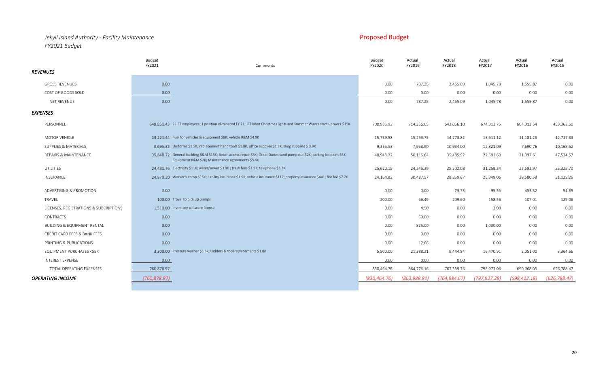## *Jekyll Island Authority - Facility Maintenance* Proposed Budget *FY2021 Budget*

|                                        | <b>Budget</b><br>FY2021             | Comments                                                                                                                                                                     | <b>Budget</b><br>FY2020 | Actual<br>FY2019 | Actual<br>FY2018 | Actual<br>FY2017 | Actual<br>FY2016 | Actual<br>FY2015 |
|----------------------------------------|-------------------------------------|------------------------------------------------------------------------------------------------------------------------------------------------------------------------------|-------------------------|------------------|------------------|------------------|------------------|------------------|
| <i><b>REVENUES</b></i>                 |                                     |                                                                                                                                                                              |                         |                  |                  |                  |                  |                  |
| <b>GROSS REVENUES</b>                  | 0.00                                |                                                                                                                                                                              | 0.00                    | 787.25           | 2,455.09         | 1,045.78         | 1,555.87         | 0.00             |
| COST OF GOODS SOLD                     | 0.00                                |                                                                                                                                                                              | 0.00                    | 0.00             | 0.00             | 0.00             | 0.00             | 0.00             |
| NET REVENUE                            | 0.00                                |                                                                                                                                                                              | 0.00                    | 787.25           | 2,455.09         | 1,045.78         | 1,555.87         | 0.00             |
| EXPENSES                               |                                     |                                                                                                                                                                              |                         |                  |                  |                  |                  |                  |
| PERSONNEL                              |                                     | 648.851.43 11 FT employees; 1 position eliminated FY 21; PT labor Christmas lights and Summer Waves start up work \$15K                                                      | 700,935.92              | 714,356.05       | 642,056.10       | 674,913.75       | 604,913.54       | 498,362.50       |
| MOTOR VEHICLE                          |                                     | 13,221.44 Fuel for vehicles & equipment \$8K; vehicle R&M \$4.9K                                                                                                             | 15,739.58               | 15,263.75        | 14,773.82        | 13,611.12        | 11,181.26        | 12,717.33        |
| SUPPLIES & MATERIALS                   |                                     | 8,695.32 Uniforms \$1.5K; replacement hand tools \$1.8K; office supplies \$1.3K, shop supplies \$3.9K                                                                        | 9,355.53                | 7,958.90         | 10,934.00        | 12,821.09        | 7,690.76         | 10,168.52        |
| REPAIRS & MAINTENANCE                  |                                     | 35.848.72 General building R&M \$15K; Beach access repair \$5K; Great Dunes sand pump out \$2K; parking lot paint \$5K;<br>Equipment R&M \$2K; Maintenance agreements \$5.6K | 48,948.72               | 50,116.64        | 35,485.92        | 22,691.60        | 21,397.61        | 47,534.57        |
| UTILITIES                              |                                     | 24,481.76 Electricity \$11K; water/sewer \$3.9K; trash fees \$3.5K; telephone \$5.3K                                                                                         | 25,620.19               | 24,246.39        | 25,502.08        | 31,258.34        | 23,592.97        | 23,328.70        |
| INSURANCE                              |                                     | 24.870.30 Worker's comp \$15K; liability insurance \$1.9K; vehicle insurance \$117; property insurance \$441; fire fee \$7.7K                                                | 24,164.82               | 30,487.57        | 28,859.67        | 25,949.06        | 28,580.58        | 31,128.26        |
|                                        | 0.00                                |                                                                                                                                                                              |                         |                  | 73.73            | 95.55            |                  | 54.85            |
| ADVERTISING & PROMOTION                | 100.00 Travel to pick up pumps      |                                                                                                                                                                              | 0.00                    | 0.00             |                  |                  | 453.32           |                  |
| TRAVEL                                 |                                     |                                                                                                                                                                              | 200.00                  | 66.49            | 209.60           | 158.56           | 107.01           | 129.08           |
| LICENSES, REGISTRATIONS & SUBCRIPTIONS | 1.510.00 Inventory software license |                                                                                                                                                                              | 0.00                    | 4.50             | 0.00             | 3.08             | 0.00             | 0.00             |
| <b>CONTRACTS</b>                       | 0.00                                |                                                                                                                                                                              | 0.00                    | 50.00            | 0.00             | 0.00             | 0.00             | 0.00             |
| <b>BUILDING &amp; EQUIPMENT RENTAL</b> | 0.00                                |                                                                                                                                                                              | 0.00                    | 825.00           | 0.00             | 1,000.00         | 0.00             | 0.00             |
| CREDIT CARD FEES & BANK FEES           | 0.00                                |                                                                                                                                                                              | 0.00                    | 0.00             | 0.00             | 0.00             | 0.00             | 0.00             |
| PRINTING & PUBLICATIONS                | 0.00                                |                                                                                                                                                                              | 0.00                    | 12.66            | 0.00             | 0.00             | 0.00             | 0.00             |
| EQUIPMENT PURCHASES <\$5K              |                                     | 3.300.00 Pressure washer \$1.5k; Ladders & tool replacements \$1.8K                                                                                                          | 5,500.00                | 21,388.21        | 9,444.84         | 16,470.91        | 2,051.00         | 3,364.66         |
| <b>INTEREST EXPENSE</b>                | 0.00                                |                                                                                                                                                                              | 0.00                    | 0.00             | 0.00             | 0.00             | 0.00             | 0.00             |
| TOTAL OPERATING EXPENSES               | 760,878.97                          |                                                                                                                                                                              | 830,464.76              | 864,776.16       | 767,339.76       | 798,973.06       | 699,968.05       | 626,788.47       |
| OPERATING INCOME                       | (760,878.97)                        |                                                                                                                                                                              | (830, 464, 76)          | (863,988.91)     | (764, 884.67)    | (797, 927, 28)   | (698, 412.18)    | (626, 788.47)    |
|                                        |                                     |                                                                                                                                                                              |                         |                  |                  |                  |                  |                  |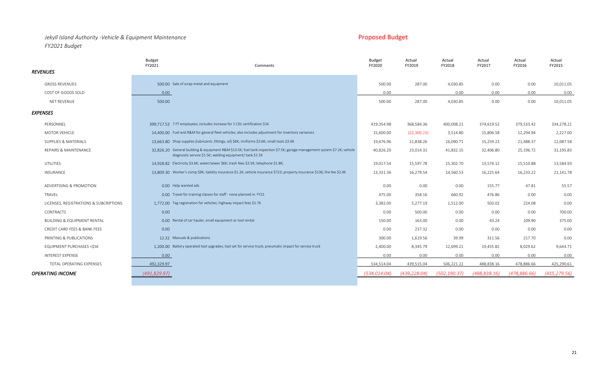### *Jekyll Island Authority -Vehicle & Equipment Maintenance FY2021 Budget*

| <b>Proposed Budget</b> |  |
|------------------------|--|
|                        |  |

|                                        | Budget<br>FY2021                         | Comments                                                                                                                                                                               | Budget<br>FY2020 | Actual<br>FY2019 | Actual<br>FY2018 | Actual<br>FY2017 | Actual<br>FY2016 | Actual<br>FY2015 |
|----------------------------------------|------------------------------------------|----------------------------------------------------------------------------------------------------------------------------------------------------------------------------------------|------------------|------------------|------------------|------------------|------------------|------------------|
| <b>REVENUES</b>                        |                                          |                                                                                                                                                                                        |                  |                  |                  |                  |                  |                  |
| <b>GROSS REVENUES</b>                  | 500.00 Sale of scrap metal and equipment |                                                                                                                                                                                        | 500.00           | 287.00           | 4,030.85         | 0.00             | 0.00             | 10,011.05        |
| COST OF GOODS SOLD                     | 0.00                                     |                                                                                                                                                                                        | 0.00             |                  | 0.00             | 0.00             | 0.00             | 0.00             |
| NET REVENUE                            | 500.00                                   |                                                                                                                                                                                        | 500.00           | 287.00           | 4,030.85         | 0.00             | 0.00             | 10,011.05        |
| <b>EXPENSES</b>                        |                                          |                                                                                                                                                                                        |                  |                  |                  |                  |                  |                  |
| PERSONNEL                              |                                          | 399.717.53 7 FT employees; includes increase for 1 CDL certification \$1K                                                                                                              | 419,354.98       | 368,584.36       | 400,008.21       | 374,619.52       | 379,533.42       | 334,278.21       |
| <b>MOTOR VEHICLE</b>                   |                                          | 14,400,00 Fuel and R&M for general fleet vehicles; also includes adjustment for inventory variances                                                                                    | 15,600.00        | (22,300.23)      | 3,514.80         | 15,806.58        | 12,294.94        | 2,227.00         |
| SUPPLIES & MATERIALS                   |                                          | 13,663,80 Shop supplies (lubricants , fittings, oil) \$6K; Uniforms \$3.6K; small tools \$3.6K                                                                                         | 19,676.96        | 21,838.26        | 16,090.71        | 15,259.23        | 21,488.37        | 12,087.58        |
| REPAIRS & MAINTENANCE                  |                                          | 32.826.20 General building & equipment R&M \$13.5K; fuel tank inspection \$7.5K; garage management system \$7.2K; vehicle<br>diagnostic service \$1.5K; welding equipment/ tank \$1.5K | 40,826.20        | 23,014.31        | 41,832.15        | 32,406.80        | 25,196.72        | 31,195.83        |
| UTILITIES                              |                                          | 14.928.82 Electricity \$3.6K; water/sewer \$6K; trash fees \$3.5K; telephone \$1.8K;                                                                                                   | 19,017.54        | 15,597.78        | 15,302.70        | 13,574.12        | 15,510.88        | 13,584.93        |
| <b>INSURANCE</b>                       |                                          | 13,809.30 Worker's comp \$9K; liability insurance \$1.2K; vehicle insurance \$723; property insurance \$136; fire fee \$2.4K                                                           | 13,331.36        | 16,279.54        | 14,560.53        | 16,225.64        | 16,233.22        | 21,141.78        |
| ADVERTISING & PROMOTION                | 0.00 Help wanted ads                     |                                                                                                                                                                                        | 0.00             | 0.00             | 0.00             | 155.77           | 47.81            | 55.57            |
| TRAVEL                                 |                                          | 0.00 Travel for training classes for staff - none planned in FY21                                                                                                                      | 475.00           | 358.16           | 660.92           | 476.86           | 0.00             | 0.00             |
| LICENSES, REGISTRATIONS & SUBCRIPTIONS |                                          | 1.772.00 Tag registration for vehicles; highway impact fees \$1.7K                                                                                                                     | 3,382.00         | 5,277.19         | 1,512.00         | 503.02           | 224.08           | 0.00             |
| CONTRACTS                              | 0.00                                     |                                                                                                                                                                                        | 0.00             | 500.00           | 0.00             | 0.00             | 0.00             | 700.00           |
| <b>BUILDING &amp; EQUIPMENT RENTAL</b> |                                          | 0.00 Rental of car hauler, small equipment or tool rental                                                                                                                              | 150.00           | 163.00           | 0.00             | 43.24            | 109.90           | 375.00           |
| CREDIT CARD FEES & BANK FEES           | 0.00                                     |                                                                                                                                                                                        | 0.00             | 237.32           | 0.00             | 0.00             | 0.00             | 0.00             |
| PRINTING & PUBLICATIONS                | 12.32 Manuals & publications             |                                                                                                                                                                                        | 300.00           | 1,619.56         | 39.99            | 311.56           | 217.70           | 0.00             |
| EQUIPMENT PURCHASES <\$5K              |                                          | 1,200.00 Battery operated tool upgrades; tool set for service truck; pneumatic impact for service truck                                                                                | 2,400.00         | 8,345.79         | 12,699.21        | 19,455.82        | 8,029.62         | 9,644.71         |
| <b>INTEREST EXPENSE</b>                | 0.00                                     |                                                                                                                                                                                        | 0.00             | 0.00             | 0.00             | 0.00             | 0.00             | 0.00             |
| TOTAL OPERATING EXPENSES               | 492,329.97                               |                                                                                                                                                                                        | 534,514.04       | 439,515.04       | 506,221.22       | 488,838.16       | 478,886.66       | 425,290.61       |
| <b>OPERATING INCOME</b>                | (491, 829.97)                            |                                                                                                                                                                                        | (534, 014.04)    | (439, 228.04)    | (502, 190.37)    | (488, 838.16)    | (478,886.66)     | (415, 279.56)    |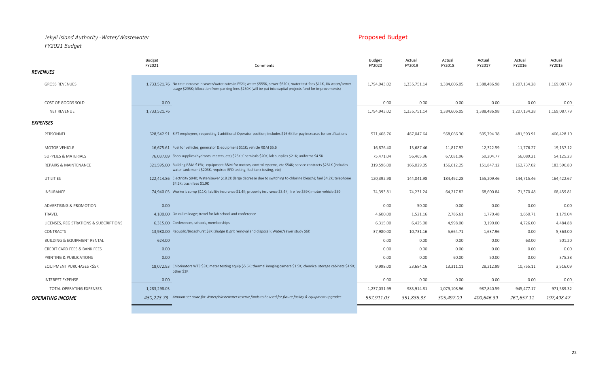## *Jekyll Island Authority -Water/Wastewater* Proposed Budget *FY2021 Budget*

|                                                                                                                                                                                                                                                                                                                 | <b>Budget</b><br>FY2021 | Comments                                                                                                                                                                                                                                      | <b>Budget</b><br>FY2020 | Actual<br>FY2019 | Actual<br>FY2018 | Actual<br>FY2017 | Actual<br>FY2016 | Actual<br>FY2015 |
|-----------------------------------------------------------------------------------------------------------------------------------------------------------------------------------------------------------------------------------------------------------------------------------------------------------------|-------------------------|-----------------------------------------------------------------------------------------------------------------------------------------------------------------------------------------------------------------------------------------------|-------------------------|------------------|------------------|------------------|------------------|------------------|
| <b>REVENUES</b>                                                                                                                                                                                                                                                                                                 |                         |                                                                                                                                                                                                                                               |                         |                  |                  |                  |                  |                  |
| <b>GROSS REVENUES</b>                                                                                                                                                                                                                                                                                           |                         | 1.733.521.76 No rate increase in sewer/water rates in FY21; water \$555K, sewer \$620K; water test fees \$11K, JIA water/sewer<br>usage \$295K; Allocation from parking fees \$250K (will be put into capital projects fund for improvements) | 1,794,943.02            | 1,335,751.14     | 1,384,606.05     | 1,388,486.98     | 1,207,134.28     | 1,169,087.79     |
| COST OF GOODS SOLD                                                                                                                                                                                                                                                                                              | 0.00                    |                                                                                                                                                                                                                                               | 0.00                    | 0.00             | 0.00             | 0.00             | 0.00             | 0.00             |
| NET REVENUE                                                                                                                                                                                                                                                                                                     | 1,733,521.76            |                                                                                                                                                                                                                                               | 1,794,943.02            | 1,335,751.14     | 1,384,606.05     | 1,388,486.98     | 1,207,134.28     | 1,169,087.79     |
| <b>EXPENSES</b>                                                                                                                                                                                                                                                                                                 |                         |                                                                                                                                                                                                                                               |                         |                  |                  |                  |                  |                  |
| PERSONNEL                                                                                                                                                                                                                                                                                                       |                         | 628.542.91 8 FT employees; requesting 1 additional Operator position; includes \$16.6K for pay increases for certifications                                                                                                                   | 571,408.76              | 487,047.64       | 568,066.30       | 505,794.38       | 481,593.91       | 466,428.10       |
| <b>MOTOR VEHICLE</b>                                                                                                                                                                                                                                                                                            |                         | 16,675.61 Fuel for vehicles, generator & equipment \$11K; vehicle R&M \$5.6                                                                                                                                                                   | 16,876.40               | 13,687.46        | 11,817.92        | 12,322.59        | 11,776.27        | 19,137.12        |
| SUPPLIES & MATERIALS                                                                                                                                                                                                                                                                                            |                         | 76,037.69 Shop supplies (hydrants, meters, etc) \$25K; Chemicals \$20K; lab supplies \$21K; uniforms \$4.5K.                                                                                                                                  | 75,471.04               | 56,465.96        | 67,081.96        | 59,204.77        | 56,089.21        | 54,125.23        |
| REPAIRS & MAINTENANCE                                                                                                                                                                                                                                                                                           |                         | 321,595.00 Building R&M \$15K; equipment R&M for motors, control systems, etc \$54K; service contracts \$251K (includes<br>water tank maint \$203K, required EPD testing, fuel tank testing, etc)                                             | 319,596.00              | 166,029.05       | 156,612.25       | 151,847.12       | 162,737.02       | 183,596.80       |
| UTILITIES                                                                                                                                                                                                                                                                                                       |                         | 122,414.86 Electricity \$94K; Water/sewer \$18.2K (large decrease due to switching to chlorine bleach); fuel \$4.2K; telephone<br>\$4.2K; trash fees \$1.9K                                                                                   | 120,392.98              | 144,041.98       | 184,492.28       | 155,209.46       | 144,715.46       | 164,422.67       |
| <b>INSURANCE</b>                                                                                                                                                                                                                                                                                                |                         | 74.940.03 Worker's comp \$11K; liability insurance \$1.4K; property insurance \$3.4K; fire fee \$59K; motor vehicle \$59                                                                                                                      | 74,393.81               | 74,231.24        | 64,217.82        | 68,600.84        | 71,370.48        | 68,459.81        |
| ADVERTISING & PROMOTION                                                                                                                                                                                                                                                                                         | 0.00                    |                                                                                                                                                                                                                                               | 0.00                    | 50.00            | 0.00             | 0.00             | 0.00             | 0.00             |
| TRAVEL                                                                                                                                                                                                                                                                                                          |                         | 4,100.00 On call mileage; travel for lab school and conference                                                                                                                                                                                | 4,600.00                | 1,521.16         | 2,786.61         | 1,770.48         | 1,650.71         | 1,179.04         |
| LICENSES, REGISTRATIONS & SUBCRIPTIONS                                                                                                                                                                                                                                                                          |                         | 6.315.00 Conferences, schools, memberships                                                                                                                                                                                                    | 6,315.00                | 6,425.00         | 4,998.00         | 3,190.00         | 4,726.00         | 4,484.88         |
| CONTRACTS                                                                                                                                                                                                                                                                                                       |                         | 13,980.00 Republic/Broadhurst \$8K (sludge & grit removal and disposal); Water/sewer study \$6K                                                                                                                                               | 37,980.00               | 10,731.16        | 5,664.71         | 1,637.96         | 0.00             | 5,363.00         |
| <b>BUILDING &amp; EQUIPMENT RENTAL</b>                                                                                                                                                                                                                                                                          | 624.00                  |                                                                                                                                                                                                                                               | 0.00                    | 0.00             | 0.00             | 0.00             | 63.00            | 501.20           |
| CREDIT CARD FEES & BANK FEES                                                                                                                                                                                                                                                                                    | 0.00                    |                                                                                                                                                                                                                                               | 0.00                    | 0.00             | 0.00             | 0.00             | 0.00             | 0.00             |
| PRINTING & PUBLICATIONS                                                                                                                                                                                                                                                                                         | 0.00                    |                                                                                                                                                                                                                                               | 0.00                    | 0.00             | 60.00            | 50.00            | 0.00             | 375.38           |
| EQUIPMENT PURCHASES <s5k< td=""><td></td><td>18.072.93 Chlorinators WT3 \$3K; meter testing equip \$5.6K; thermal imaging camera \$1.5K; chemical storage cabinets \$4.9K;<br/>other \$3K</td><td>9,998.00</td><td>23,684.16</td><td>13,311.11</td><td>28,212.99</td><td>10,755.11</td><td>3,516.09</td></s5k<> |                         | 18.072.93 Chlorinators WT3 \$3K; meter testing equip \$5.6K; thermal imaging camera \$1.5K; chemical storage cabinets \$4.9K;<br>other \$3K                                                                                                   | 9,998.00                | 23,684.16        | 13,311.11        | 28,212.99        | 10,755.11        | 3,516.09         |
| <b>INTEREST EXPENSE</b>                                                                                                                                                                                                                                                                                         | 0.00                    |                                                                                                                                                                                                                                               | 0.00                    | 0.00             | 0.00             | 0.00             | 0.00             | 0.00             |
| TOTAL OPERATING EXPENSES                                                                                                                                                                                                                                                                                        | 1,283,298.03            |                                                                                                                                                                                                                                               | 1,237,031.99            | 983,914.81       | 1,079,108.96     | 987,840.59       | 945,477.17       | 971,589.32       |
| <b>OPERATING INCOME</b>                                                                                                                                                                                                                                                                                         |                         | 450,223.73 Amount set aside for Water/Wastewater reserve funds to be used for future facility & equipment upgrades                                                                                                                            | 557,911.03              | 351,836.33       | 305,497.09       | 400,646.39       | 261,657.11       | 197,498.47       |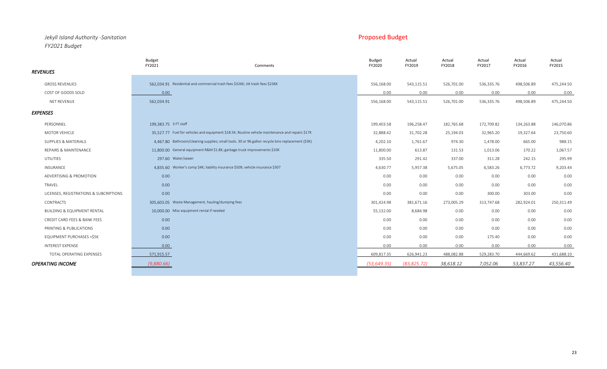### *Jekyll Island Authority -Sanitation* Proposed Budget *FY2021 Budget*

|                                        | <b>Budget</b><br>FY2021<br>Comments                                                               | <b>Budget</b><br>FY2020 | Actual<br>FY2019 | Actual<br>FY2018 | Actual<br>FY2017 | Actual<br>FY2016 | Actual<br>FY2015 |
|----------------------------------------|---------------------------------------------------------------------------------------------------|-------------------------|------------------|------------------|------------------|------------------|------------------|
| <b>REVENUES</b>                        |                                                                                                   |                         |                  |                  |                  |                  |                  |
| <b>GROSS REVENUES</b>                  | 562.034.91 Residential and commercial trash fees \$326K; JIA trash fees \$236K                    | 556,168.00              | 543,115.51       | 526,701.00       | 536,335.76       | 498,506.89       | 475,244.50       |
| COST OF GOODS SOLD                     | 0.00                                                                                              | 0.00                    | 0.00             | 0.00             | 0.00             | 0.00             | 0.00             |
| NET REVENUE                            | 562,034.91                                                                                        | 556,168.00              | 543,115.51       | 526,701.00       | 536,335.76       | 498,506.89       | 475,244.50       |
| <b>EXPENSES</b>                        |                                                                                                   |                         |                  |                  |                  |                  |                  |
| PERSONNEL                              | 199,383.75 3 FT staff                                                                             | 199,403.58              | 196,258.47       | 182,765.68       | 172,709.82       | 134,263.88       | 146,070.86       |
| MOTOR VEHICLE                          | 35.527.77 Fuel for vehicles and equipment \$18.5K; Routine vehicle maintenance and repairs \$17K  | 32,888.42               | 31,702.28        | 25,194.03        | 32,965.20        | 19,327.64        | 23,750.60        |
| SUPPLIES & MATERIALS                   | 4.467.80 Bathroom/cleaning supplies; small tools. 30 or 96 gallon recycle bins replacement (\$3K) | 4,202.10                | 1,761.67         | 974.30           | 1,478.00         | 665.00           | 988.15           |
| REPAIRS & MAINTENANCE                  | 11.800.00 General equipment R&M \$1.8K; garbage truck improvements \$10K                          | 11,800.00               | 613.87           | 131.53           | 1,013.06         | 170.22           | 1,067.57         |
| UTILITIES                              | 297.60 Water/sewer                                                                                | 335.50                  | 291.42           | 337.00           | 311.28           | 242.15           | 295.99           |
| INSURANCE                              | 4.835.60 Worker's comp \$4K; liability insurance \$509; vehicle insurance \$307                   | 4,630.77                | 5,957.38         | 5,675.05         | 6,583.26         | 6,773.72         | 9,203.44         |
| ADVERTISING & PROMOTION                | 0.00                                                                                              | 0.00                    | 0.00             | 0.00             | 0.00             | 0.00             | 0.00             |
| TRAVEL                                 | 0.00                                                                                              | 0.00                    | 0.00             | 0.00             | 0.00             | 0.00             | 0.00             |
| LICENSES, REGISTRATIONS & SUBCRIPTIONS | 0.00                                                                                              | 0.00                    | 0.00             | 0.00             | 300.00           | 303.00           | 0.00             |
| CONTRACTS                              | 305.603.05 Waste Management, hauling/dumping fees                                                 | 301,424.98              | 381,671.16       | 273,005.29       | 313,747.68       | 282,924.01       | 250,311.49       |
| <b>BUILDING &amp; EQUIPMENT RENTAL</b> | 10.000.00 Misc equipment rental if needed                                                         | 55,132.00               | 8,684.98         | 0.00             | 0.00             | 0.00             | 0.00             |
| CREDIT CARD FEES & BANK FEES           | 0.00                                                                                              | 0.00                    | 0.00             | 0.00             | 0.00             | 0.00             | 0.00             |
| PRINTING & PUBLICATIONS                | 0.00                                                                                              | 0.00                    | 0.00             | 0.00             | 0.00             | 0.00             | 0.00             |
| EQUIPMENT PURCHASES <\$5K              | 0.00                                                                                              | 0.00                    | 0.00             | 0.00             | 175.40           | 0.00             | 0.00             |
| <b>INTEREST EXPENSE</b>                | 0.00                                                                                              | 0.00                    | 0.00             | 0.00             | 0.00             | 0.00             | 0.00             |
| TOTAL OPERATING EXPENSES               | 571,915.57                                                                                        | 609,817.35              | 626,941.23       | 488,082.88       | 529,283.70       | 444,669.62       | 431,688.10       |
| <b>OPERATING INCOME</b>                | (9,880.66)                                                                                        | (53, 649.35)            | (83, 825, 72)    | 38,618.12        | 7,052.06         | 53,837.27        | 43,556.40        |
|                                        |                                                                                                   |                         |                  |                  |                  |                  |                  |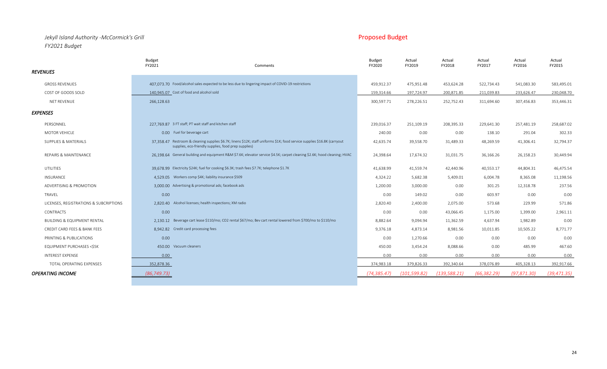## *Jekyll Island Authority -McCormick's Grill* Proposed Budget *FY2021 Budget*

|                                        | <b>Budget</b><br>FY2021                                 | Comments                                                                                                                                                                          | <b>Budget</b><br>FY2020 | Actual<br>FY2019 | Actual<br>FY2018 | Actual<br>FY2017 | Actual<br>FY2016 | Actual<br>FY2015 |
|----------------------------------------|---------------------------------------------------------|-----------------------------------------------------------------------------------------------------------------------------------------------------------------------------------|-------------------------|------------------|------------------|------------------|------------------|------------------|
| <b>REVENUES</b>                        |                                                         |                                                                                                                                                                                   |                         |                  |                  |                  |                  |                  |
| <b>GROSS REVENUES</b>                  |                                                         | 407,073.70 Food/alcohol sales expected to be less due to lingering impact of COVID-19 restrictions                                                                                | 459,912.37              | 475,951.48       | 453,624.28       | 522,734.43       | 541,083.30       | 583,495.01       |
| COST OF GOODS SOLD                     | 140.945.07 Cost of food and alcohol sold                |                                                                                                                                                                                   | 159,314.66              | 197,724.97       | 200,871.85       | 211,039.83       | 233,626.47       | 230,048.70       |
| NET REVENUE                            | 266,128.63                                              |                                                                                                                                                                                   | 300,597.71              | 278,226.51       | 252,752.43       | 311,694.60       | 307,456.83       | 353,446.31       |
| <b>EXPENSES</b>                        |                                                         |                                                                                                                                                                                   |                         |                  |                  |                  |                  |                  |
| PERSONNEL                              | 227.769.87 3 FT staff; PT wait staff and kitchen staff  |                                                                                                                                                                                   | 239,016.37              | 251,109.19       | 208,395.33       | 229,641.30       | 257,481.19       | 258,687.02       |
| MOTOR VEHICLE                          | 0.00 Fuel for beverage cart                             |                                                                                                                                                                                   | 240.00                  | 0.00             | 0.00             | 138.10           | 291.04           | 302.33           |
| SUPPLIES & MATERIALS                   |                                                         | 37.358.47 Restroom & cleaning supplies \$6.7K; linens \$12K; staff uniforms \$1K; food service supplies \$16.8K (carryout<br>supplies, eco-friendly supplies, food prep supplies) | 42,635.74               | 39,558.70        | 31,489.33        | 48,269.59        | 41,306.41        | 32,794.37        |
| REPAIRS & MAINTENANCE                  |                                                         | 26.198.64 General building and equipment R&M \$7.6K; elevator service \$4.5K; carpet cleaning \$2.6K; hood cleaning; HVAC                                                         | 24,398.64               | 17,674.32        | 31,031.75        | 36,166.26        | 26,158.23        | 30,449.94        |
| <b>UTILITIES</b>                       |                                                         | 39.678.99 Electricity \$24K; fuel for cooking \$6.3K; trash fees \$7.7K; telephone \$1.7K                                                                                         | 41,638.99               | 41,559.74        | 42,440.96        | 40,553.17        | 44,804.31        | 46,475.54        |
| <b>INSURANCE</b>                       | 4.529.05 Workers comp \$4K; liability insurance \$509   |                                                                                                                                                                                   | 4,324.22                | 5,682.38         | 5,409.01         | 6,004.78         | 8,365.08         | 11,198.56        |
| ADVERTISING & PROMOTION                | 3.000.00 Advertising & promotional ads; facebook ads    |                                                                                                                                                                                   | 1,200.00                | 3,000.00         | 0.00             | 301.25           | 12,318.78        | 237.56           |
| TRAVEL                                 | 0.00                                                    |                                                                                                                                                                                   | 0.00                    | 149.02           | 0.00             | 603.97           | 0.00             | 0.00             |
| LICENSES, REGISTRATIONS & SUBCRIPTIONS | 2.820.40 Alcohol licenses; health inspections; XM radio |                                                                                                                                                                                   | 2,820.40                | 2,400.00         | 2,075.00         | 573.68           | 229.99           | 571.86           |
| <b>CONTRACTS</b>                       | 0.00                                                    |                                                                                                                                                                                   | 0.00                    | 0.00             | 43,066.45        | 1,175.00         | 1,399.00         | 2,961.11         |
| <b>BUILDING &amp; EQUIPMENT RENTAL</b> |                                                         | 2.130.12 Beverage cart lease \$110/mo; CO2 rental \$67/mo; Bev cart rental lowered from \$700/mo to \$110/mo                                                                      | 8,882.64                | 9,094.94         | 11,362.59        | 4,637.94         | 1,982.89         | 0.00             |
| CREDIT CARD FEES & BANK FEES           | 8.942.82 Credit card processing fees                    |                                                                                                                                                                                   | 9,376.18                | 4,873.14         | 8,981.56         | 10,011.85        | 10,505.22        | 8,771.77         |
| PRINTING & PUBLICATIONS                | 0.00                                                    |                                                                                                                                                                                   | 0.00                    | 1,270.66         | 0.00             | 0.00             | 0.00             | 0.00             |
| EQUIPMENT PURCHASES <\$5K              | 450.00 Vacuum cleaners                                  |                                                                                                                                                                                   | 450.00                  | 3,454.24         | 8,088.66         | 0.00             | 485.99           | 467.60           |
| <b>INTEREST EXPENSE</b>                | 0.00                                                    |                                                                                                                                                                                   | 0.00                    | 0.00             | 0.00             | 0.00             | 0.00             | 0.00             |
| TOTAL OPERATING EXPENSES               | 352,878.36                                              |                                                                                                                                                                                   | 374,983.18              | 379,826.33       | 392,340.64       | 378,076.89       | 405,328.13       | 392,917.66       |
| <b>OPERATING INCOME</b>                | (86, 749.73)                                            |                                                                                                                                                                                   | (74, 385.47)            | (101, 599.82)    | (139, 588.21)    | (66, 382.29)     | (97, 871.30)     | (39, 471.35)     |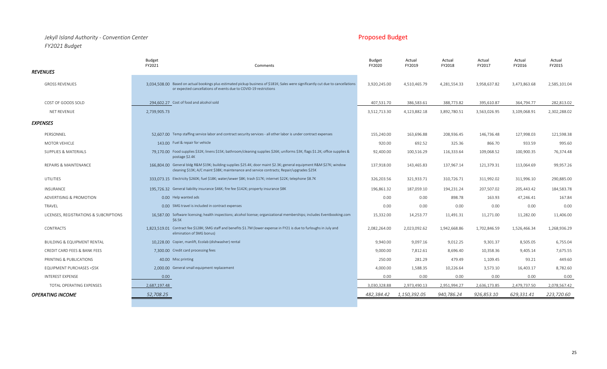## *Jekyll Island Authority - Convention Center* Proposed Budget **Proposed Budget** *FY2021 Budget*

|                                        | Budget<br>FY2021<br>Comments                                                                                                                                                                                      | <b>Budget</b><br>FY2020 | Actual<br>FY2019 | Actual<br>FY2018 | Actual<br>FY2017 | Actual<br>FY2016 | Actual<br>FY2015 |
|----------------------------------------|-------------------------------------------------------------------------------------------------------------------------------------------------------------------------------------------------------------------|-------------------------|------------------|------------------|------------------|------------------|------------------|
| <b>REVENUES</b>                        |                                                                                                                                                                                                                   |                         |                  |                  |                  |                  |                  |
| <b>GROSS REVENUES</b>                  | 3.034.508.00 Based on actual bookings plus estimated pickup business of \$181K; Sales were significantly cut due to cancellations<br>or expected cancellations of events due to COVID-19 restrictions             | 3,920,245.00            | 4,510,465.79     | 4,281,554.33     | 3,958,637.82     | 3,473,863.68     | 2,585,101.04     |
| COST OF GOODS SOLD                     | 294.602.27 Cost of food and alcohol sold                                                                                                                                                                          | 407,531.70              | 386,583.61       | 388,773.82       | 395,610.87       | 364,794.77       | 282,813.02       |
| <b>NET REVENUE</b>                     | 2,739,905.73                                                                                                                                                                                                      | 3,512,713.30            | 4,123,882.18     | 3,892,780.51     | 3,563,026.95     | 3,109,068.91     | 2,302,288.02     |
| <b>EXPENSES</b>                        |                                                                                                                                                                                                                   |                         |                  |                  |                  |                  |                  |
| PERSONNEL                              | 52,607.00 Temp staffing service labor and contract security services - all other labor is under contract expenses                                                                                                 | 155,240.00              | 163,696.88       | 208,936.45       | 146,736.48       | 127,998.03       | 121,598.38       |
| MOTOR VEHICLE                          | 143.00 Fuel & repair for vehicle                                                                                                                                                                                  | 920.00                  | 692.52           | 325.36           | 866.70           | 933.59           | 995.60           |
| SUPPLIES & MATERIALS                   | 79,170.00 Food supplies \$32K; linens \$15K; bathroom/cleaning supplies \$26K; uniforms \$3K; flags \$1.2K; office supplies &<br>postage \$2.4K                                                                   | 92,400.00               | 100,516.29       | 116,333.64       | 109,068.52       | 100,900.35       | 76,374.48        |
| REPAIRS & MAINTENANCE                  | 166.804.00 General bldg R&M \$19K; building supplies \$25.4K; door maint \$2.3K; general equipment R&M \$27K; window<br>cleaning \$13K; A/C maint \$38K; maintenance and service contracts; Repair/upgrades \$25K | 137,918.00              | 143,465.83       | 137,967.14       | 121,379.31       | 113,064.69       | 99,957.26        |
| UTILITIES                              | 333.073.15 Electricity \$260K; fuel \$18K; water/sewer \$8K; trash \$17K; internet \$22K; telephone \$8.7K                                                                                                        | 326,203.56              | 321,933.71       | 310,726.71       | 311,992.02       | 311,996.10       | 290,885.00       |
| <b>INSURANCE</b>                       | 195,726.32 General liability insurance \$46K; fire fee \$142K; property insurance \$8K                                                                                                                            | 196,861.32              | 187,059.10       | 194,231.24       | 207,507.02       | 205,443.42       | 184,583.78       |
| ADVERTISING & PROMOTION                | 0.00 Help wanted ads                                                                                                                                                                                              | 0.00                    | 0.00             | 898.78           | 163.93           | 47,246.41        | 167.84           |
| TRAVEL                                 | 0.00 SMG travel is included in contract expenses                                                                                                                                                                  | 0.00                    | 0.00             | 0.00             | 0.00             | 0.00             | 0.00             |
| LICENSES, REGISTRATIONS & SUBCRIPTIONS | 16.587.00 Software licensing; health inspections; alcohol license; organizational memberships; includes Eventbooking.com<br>\$6.5K                                                                                | 15,332.00               | 14,253.77        | 11,491.31        | 11,271.00        | 11,282.00        | 11,406.00        |
| <b>CONTRACTS</b>                       | 1.823.519.01 Contract fee \$128K; SMG staff and benefits \$1.7M (lower expense in FY21 is due to furloughs in July and<br>elimination of SMG bonus)                                                               | 2,082,264.00            | 2,023,092.62     | 1,942,668.86     | 1,702,846.59     | 1,526,466.34     | 1,268,936.29     |
| <b>BUILDING &amp; EQUIPMENT RENTAL</b> | 10.228.00 Copier, manlift, Ecolab (dishwasher) rental                                                                                                                                                             | 9,940.00                | 9,097.16         | 9,012.25         | 9,301.37         | 8,505.05         | 6,755.04         |
| CREDIT CARD FEES & BANK FEES           | 7,300.00 Credit card processing fees                                                                                                                                                                              | 9,000.00                | 7,812.61         | 8,696.40         | 10,358.36        | 9,405.14         | 7,675.55         |
| PRINTING & PUBLICATIONS                | 40.00 Misc printing                                                                                                                                                                                               | 250.00                  | 281.29           | 479.49           | 1,109.45         | 93.21            | 449.60           |
| EQUIPMENT PURCHASES <\$5K              | 2.000.00 General small equipment replacement                                                                                                                                                                      | 4,000.00                | 1,588.35         | 10,226.64        | 3,573.10         | 16,403.17        | 8,782.60         |
| INTEREST EXPENSE                       | 0.00                                                                                                                                                                                                              | 0.00                    | 0.00             | 0.00             | 0.00             | 0.00             | 0.00             |
| TOTAL OPERATING EXPENSES               | 2,687,197.48                                                                                                                                                                                                      | 3.030.328.88            | 2,973,490.13     | 2.951.994.27     | 2,636,173.85     | 2,479,737.50     | 2,078,567.42     |
| <b>OPERATING INCOME</b>                | 52,708.25                                                                                                                                                                                                         | 482,384.42              | 1,150,392.05     | 940,786.24       | 926,853.10       | 629,331.41       | 223,720.60       |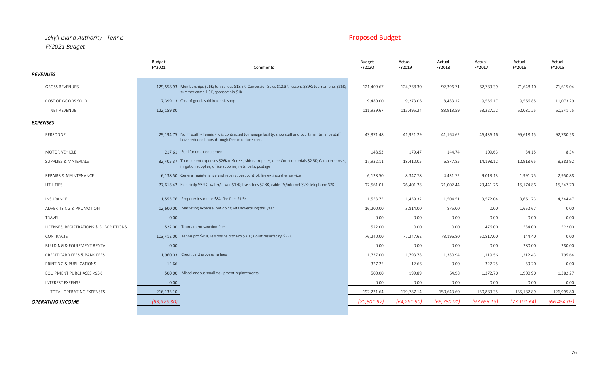## *Jekyll Island Authority - Tennis* Proposed Budget *FY2021 Budget*

|                                        | FY2021                                                            | Comments                                                                                                                                                                    | FY2020       | FY2019       | FY2018       | FY2017       | FY2016       | FY2015       |
|----------------------------------------|-------------------------------------------------------------------|-----------------------------------------------------------------------------------------------------------------------------------------------------------------------------|--------------|--------------|--------------|--------------|--------------|--------------|
| <b>REVENUES</b>                        |                                                                   |                                                                                                                                                                             |              |              |              |              |              |              |
| <b>GROSS REVENUES</b>                  | summer camp 1.5K, sponsorship \$1K                                | 129,558.93 Memberships \$26K; tennis fees \$13.6K; Concession Sales \$12.3K; lessons \$39K; tournaments \$35K;                                                              | 121,409.67   | 124,768.30   | 92,396.71    | 62,783.39    | 71,648.10    | 71,615.04    |
| COST OF GOODS SOLD                     | 7,399.13 Cost of goods sold in tennis shop                        |                                                                                                                                                                             | 9,480.00     | 9,273.06     | 8,483.12     | 9,556.17     | 9,566.85     | 11,073.29    |
| NET REVENUE                            | 122,159.80                                                        |                                                                                                                                                                             | 111,929.67   | 115,495.24   | 83,913.59    | 53,227.22    | 62,081.25    | 60,541.75    |
| <b>EXPENSES</b>                        |                                                                   |                                                                                                                                                                             |              |              |              |              |              |              |
| PERSONNEL                              |                                                                   | 29,194.75 No FT staff - Tennis Pro is contracted to manage facility; shop staff and court maintenance staff<br>have reduced hours through Dec to reduce costs               | 43,371.48    | 41,921.29    | 41,164.62    | 46,436.16    | 95,618.15    | 92,780.58    |
| <b>MOTOR VEHICLE</b>                   | 217.61 Fuel for court equipment                                   |                                                                                                                                                                             | 148.53       | 179.47       | 144.74       | 109.63       | 34.15        | 8.34         |
| <b>SUPPLIES &amp; MATERIALS</b>        |                                                                   | 32,405.37 Tournament expenses \$26K (referees, shirts, trophies, etc); Court materials \$2.5K; Camp expenses,<br>irrigation supplies, office supplies, nets, balls, postage | 17,932.11    | 18,410.05    | 6,877.85     | 14,198.12    | 12,918.65    | 8,383.92     |
| REPAIRS & MAINTENANCE                  |                                                                   | 6,138.50 General maintenance and repairs; pest control; fire extinguisher service                                                                                           | 6,138.50     | 8,347.78     | 4,431.72     | 9,013.13     | 1,991.75     | 2,950.88     |
| UTILITIES                              |                                                                   | 27.618.42 Electricity \$3.9K; water/sewer \$17K; trash fees \$2.3K; cable TV/internet \$2K; telephone \$2K                                                                  | 27,561.01    | 26,401.28    | 21,002.44    | 23,441.76    | 15,174.86    | 15,547.70    |
| <b>INSURANCE</b>                       | 1.553.76 Property insurance \$84; fire fees \$1.5K                |                                                                                                                                                                             | 1,553.75     | 1,459.32     | 1,504.51     | 3,572.04     | 3,661.73     | 4,344.47     |
| ADVERTISING & PROMOTION                | 12,600.00 Marketing expense; not doing Alta advertising this year |                                                                                                                                                                             | 16,200.00    | 3,814.00     | 875.00       | 0.00         | 1,652.67     | 0.00         |
| TRAVEL                                 | 0.00                                                              |                                                                                                                                                                             | 0.00         | 0.00         | 0.00         | 0.00         | 0.00         | 0.00         |
| LICENSES, REGISTRATIONS & SUBCRIPTIONS | 522.00 Tournament sanction fees                                   |                                                                                                                                                                             | 522.00       | 0.00         | 0.00         | 476.00       | 534.00       | 522.00       |
| CONTRACTS                              |                                                                   | 103.412.00 Tennis pro \$45K; lessons paid to Pro \$31K; Court resurfacing \$27K                                                                                             | 76,240.00    | 77,247.62    | 73,196.80    | 50,817.00    | 144.40       | 0.00         |
| <b>BUILDING &amp; EQUIPMENT RENTAL</b> | 0.00                                                              |                                                                                                                                                                             | 0.00         | 0.00         | 0.00         | 0.00         | 280.00       | 280.00       |
| CREDIT CARD FEES & BANK FEES           | 1,960.03 Credit card processing fees                              |                                                                                                                                                                             | 1,737.00     | 1,793.78     | 1,380.94     | 1,119.56     | 1,212.43     | 795.64       |
| PRINTING & PUBLICATIONS                | 12.66                                                             |                                                                                                                                                                             | 327.25       | 12.66        | 0.00         | 327.25       | 59.20        | 0.00         |
| EQUIPMENT PURCHASES <\$5K              | 500.00 Miscellaneous small equipment replacements                 |                                                                                                                                                                             | 500.00       | 199.89       | 64.98        | 1,372.70     | 1,900.90     | 1,382.27     |
| INTEREST EXPENSE                       | 0.00                                                              |                                                                                                                                                                             | 0.00         | 0.00         | 0.00         | 0.00         | 0.00         | 0.00         |
| TOTAL OPERATING EXPENSES               | 216,135.10                                                        |                                                                                                                                                                             | 192,231.64   | 179,787.14   | 150,643.60   | 150,883.35   | 135,182.89   | 126,995.80   |
| <b>OPERATING INCOME</b>                | (93, 975.30)                                                      |                                                                                                                                                                             | (80, 301.97) | (64, 291.90) | (66, 730.01) | (97, 656.13) | (73, 101.64) | (66, 454.05) |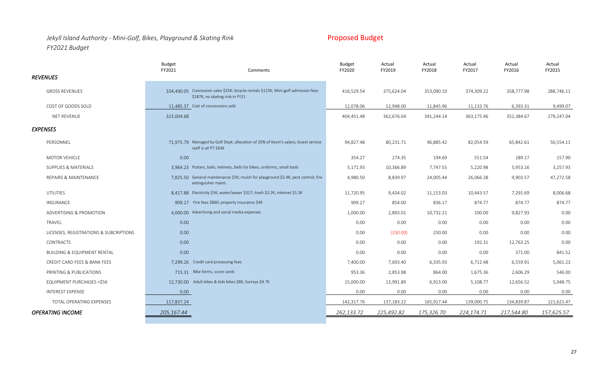## *Jekyll Island Authority - Mini-Golf, Bikes, Playground & Skating Rink* Proposed Budget Proposed Budget *FY2021 Budget*

Budget Actual Actual Actual Actual Actual Actual Actual Actual Actual Actual Actual Actual Actual Actual Actual FY2021 Comments FY2020 FY2019 FY2018 FY2017 FY2016 FY2015 *REVENUES* GROSS REVENUES **334,490.05** Concession sales \$25K; bicycle rentals \$123K; Mini-golf admission fees \$187K; no skating rink in FY21 416,529.54 375,624.04 353,090.10 374,309.22 358,777.98 288,746.11 COST OF GOODS SOLD **11,485.37** Cost of concessions sold 12,078.06 12,078.06 11,845.96 11,133.76 6,393.31 9,499.07 NET REVENUE 323,004.68 404,451.48 362,676.04 341,244.14 363,175.46 352,384.67 279,247.04 *EXPENSES* PERSONNEL 71,975.79 Managed by Golf Dept; allocation of 20% of Kevin's salary; Guest service staff is all PT \$63K 94,827.48 80,231.71 96,885.42 82,054.59 65,842.61 50,554.11 MOTOR VEHICLE 0.00 354.27 274.35 194.69 551.54 189.17 157.90 SUPPLIES & MATERIALS 6.953.16 3,964.23 Putters, balls, helmets, bells for bikes; uniforms; small tools 5,171.93 10,366.89 7,747.55 5,220.98 5,953.16 3,257.93 REPAIRS & MAINTENANCE 7,825.50 General maintenance \$5K; mulch for playground \$2.4K; pest control; fire extinguisher maint. 4,980.50 8,839.97 24,005.44 26,066.38 9,903.57 47,272.58 UTILITIES 6.417.88 Electricity \$3K; water/sewer \$317; trash \$3.2K; internet \$1.3K 11,720.95 9,434.02 11,153.03 10,443.57 7,291.69 8,006.68 INSURANCE 909.27 Fire fees \$860; property insurance \$49 909.27 854.00 836.17 874.77 874.77 874.77 874.77 874.77 ADVERTISING & PROMOTION 4,000.00 Advertising and social media expenses 1,000.00 2,893.01 10,732.21 100.00 9,827.93 0.00 TRAVEL 0.00 0.00 0.00 0.00 0.00 0.00 0.00 LICENSES, REGISTRATIONS & SUBCRIPTIONS 0.00 0.00 (250.00) 250.00 0.00 0.00 0.00 CONTRACTS 0.00 0.00 0.00 0.00 192.31 12,763.25 0.00 BUILDING & EQUIPMENT RENTAL 0.00 0.00 0.00 0.00 0.00 371.00 841.52 CREDIT CARD FEES & BANK FEES 7,299.26 Credit card processing fees 7,400.00 7,693.40 6,335.93 6,712.48 6,559.91 5,061.23 PRINTING & PUBLICATIONS 715.31 Bike forms, score cards 953.36 2,853.98 864.00 1,675.36 2,606.29 546.00 EQUIPMENT PURCHASES <\$5K 12,730.00 Adult bikes & kids bikes \$8K; Surreys \$4.7K 15,000.00 13,991.89 6,913.00 5,108.77 12,656.52 5,048.75 INTEREST EXPENSE 0.00 0.00 0.00 0.00 0.00 0.00 0.00 TOTAL OPERATING EXPENSES 117,837.24 157,183.22 165,917.44 139,000.75 137,183.22 165,917.44 139,000.75 134,839.87 121,621.47 *OPERATING INCOME 205,167.44 262,133.72 225,492.82 175,326.70 224,174.71 217,544.80 157,625.57*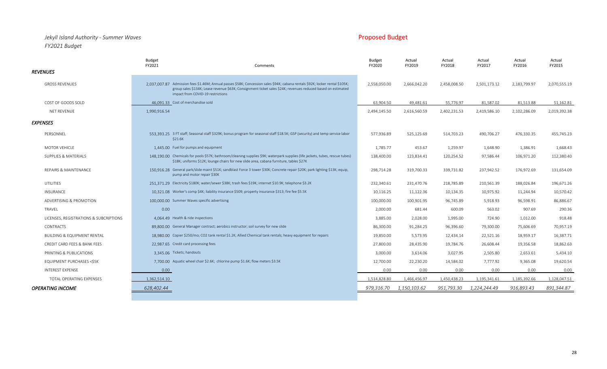### *Jekyll Island Authority - Summer Waves* Proposed Budget *FY2021 Budget*

|                                        | <b>Budget</b><br>FY2021                      | Comments                                                                                                                                                                                                                                                                           | <b>Budget</b><br>FY2020 | Actual<br>FY2019 | Actual<br>FY2018 | Actual<br>FY2017 | Actual<br>FY2016 | Actual<br>FY2015 |
|----------------------------------------|----------------------------------------------|------------------------------------------------------------------------------------------------------------------------------------------------------------------------------------------------------------------------------------------------------------------------------------|-------------------------|------------------|------------------|------------------|------------------|------------------|
| <b>REVENUES</b>                        |                                              |                                                                                                                                                                                                                                                                                    |                         |                  |                  |                  |                  |                  |
| <b>GROSS REVENUES</b>                  |                                              | 2.037.007.87 Admission fees \$1.46M; Annual passes \$58K; Concession sales \$94K; cabana rentals \$92K; locker rental \$105K;<br>group sales \$134K; Lease revenue \$63K; Consignment ticket sales \$24K; revenues reduced based on estimated<br>impact from COVID-19 restrictions | 2,558,050.00            | 2,666,042.20     | 2,458,008.50     | 2,501,173.12     | 2,183,799.97     | 2,070,555.19     |
| COST OF GOODS SOLD                     | 46.091.33 Cost of merchandise sold           |                                                                                                                                                                                                                                                                                    | 63,904.50               | 49,481.61        | 55,776.97        | 81,587.02        | 81,513.88        | 51,162.81        |
| <b>NET REVENUE</b>                     | 1,990,916.54                                 |                                                                                                                                                                                                                                                                                    | 2,494,145.50            | 2,616,560.59     | 2,402,231.53     | 2,419,586.10     | 2,102,286.09     | 2,019,392.38     |
| <b>EXPENSES</b>                        |                                              |                                                                                                                                                                                                                                                                                    |                         |                  |                  |                  |                  |                  |
| PERSONNEL                              | \$21.6K                                      | 553.393.25 3 FT staff; Seasonal staff \$329K; bonus program for seasonal staff \$18.5K; GSP (security) and temp service labor                                                                                                                                                      | 577,936.89              | 525,125.69       | 514,703.23       | 490,706.27       | 476,330.35       | 455,745.23       |
| <b>MOTOR VEHICLE</b>                   | 1.445.00 Fuel for pumps and equipment        |                                                                                                                                                                                                                                                                                    | 1,785.77                | 453.67           | 1,259.97         | 1,648.90         | 1,386.91         | 1,668.43         |
| SUPPLIES & MATERIALS                   |                                              | 148,190.00 Chemicals for pools \$57K; bathroom/cleaning supplies \$9K; waterpark supplies (life jackets, tubes, rescue tubes)<br>\$18K; uniforms \$12K; lounge chairs for new slide area, cabana furniture, tables \$27K                                                           | 138,400.00              | 123,834.41       | 120,254.52       | 97,586.44        | 106,971.20       | 112,380.40       |
| <b>REPAIRS &amp; MAINTENANCE</b>       |                                              | 150.916.28 General park/slide maint \$51K; sandblast Force 3 tower \$30K; Concrete repair \$20K; park lighting \$13K; equip,<br>pump and motor repair \$30K                                                                                                                        | 298,714.28              | 319,700.33       | 339,731.82       | 237,942.52       | 176,972.69       | 131,654.09       |
| UTILITIES                              |                                              | 251.371.29 Electricity \$180K; water/sewer \$38K; trash fees \$19K; internet \$10.9K; telephone \$3.2K                                                                                                                                                                             | 232,340.61              | 231,470.76       | 218,785.89       | 210,561.39       | 188,026.84       | 196,671.26       |
| INSURANCE                              |                                              | 10,321.08 Worker's comp \$4K; liability insurance \$509; property insurance \$313; fire fee \$5.5K                                                                                                                                                                                 | 10,116.25               | 11,122.36        | 10,134.35        | 10,975.92        | 11,244.94        | 10,570.42        |
| ADVERTISING & PROMOTION                | 100,000.00 Summer Waves specific advertising |                                                                                                                                                                                                                                                                                    | 100,000.00              | 100,901.95       | 96,745.89        | 5,918.93         | 96,598.91        | 86,886.67        |
| TRAVEL                                 | 0.00                                         |                                                                                                                                                                                                                                                                                    | 2,000.00                | 681.44           | 600.09           | 563.02           | 907.69           | 290.36           |
| LICENSES, REGISTRATIONS & SUBCRIPTIONS | 4.064.49 Health & ride inspections           |                                                                                                                                                                                                                                                                                    | 3,885.00                | 2,028.00         | 1,995.00         | 724.90           | 1,012.00         | 918.48           |
| CONTRACTS                              |                                              | 89,800.00 General Manager contract; aerobics instructor; soil survey for new slide                                                                                                                                                                                                 | 86,300.00               | 91,284.25        | 96,396.60        | 79,300.00        | 75,606.69        | 70,957.19        |
| <b>BUILDING &amp; EQUIPMENT RENTAL</b> |                                              | 18.980.00 Copier \$250/mo; CO2 tank rental \$1.2K; Allied Chemical tank rentals; heavy equipment for repairs                                                                                                                                                                       | 19,850.00               | 5,573.95         | 12,434.14        | 22,521.16        | 18,959.17        | 16,387.71        |
| CREDIT CARD FEES & BANK FEES           | 22.987.65 Credit card processing fees        |                                                                                                                                                                                                                                                                                    | 27,800.00               | 28,435.90        | 19,784.76        | 26,608.44        | 19,356.58        | 18,862.63        |
| PRINTING & PUBLICATIONS                | 3,345.06 Tickets; handouts                   |                                                                                                                                                                                                                                                                                    | 3,000.00                | 3,614.06         | 3,027.95         | 2,505.80         | 2,653.61         | 5,434.10         |
| EQUIPMENT PURCHASES <\$5K              |                                              | 7.700.00 Aquatic wheel chair \$2.6K; chlorine pump \$1.6K; flow meters \$3.5K                                                                                                                                                                                                      | 12,700.00               | 22,230.20        | 14,584.02        | 7,777.92         | 9,365.08         | 19,620.54        |
| <b>INTEREST EXPENSE</b>                | 0.00                                         |                                                                                                                                                                                                                                                                                    | 0.00                    | 0.00             | 0.00             | 0.00             | 0.00             | 0.00             |
| TOTAL OPERATING EXPENSES               | 1,362,514.10                                 |                                                                                                                                                                                                                                                                                    | 1,514,828.80            | 1,466,456.97     | 1,450,438.23     | 1,195,341.61     | 1,185,392.66     | 1,128,047.51     |
| <b>OPERATING INCOME</b>                | 628,402.44                                   |                                                                                                                                                                                                                                                                                    | 979,316.70              | 1,150,103.62     | 951,793.30       | 1,224,244.49     | 916,893.43       | 891,344.87       |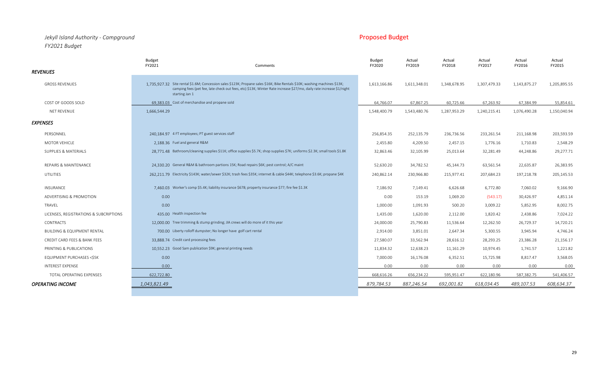### *Jekyll Island Authority - Campground* Proposed Budget *FY2021 Budget*

|                                        | <b>Budget</b><br>FY2021                                     | Comments                                                                                                                                                                                                                                          | <b>Budget</b><br>FY2020 | Actual<br>FY2019 | Actual<br>FY2018 | Actual<br>FY2017 | Actual<br>FY2016 | Actual<br>FY2015 |
|----------------------------------------|-------------------------------------------------------------|---------------------------------------------------------------------------------------------------------------------------------------------------------------------------------------------------------------------------------------------------|-------------------------|------------------|------------------|------------------|------------------|------------------|
| <b>REVENUES</b>                        |                                                             |                                                                                                                                                                                                                                                   |                         |                  |                  |                  |                  |                  |
| <b>GROSS REVENUES</b>                  | starting Jan 1                                              | 1,735,927.32 Site rental \$1.6M; Concession sales \$123K; Propane sales \$16K; Bike Rentals \$10K; washing machines \$13K;<br>camping fees (pet fee, late check out fees, etc) \$13K; Winter Rate increase \$27/mo, daily rate increase \$1/night | 1,613,166.86            | 1,611,348.01     | 1,348,678.95     | 1,307,479.33     | 1,143,875.27     | 1,205,895.55     |
| COST OF GOODS SOLD                     | 69,383.03 Cost of merchandise and propane sold              |                                                                                                                                                                                                                                                   | 64,766.07               | 67,867.25        | 60,725.66        | 67,263.92        | 67,384.99        | 55,854.61        |
| NET REVENUE                            | 1,666,544.29                                                |                                                                                                                                                                                                                                                   | 1,548,400.79            | 1,543,480.76     | 1,287,953.29     | 1,240,215.41     | 1,076,490.28     | 1,150,040.94     |
| <b>EXPENSES</b>                        |                                                             |                                                                                                                                                                                                                                                   |                         |                  |                  |                  |                  |                  |
| PERSONNEL                              | 240.184.97 4 FT employees; PT guest services staff          |                                                                                                                                                                                                                                                   | 256,854.35              | 252,135.79       | 236,736.56       | 233,261.54       | 211,168.98       | 203,593.59       |
| <b>MOTOR VEHICLE</b>                   | 2,188.36 Fuel and general R&M                               |                                                                                                                                                                                                                                                   | 2,455.80                | 4,209.50         | 2,457.15         | 1,776.16         | 1,710.83         | 2,548.29         |
| SUPPLIES & MATERIALS                   |                                                             | 28,771.48 Bathroom/cleaning supplies \$11K; office supplies \$5.7K; shop supplies \$7K; uniforms \$2.3K; small tools \$1.8K                                                                                                                       | 32,863.46               | 32,105.99        | 25,013.64        | 32,281.49        | 44,248.86        | 29,277.71        |
| REPAIRS & MAINTENANCE                  |                                                             | 24,330.20 General R&M & bathroom partions 15K; Road repairs \$6K; pest control; A/C maint                                                                                                                                                         | 52,630.20               | 34,782.52        | 45,144.73        | 63,561.54        | 22,635.87        | 26,383.95        |
| <b>UTILITIES</b>                       |                                                             | 262,211.79 Electricity \$143K; water/sewer \$32K; trash fees \$35K; internet & cable \$44K; telephone \$3.6K; propane \$4K                                                                                                                        | 240,862.14              | 230,966.80       | 215,977.41       | 207,684.23       | 197,218.78       | 205,145.53       |
| INSURANCE                              |                                                             | 7.460.03 Worker's comp \$5.4K; liability insurance \$678; property insurance \$77; fire fee \$1.3K                                                                                                                                                | 7,186.92                | 7,149.41         | 6,626.68         | 6,772.80         | 7,060.02         | 9,166.90         |
| ADVERTISING & PROMOTION                | 0.00                                                        |                                                                                                                                                                                                                                                   | 0.00                    | 153.19           | 1,069.20         | (543.17)         | 30,426.97        | 4,851.14         |
| TRAVEL                                 | 0.00                                                        |                                                                                                                                                                                                                                                   | 1,000.00                | 1,091.93         | 500.20           | 3,009.22         | 5,852.95         | 8,002.75         |
| LICENSES, REGISTRATIONS & SUBCRIPTIONS | 435.00 Health inspection fee                                |                                                                                                                                                                                                                                                   | 1,435.00                | 1,620.00         | 2,112.00         | 1,820.42         | 2,438.86         | 7,024.22         |
| <b>CONTRACTS</b>                       |                                                             | 12,000.00 Tree trimming & stump grinding; JIA crews will do more of it this year                                                                                                                                                                  | 24,000.00               | 25,790.83        | 11,536.64        | 12,262.50        | 26,729.37        | 14,720.21        |
| <b>BUILDING &amp; EQUIPMENT RENTAL</b> |                                                             | 700.00 Liberty rolloff dumpster; No longer have golf cart rental                                                                                                                                                                                  | 2,914.00                | 3,851.01         | 2,647.34         | 5,300.55         | 3,945.94         | 4,746.24         |
| CREDIT CARD FEES & BANK FEES           | 33,888.74 Credit card processing fees                       |                                                                                                                                                                                                                                                   | 27,580.07               | 33,562.94        | 28,616.12        | 28,293.25        | 23,386.28        | 21,156.17        |
| PRINTING & PUBLICATIONS                | 10,552.23 Good Sam publication \$9K; general printing needs |                                                                                                                                                                                                                                                   | 11,834.32               | 12,638.23        | 11,161.29        | 10,974.45        | 1,741.57         | 1,221.82         |
| EQUIPMENT PURCHASES <\$5K              | 0.00                                                        |                                                                                                                                                                                                                                                   | 7,000.00                | 16,176.08        | 6,352.51         | 15,725.98        | 8,817.47         | 3,568.05         |
| INTEREST EXPENSE                       | 0.00                                                        |                                                                                                                                                                                                                                                   | 0.00                    | 0.00             | 0.00             | 0.00             | 0.00             | 0.00             |
| TOTAL OPERATING EXPENSES               | 622,722.80                                                  |                                                                                                                                                                                                                                                   | 668,616.26              | 656,234.22       | 595,951.47       | 622,180.96       | 587,382.75       | 541,406.57       |
| <b>OPERATING INCOME</b>                | 1,043,821.49                                                |                                                                                                                                                                                                                                                   | 879,784.53              | 887,246.54       | 692,001.82       | 618,034.45       | 489,107.53       | 608,634.37       |

29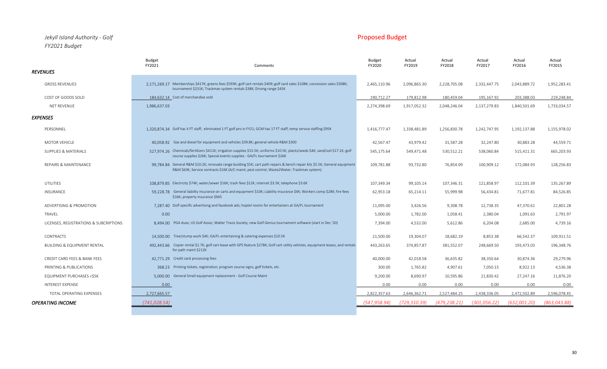### *Jekyll Island Authority - Golf* Proposed Budget *FY2021 Budget*

|                                        | Budget<br>FY2021                      | Comments                                                                                                                                                                                                                   | Budget<br>FY2020 | Actual<br>FY2019 | Actual<br>FY2018 | Actual<br>FY2017 | Actual<br>FY2016 | Actual<br>FY2015 |
|----------------------------------------|---------------------------------------|----------------------------------------------------------------------------------------------------------------------------------------------------------------------------------------------------------------------------|------------------|------------------|------------------|------------------|------------------|------------------|
| <b>REVENUES</b>                        |                                       |                                                                                                                                                                                                                            |                  |                  |                  |                  |                  |                  |
| <b>GROSS REVENUES</b>                  |                                       | 2,171,269.17 Memberships \$417K; greens fees \$593K; golf cart rentals \$409; golf card sales \$108K; concession sales \$308K;<br>tournament \$231K; Trackman system rentals \$38K; Driving range \$45K                    | 2,465,110.96     | 2,096,865.30     | 2,228,705.08     | 2,332,447.75     | 2,043,889.72     | 1,952,283.41     |
| COST OF GOODS SOLD                     | 184.632.14 Cost of merchandise sold   |                                                                                                                                                                                                                            | 190,712.27       | 179,812.98       | 180,459.04       | 195,167.92       | 203,388.03       | 219,248.84       |
| NET REVENUE                            | 1,986,637.03                          |                                                                                                                                                                                                                            | 2,274,398.69     | 1,917,052.32     | 2,048,246.04     | 2,137,279.83     | 1,840,501.69     | 1,733,034.57     |
| <b>EXPENSES</b>                        |                                       |                                                                                                                                                                                                                            |                  |                  |                  |                  |                  |                  |
| PERSONNEL                              |                                       | 1,320,874.34 Golf has 4 FT staff; eliminated 1 FT golf pro in FY21; GCM has 17 FT staff; temp service staffing \$95K                                                                                                       | 1,416,777.47     | 1,338,481.89     | 1,256,830.78     | 1,242,747.95     | 1,192,137.88     | 1,155,978.02     |
| <b>MOTOR VEHICLE</b>                   |                                       | 40.058.92 Gas and diesel for equipment and vehicles \$39.8K; general vehicle R&M \$300                                                                                                                                     | 42,567.47        | 43,979.42        | 31,587.28        | 32,247.80        | 30,883.28        | 44,559.71        |
| SUPPLIES & MATERIALS                   |                                       | 527,974.26 Chemicals/fertilizers \$411K; irrigation supplies \$15.5K; uniforms \$10.5K; plants/seeds \$4K; sand/soil \$17.1K; golf<br>course supplies \$26K; Special events supplies - GA/FL tournament \$26K              | 545,175.64       | 549,471.48       | 530,512.21       | 538,060.84       | 515,411.31       | 665,203.93       |
| REPAIRS & MAINTENANCE                  |                                       | 99.784.84 General R&M \$10.2K; renovate range building \$5K; cart path repairs & bench repair kits \$5.5K; General equipment<br>R&M \$63K; Service contracts \$16K (A/C maint; pest control; Waste2Water; Trackman system) | 109,781.88       | 93,732.80        | 76,854.09        | 100,909.12       | 172,084.93       | 128,256.83       |
| <b>UTILITIES</b>                       |                                       | 108.879.85 Electricity \$74K; water/sewer \$16K; trash fees \$12K; internet \$3.5K; telephone \$3.6K                                                                                                                       | 107,349.34       | 99,105.14        | 107,346.31       | 121,858.97       | 112,101.39       | 135,267.89       |
| INSURANCE                              | \$16K; property insurance \$945       | 59.228.78 General liability insurance on carts and equipment \$10K; Liability insurance \$4K; Workers comp \$28K; fire fees                                                                                                | 62,953.18        | 65,214.11        | 55,999.98        | 56,434.81        | 71,677.81        | 84,526.85        |
| ADVERTISING & PROMOTION                |                                       | 7,287.40 Golf-specific advertising and facebook ads; hoptel rooms for entertainers at GA/FL tournament                                                                                                                     | 11,095.00        | 3,426.56         | 9,308.78         | 12,738.35        | 47,370.61        | 22,801.28        |
| TRAVEL                                 | 0.00                                  |                                                                                                                                                                                                                            | 5,000.00         | 1,782.00         | 1,058.41         | 2,380.04         | 1,091.63         | 2,791.97         |
| LICENSES, REGISTRATIONS & SUBCRIPTIONS |                                       | 8,494.00 PGA dues; US Golf Assoc; Walter Travis Society; new Golf Genius tournament software (start in Dec '20)                                                                                                            | 7,394.00         | 4,532.00         | 5,612.86         | 6,204.08         | 2,685.00         | 4,739.16         |
| <b>CONTRACTS</b>                       |                                       | 14.500.00 Tree/stump work \$4K; GA/FL entertaining & catering expenses \$10.5K                                                                                                                                             | 21,500.00        | 19,304.07        | 18,682.19        | 8,853.38         | 66,542.37        | 109,911.51       |
| <b>BUILDING &amp; EQUIPMENT RENTAL</b> | for path maint \$212K                 | 492,443.66 Copier rental \$1.7K; golf cart lease with GPS feature \$278K; Golf cart utility vehicles, equipment leases, and rentals                                                                                        | 443,263.65       | 374,857.87       | 381,552.07       | 248,669.50       | 193,473.03       | 196,348.76       |
| CREDIT CARD FEES & BANK FEES           | 42.771.29 Credit card processing fees |                                                                                                                                                                                                                            | 40,000.00        | 42,018.58        | 36,635.82        | 38,350.64        | 30,874.36        | 29,279.96        |
| PRINTING & PUBLICATIONS                |                                       | 368.23 Printing tickets, registration, program course signs, golf tickets, etc                                                                                                                                             | 300.00           | 1,765.82         | 4,907.61         | 7,050.15         | 8,922.13         | 4,536.38         |
| EQUIPMENT PURCHASES <\$5K              |                                       | 5.000.00 General Small equipment replacement - Golf Course Maint                                                                                                                                                           | 9,200.00         | 8,690.97         | 10,595.86        | 21,830.42        | 27,247.16        | 11,876.20        |
| INTEREST EXPENSE                       | 0.00                                  |                                                                                                                                                                                                                            | 0.00             | 0.00             | 0.00             | 0.00             | 0.00             | 0.00             |
| TOTAL OPERATING EXPENSES               | 2,727,665.57                          |                                                                                                                                                                                                                            | 2,822,357.63     | 2,646,362.71     | 2,527,484.25     | 2,438,336.05     | 2,472,502.89     | 2,596,078.45     |
| <b>OPERATING INCOME</b>                | (741, 028.54)                         |                                                                                                                                                                                                                            | (547, 958.94)    | (729, 310.39)    | (479, 238.21)    | (301, 056.22)    | (632,001.20)     | (863, 043.88)    |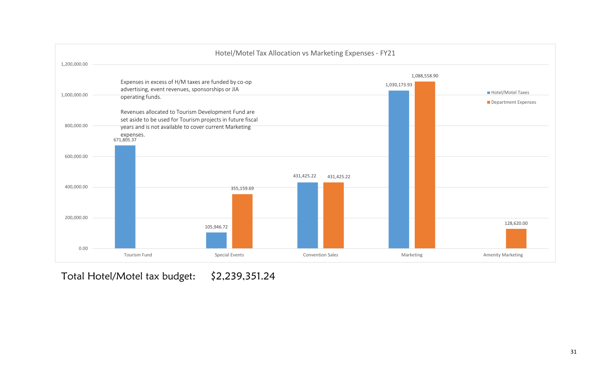

Total Hotel/Motel tax budget: \$2,239,351.24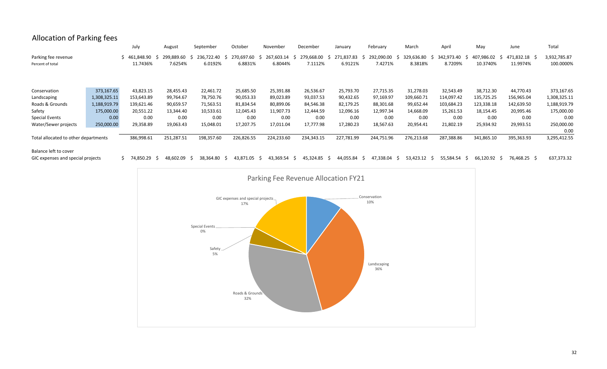# Allocation of Parking fees

|                                      |              | July         | August          | September    | October    | November        | December         | January          | February        | March      | April        | May        | June                    | Total        |
|--------------------------------------|--------------|--------------|-----------------|--------------|------------|-----------------|------------------|------------------|-----------------|------------|--------------|------------|-------------------------|--------------|
| Parking fee revenue                  |              | \$461,848.90 | 299.889.60      | 236.722.40   | 270,697.60 | 267,603.14      | 279,668.00<br>-S | 271,837.83<br>-S | 292,090.00      | 329,636.80 | 342,973.40   | 407,986.02 | 471,832.18<br>-S<br>- 5 | 3,932,785.87 |
| Percent of total                     |              | 11.7436%     | 7.6254%         | 6.0192%      | 6.8831%    | 6.8044%         | 7.1112%          | 6.9121%          | 7.4271%         | 8.3818%    | 8.7209%      | 10.3740%   | 11.9974%                | 100.0000%    |
|                                      |              |              |                 |              |            |                 |                  |                  |                 |            |              |            |                         |              |
|                                      |              |              |                 |              |            |                 |                  |                  |                 |            |              |            |                         |              |
| Conservation                         | 373,167.65   | 43,823.15    | 28,455.43       | 22,461.72    | 25,685.50  | 25,391.88       | 26,536.67        | 25,793.70        | 27,715.35       | 31,278.03  | 32,543.49    | 38,712.30  | 44,770.43               | 373,167.65   |
| Landscaping                          | 1,308,325.11 | 153,643.89   | 99,764.67       | 78,750.76    | 90,053.33  | 89,023.89       | 93,037.53        | 90,432.65        | 97,169.97       | 109,660.71 | 114,097.42   | 135,725.25 | 156,965.04              | 1,308,325.11 |
| Roads & Grounds                      | 1,188,919.79 | 139,621.46   | 90,659.57       | 71,563.51    | 81,834.54  | 80,899.06       | 84,546.38        | 82,179.25        | 88,301.68       | 99,652.44  | 103,684.23   | 123,338.18 | 142,639.50              | 1,188,919.79 |
| Safety                               | 175,000.00   | 20,551.22    | 13,344.40       | 10,533.61    | 12,045.43  | 11,907.73       | 12,444.59        | 12,096.16        | 12,997.34       | 14,668.09  | 15,261.53    | 18,154.45  | 20,995.46               | 175,000.00   |
| <b>Special Events</b>                | 0.00         | 0.00         | 0.00            | 0.00         | 0.00       | 0.00            | 0.00             | 0.00             | 0.00            | 0.00       | 0.00         | 0.00       | 0.00                    | 0.00         |
| Water/Sewer projects                 | 250,000.00   | 29,358.89    | 19,063.43       | 15,048.01    | 17,207.75  | 17,011.04       | 17,777.98        | 17,280.23        | 18,567.63       | 20,954.41  | 21,802.19    | 25,934.92  | 29,993.51               | 250,000.00   |
|                                      |              |              |                 |              |            |                 |                  |                  |                 |            |              |            |                         | 0.00         |
| Total allocated to other departments |              | 386,998.61   | 251,287.51      | 198,357.60   | 226,826.55 | 224,233.60      | 234,343.15       | 227,781.99       | 244,751.96      | 276,213.68 | 287,388.86   | 341,865.10 | 395,363.93              | 3,295,412.55 |
|                                      |              |              |                 |              |            |                 |                  |                  |                 |            |              |            |                         |              |
| Balance left to cover                |              |              |                 |              |            |                 |                  |                  |                 |            |              |            |                         |              |
| GIC expenses and special projects    |              | \$74,850.29  | 48,602.09<br>-5 | 38,364.80 \$ | 43,871.05  | 43,369.54<br>-5 | 45,324.85<br>-S  | 44,055.84        | 47,338.04<br>-S | 53,423.12  | 55,584.54 \$ | 66,120.92  | 76,468.25 \$<br>- S     | 637,373.32   |

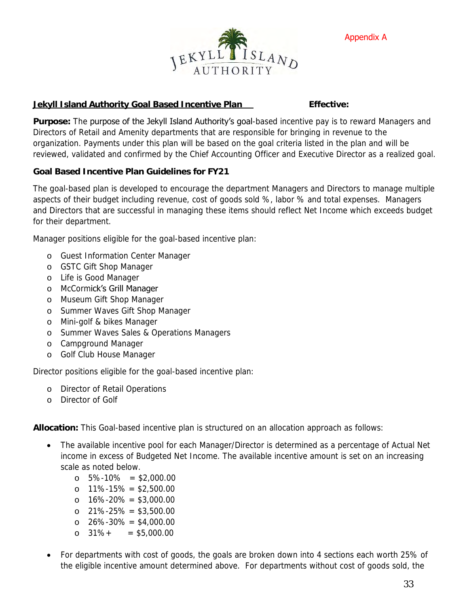

Appendix A

### **Jekyll Island Authority Goal Based Incentive Plan Effective:**

Purpose: The **purpose of the Jekyll Island Authority's goal**-based incentive pay is to reward Managers and Directors of Retail and Amenity departments that are responsible for bringing in revenue to the organization. Payments under this plan will be based on the goal criteria listed in the plan and will be reviewed, validated and confirmed by the Chief Accounting Officer and Executive Director as a realized goal.

**Goal Based Incentive Plan Guidelines for FY21**

The goal-based plan is developed to encourage the department Managers and Directors to manage multiple aspects of their budget including revenue, cost of goods sold %, labor % and total expenses. Managers and Directors that are successful in managing these items should reflect Net Income which exceeds budget for their department.

Manager positions eligible for the goal-based incentive plan:

- o Guest Information Center Manager
- o GSTC Gift Shop Manager
- o Life is Good Manager
- o McCormick's Grill Manager
- o Museum Gift Shop Manager
- o Summer Waves Gift Shop Manager
- o Mini-golf & bikes Manager
- o Summer Waves Sales & Operations Managers
- o Campground Manager
- o Golf Club House Manager

Director positions eligible for the goal-based incentive plan:

- o Director of Retail Operations
- o Director of Golf

**Allocation:** This Goal-based incentive plan is structured on an allocation approach as follows:

- The available incentive pool for each Manager/Director is determined as a percentage of Actual Net income in excess of Budgeted Net Income. The available incentive amount is set on an increasing scale as noted below.
	- o 5%-10% = \$2,000.00
	- o 11%-15% = \$2,500.00
	- o 16%-20% = \$3,000.00
	- o 21%-25% = \$3,500.00
	- $\Omega$  26%-30% = \$4,000.00
	- o  $31\% + \quad = \$5,000,00$
- For departments with cost of goods, the goals are broken down into 4 sections each worth 25% of the eligible incentive amount determined above. For departments without cost of goods sold, the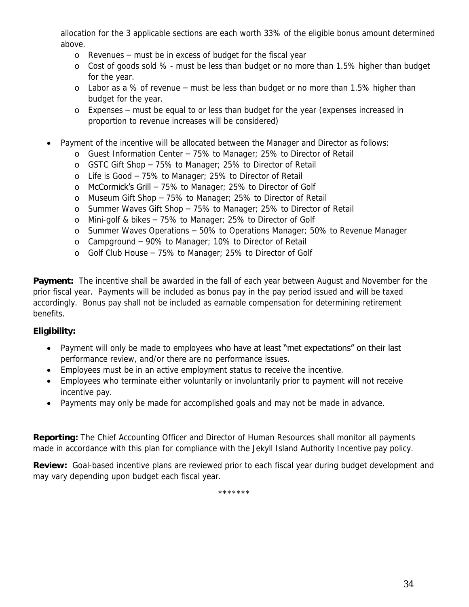allocation for the 3 applicable sections are each worth 33% of the eligible bonus amount determined above.

- o Revenues must be in excess of budget for the fiscal year
- o Cost of goods sold % must be less than budget or no more than 1.5% higher than budget for the year.
- o Labor as a % of revenue must be less than budget or no more than 1.5% higher than budget for the year.
- o Expenses must be equal to or less than budget for the year (expenses increased in proportion to revenue increases will be considered)
- Payment of the incentive will be allocated between the Manager and Director as follows:
	- o Guest Information Center 75% to Manager; 25% to Director of Retail
	- o GSTC Gift Shop 75% to Manager; 25% to Director of Retail
	- o Life is Good 75% to Manager; 25% to Director of Retail
	- o McCormick's Grill 75% to Manager; 25% to Director of Golf
	- o Museum Gift Shop 75% to Manager; 25% to Director of Retail
	- o Summer Waves Gift Shop 75% to Manager; 25% to Director of Retail
	- o Mini-golf & bikes 75% to Manager; 25% to Director of Golf
	- o Summer Waves Operations 50% to Operations Manager; 50% to Revenue Manager
	- o Campground 90% to Manager; 10% to Director of Retail
	- o Golf Club House 75% to Manager; 25% to Director of Golf

**Payment:** The incentive shall be awarded in the fall of each year between August and November for the prior fiscal year. Payments will be included as bonus pay in the pay period issued and will be taxed accordingly. Bonus pay shall not be included as earnable compensation for determining retirement benefits.

### **Eligibility:**

- Payment will only be made to employees who have at least "met expectations" on their last performance review, and/or there are no performance issues.
- Employees must be in an active employment status to receive the incentive.
- Employees who terminate either voluntarily or involuntarily prior to payment will not receive incentive pay.
- Payments may only be made for accomplished goals and may not be made in advance.

**Reporting:** The Chief Accounting Officer and Director of Human Resources shall monitor all payments made in accordance with this plan for compliance with the Jekyll Island Authority Incentive pay policy.

**Review:** Goal-based incentive plans are reviewed prior to each fiscal year during budget development and may vary depending upon budget each fiscal year.

\*\*\*\*\*\*\*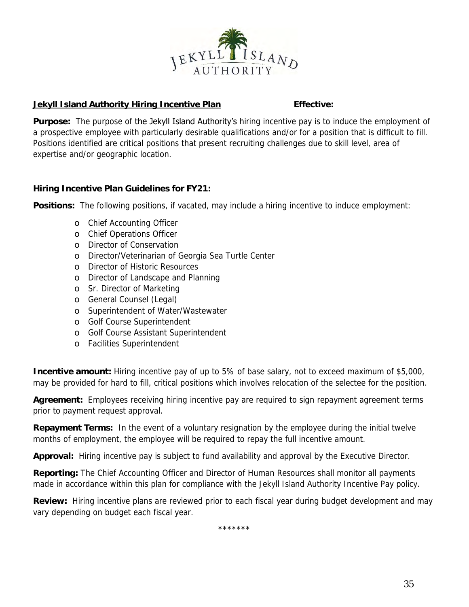

### **Jekyll Island Authority Hiring Incentive Plan Fig. 2016** Effective:

**Purpose:** The purpose of the Jekyll Island Authority's hiring incentive pay is to induce the employment of a prospective employee with particularly desirable qualifications and/or for a position that is difficult to fill. Positions identified are critical positions that present recruiting challenges due to skill level, area of expertise and/or geographic location.

**Hiring Incentive Plan Guidelines for FY21:**

**Positions:** The following positions, if vacated, may include a hiring incentive to induce employment:

- o Chief Accounting Officer
- o Chief Operations Officer
- o Director of Conservation
- o Director/Veterinarian of Georgia Sea Turtle Center
- o Director of Historic Resources
- o Director of Landscape and Planning
- o Sr. Director of Marketing
- o General Counsel (Legal)
- o Superintendent of Water/Wastewater
- o Golf Course Superintendent
- o Golf Course Assistant Superintendent
- o Facilities Superintendent

**Incentive amount:** Hiring incentive pay of up to 5% of base salary, not to exceed maximum of \$5,000, may be provided for hard to fill, critical positions which involves relocation of the selectee for the position.

**Agreement:** Employees receiving hiring incentive pay are required to sign repayment agreement terms prior to payment request approval.

**Repayment Terms:** In the event of a voluntary resignation by the employee during the initial twelve months of employment, the employee will be required to repay the full incentive amount.

**Approval:** Hiring incentive pay is subject to fund availability and approval by the Executive Director.

**Reporting:** The Chief Accounting Officer and Director of Human Resources shall monitor all payments made in accordance within this plan for compliance with the Jekyll Island Authority Incentive Pay policy.

**Review:** Hiring incentive plans are reviewed prior to each fiscal year during budget development and may vary depending on budget each fiscal year.

\*\*\*\*\*\*\*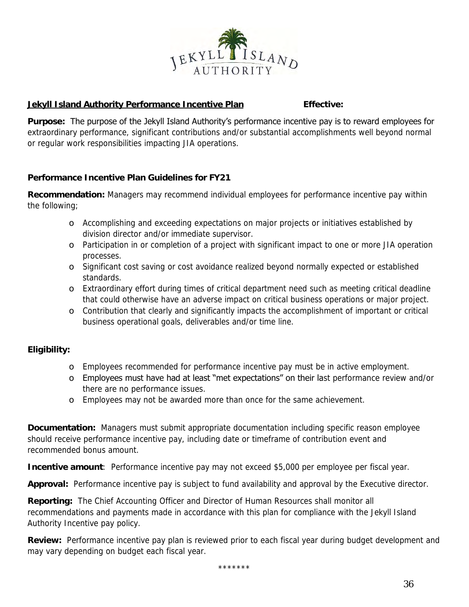

### **Jekyll Island Authority Performance Incentive Plan Effective:**

**Purpose:** The purpose of the Jekyll Island Authority's performance incentive pay is to reward employees for extraordinary performance, significant contributions and/or substantial accomplishments well beyond normal or regular work responsibilities impacting JIA operations.

**Performance Incentive Plan Guidelines for FY21**

**Recommendation:** Managers may recommend individual employees for performance incentive pay within the following;

- o Accomplishing and exceeding expectations on major projects or initiatives established by division director and/or immediate supervisor.
- o Participation in or completion of a project with significant impact to one or more JIA operation processes.
- o Significant cost saving or cost avoidance realized beyond normally expected or established standards.
- o Extraordinary effort during times of critical department need such as meeting critical deadline that could otherwise have an adverse impact on critical business operations or major project.
- o Contribution that clearly and significantly impacts the accomplishment of important or critical business operational goals, deliverables and/or time line.

## **Eligibility:**

- o Employees recommended for performance incentive pay must be in active employment.
- o Employees must have had at least "met expectations" on their last performance review and/or there are no performance issues.
- o Employees may not be awarded more than once for the same achievement.

**Documentation:** Managers must submit appropriate documentation including specific reason employee should receive performance incentive pay, including date or timeframe of contribution event and recommended bonus amount.

**Incentive amount**: Performance incentive pay may not exceed \$5,000 per employee per fiscal year.

**Approval:** Performance incentive pay is subject to fund availability and approval by the Executive director.

**Reporting:** The Chief Accounting Officer and Director of Human Resources shall monitor all recommendations and payments made in accordance with this plan for compliance with the Jekyll Island Authority Incentive pay policy.

**Review:** Performance incentive pay plan is reviewed prior to each fiscal year during budget development and may vary depending on budget each fiscal year.

\*\*\*\*\*\*\*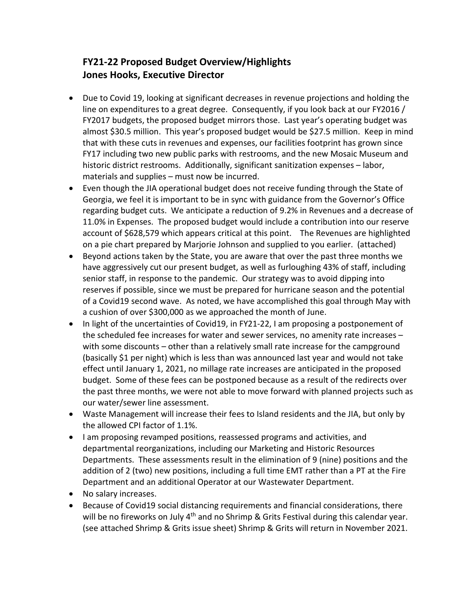## **FY21-22 Proposed Budget Overview/Highlights Jones Hooks, Executive Director**

- Due to Covid 19, looking at significant decreases in revenue projections and holding the line on expenditures to a great degree. Consequently, if you look back at our FY2016 / FY2017 budgets, the proposed budget mirrors those. Last year's operating budget was almost \$30.5 million. This year's proposed budget would be \$27.5 million. Keep in mind that with these cuts in revenues and expenses, our facilities footprint has grown since FY17 including two new public parks with restrooms, and the new Mosaic Museum and historic district restrooms. Additionally, significant sanitization expenses – labor, materials and supplies – must now be incurred.
- Even though the JIA operational budget does not receive funding through the State of Georgia, we feel it is important to be in sync with guidance from the Governor's Office regarding budget cuts. We anticipate a reduction of 9.2% in Revenues and a decrease of 11.0% in Expenses. The proposed budget would include a contribution into our reserve account of \$628,579 which appears critical at this point. The Revenues are highlighted on a pie chart prepared by Marjorie Johnson and supplied to you earlier. (attached)
- Beyond actions taken by the State, you are aware that over the past three months we have aggressively cut our present budget, as well as furloughing 43% of staff, including senior staff, in response to the pandemic. Our strategy was to avoid dipping into reserves if possible, since we must be prepared for hurricane season and the potential of a Covid19 second wave. As noted, we have accomplished this goal through May with a cushion of over \$300,000 as we approached the month of June.
- In light of the uncertainties of Covid19, in FY21-22, I am proposing a postponement of the scheduled fee increases for water and sewer services, no amenity rate increases – with some discounts – other than a relatively small rate increase for the campground (basically \$1 per night) which is less than was announced last year and would not take effect until January 1, 2021, no millage rate increases are anticipated in the proposed budget. Some of these fees can be postponed because as a result of the redirects over the past three months, we were not able to move forward with planned projects such as our water/sewer line assessment.
- Waste Management will increase their fees to Island residents and the JIA, but only by the allowed CPI factor of 1.1%.
- I am proposing revamped positions, reassessed programs and activities, and departmental reorganizations, including our Marketing and Historic Resources Departments. These assessments result in the elimination of 9 (nine) positions and the addition of 2 (two) new positions, including a full time EMT rather than a PT at the Fire Department and an additional Operator at our Wastewater Department.
- No salary increases.
- Because of Covid19 social distancing requirements and financial considerations, there will be no fireworks on July  $4<sup>th</sup>$  and no Shrimp & Grits Festival during this calendar year. (see attached Shrimp & Grits issue sheet) Shrimp & Grits will return in November 2021.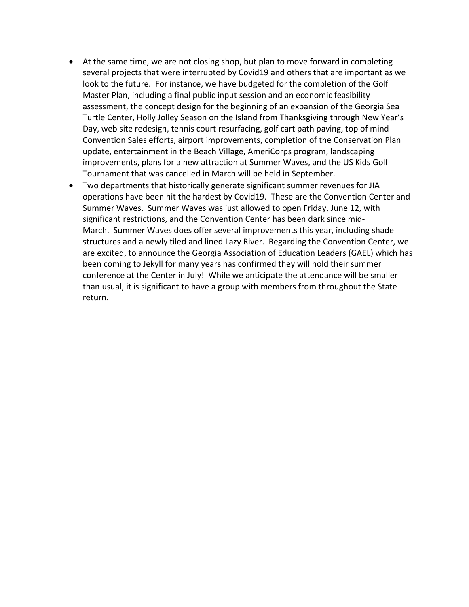- At the same time, we are not closing shop, but plan to move forward in completing several projects that were interrupted by Covid19 and others that are important as we look to the future. For instance, we have budgeted for the completion of the Golf Master Plan, including a final public input session and an economic feasibility assessment, the concept design for the beginning of an expansion of the Georgia Sea Turtle Center, Holly Jolley Season on the Island from Thanksgiving through New Year's Day, web site redesign, tennis court resurfacing, golf cart path paving, top of mind Convention Sales efforts, airport improvements, completion of the Conservation Plan update, entertainment in the Beach Village, AmeriCorps program, landscaping improvements, plans for a new attraction at Summer Waves, and the US Kids Golf Tournament that was cancelled in March will be held in September.
- Two departments that historically generate significant summer revenues for JIA operations have been hit the hardest by Covid19. These are the Convention Center and Summer Waves. Summer Waves was just allowed to open Friday, June 12, with significant restrictions, and the Convention Center has been dark since mid-March. Summer Waves does offer several improvements this year, including shade structures and a newly tiled and lined Lazy River. Regarding the Convention Center, we are excited, to announce the Georgia Association of Education Leaders (GAEL) which has been coming to Jekyll for many years has confirmed they will hold their summer conference at the Center in July! While we anticipate the attendance will be smaller than usual, it is significant to have a group with members from throughout the State return.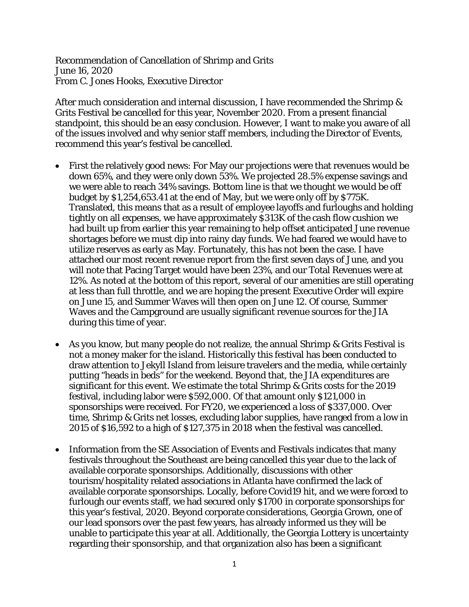Recommendation of Cancellation of Shrimp and Grits June 16, 2020 From C. Jones Hooks, Executive Director

After much consideration and internal discussion, I have recommended the Shrimp & Grits Festival be cancelled for this year, November 2020. From a present financial standpoint, this should be an easy conclusion. However, I want to make you aware of all of the issues involved and why senior staff members, including the Director of Events, recommend this year's festival be cancelled.

- First the relatively good news: For May our projections were that revenues would be down 65%, and they were only down 53%. We projected 28.5% expense savings and we were able to reach 34% savings. Bottom line is that we thought we would be off budget by \$1,254,653.41 at the end of May, but we were only off by \$775K. Translated, this means that as a result of employee layoffs and furloughs and holding tightly on all expenses, we have approximately \$313K of the cash flow cushion we had built up from earlier this year remaining to help offset anticipated June revenue shortages before we must dip into rainy day funds. We had feared we would have to utilize reserves as early as May. Fortunately, this has not been the case. I have attached our most recent revenue report from the first seven days of June, and you will note that Pacing Target would have been 23%, and our Total Revenues were at 12%. As noted at the bottom of this report, several of our amenities are still operating at less than full throttle, and we are hoping the present Executive Order will expire on June 15, and Summer Waves will then open on June 12. Of course, Summer Waves and the Campground are usually significant revenue sources for the JIA during this time of year.
- As you know, but many people do not realize, the annual Shrimp & Grits Festival is not a money maker for the island. Historically this festival has been conducted to draw attention to Jekyll Island from leisure travelers and the media, while certainly putting "heads in beds" for the weekend. Beyond that, the JIA expenditures are significant for this event. We estimate the total Shrimp & Grits costs for the 2019 festival, including labor were \$592,000. Of that amount only \$121,000 in sponsorships were received. For FY20, we experienced a loss of \$337,000. Over time, Shrimp & Grits net losses, excluding labor supplies, have ranged from a low in 2015 of \$16,592 to a high of \$127,375 in 2018 when the festival was cancelled.
- Information from the SE Association of Events and Festivals indicates that many festivals throughout the Southeast are being cancelled this year due to the lack of available corporate sponsorships. Additionally, discussions with other tourism/hospitality related associations in Atlanta have confirmed the lack of available corporate sponsorships. Locally, before Covid19 hit, and we were forced to furlough our events staff, we had secured only \$1700 in corporate sponsorships for this year's festival, 2020. Beyond corporate considerations, Georgia Grown, one of our lead sponsors over the past few years, has already informed us they will be unable to participate this year at all. Additionally, the Georgia Lottery is uncertainty regarding their sponsorship, and that organization also has been a significant